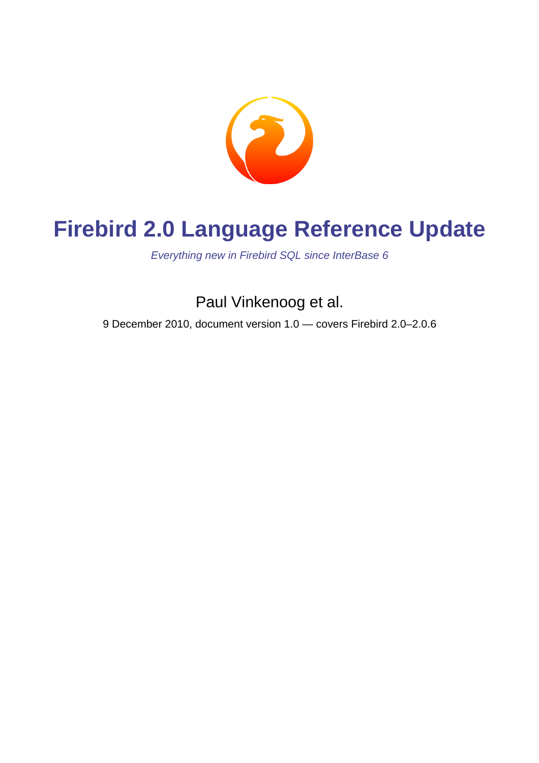

# **Firebird 2.0 Language Reference Update**

Everything new in Firebird SQL since InterBase 6

Paul Vinkenoog et al.

9 December 2010, document version 1.0 — covers Firebird 2.0–2.0.6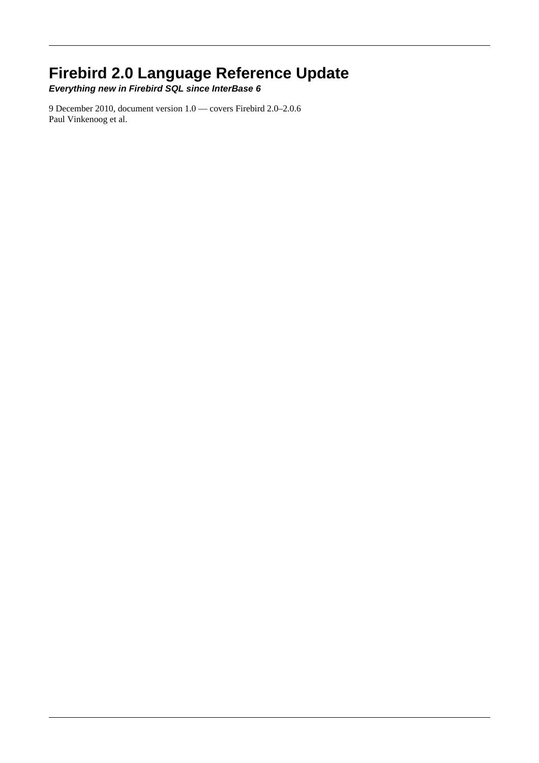## **Firebird 2.0 Language Reference Update**

**Everything new in Firebird SQL since InterBase 6**

9 December 2010, document version 1.0 — covers Firebird 2.0–2.0.6 Paul Vinkenoog et al.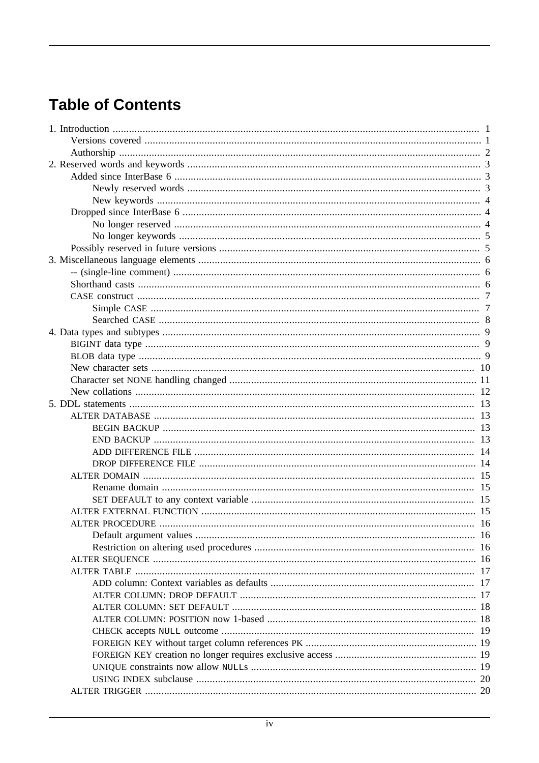## **Table of Contents**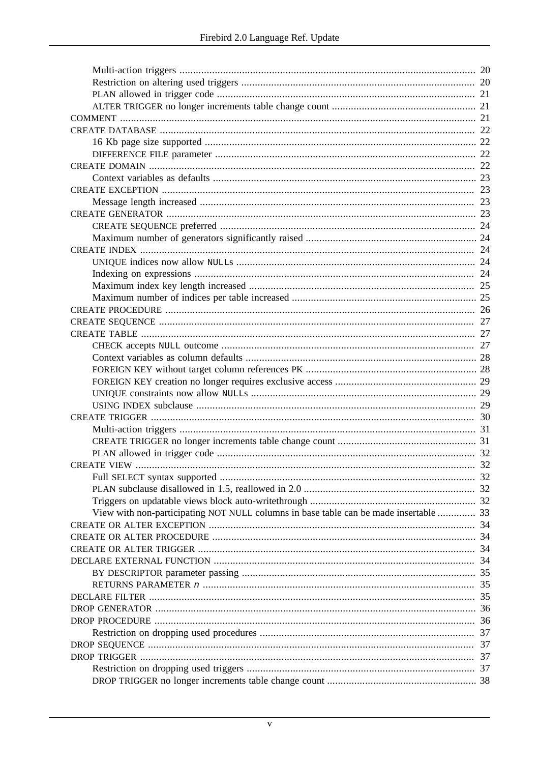| View with non-participating NOT NULL columns in base table can be made insertable  33 |  |
|---------------------------------------------------------------------------------------|--|
|                                                                                       |  |
|                                                                                       |  |
|                                                                                       |  |
|                                                                                       |  |
|                                                                                       |  |
|                                                                                       |  |
|                                                                                       |  |
|                                                                                       |  |
|                                                                                       |  |
|                                                                                       |  |
|                                                                                       |  |
|                                                                                       |  |
|                                                                                       |  |
|                                                                                       |  |
|                                                                                       |  |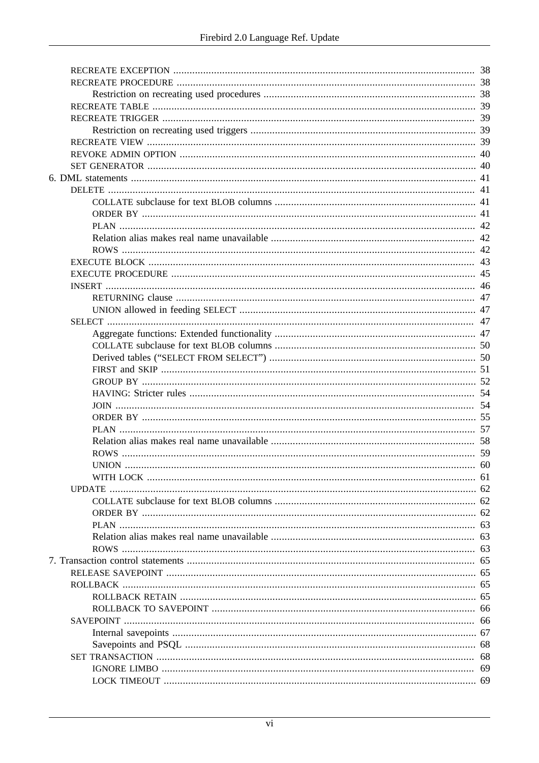| 61 |
|----|
|    |
|    |
|    |
|    |
|    |
|    |
|    |
|    |
|    |
|    |
|    |
| 66 |
|    |
| 68 |
| 68 |
| 69 |
|    |
|    |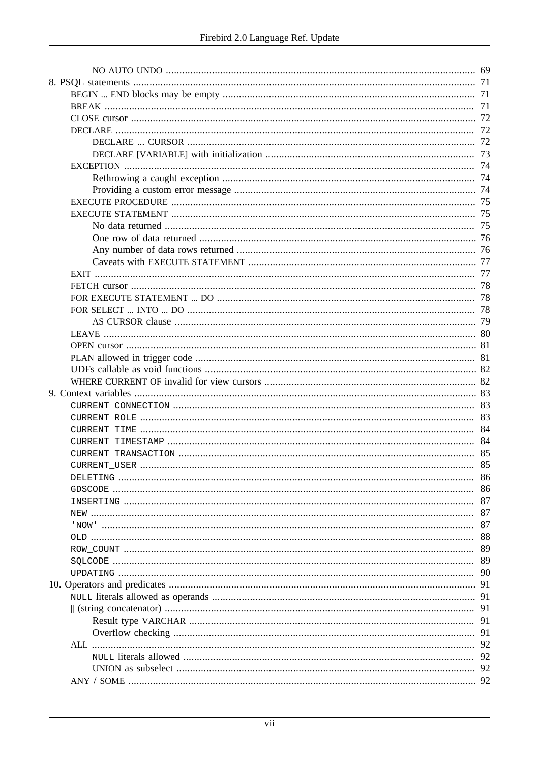|  | 83 |
|--|----|
|  | 84 |
|  |    |
|  |    |
|  |    |
|  | 86 |
|  | 86 |
|  | 87 |
|  | 87 |
|  | 87 |
|  | 88 |
|  | 89 |
|  | 89 |
|  | 90 |
|  | 91 |
|  | 91 |
|  | 91 |
|  | 91 |
|  |    |
|  | 91 |
|  | 92 |
|  | 92 |
|  | 92 |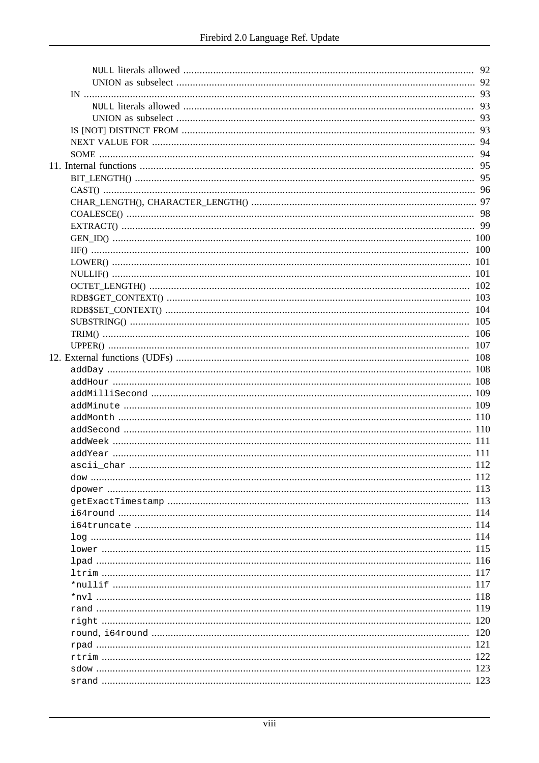|                                                                                                                 | 96  |
|-----------------------------------------------------------------------------------------------------------------|-----|
|                                                                                                                 |     |
|                                                                                                                 |     |
|                                                                                                                 |     |
|                                                                                                                 |     |
|                                                                                                                 | 100 |
|                                                                                                                 |     |
|                                                                                                                 |     |
|                                                                                                                 |     |
|                                                                                                                 |     |
|                                                                                                                 | 104 |
|                                                                                                                 | 105 |
|                                                                                                                 |     |
|                                                                                                                 |     |
|                                                                                                                 |     |
|                                                                                                                 |     |
|                                                                                                                 |     |
|                                                                                                                 |     |
|                                                                                                                 |     |
|                                                                                                                 |     |
|                                                                                                                 |     |
|                                                                                                                 |     |
|                                                                                                                 |     |
|                                                                                                                 |     |
|                                                                                                                 |     |
|                                                                                                                 | 112 |
|                                                                                                                 |     |
|                                                                                                                 | 113 |
|                                                                                                                 |     |
|                                                                                                                 |     |
|                                                                                                                 |     |
|                                                                                                                 |     |
| 116 magacarta ang ang taon na manangang manang manang manang manang manang manang manang manang manang manang m |     |
|                                                                                                                 |     |
|                                                                                                                 |     |
|                                                                                                                 |     |
|                                                                                                                 |     |
|                                                                                                                 |     |
|                                                                                                                 |     |
|                                                                                                                 |     |
|                                                                                                                 |     |
|                                                                                                                 |     |
|                                                                                                                 |     |
|                                                                                                                 |     |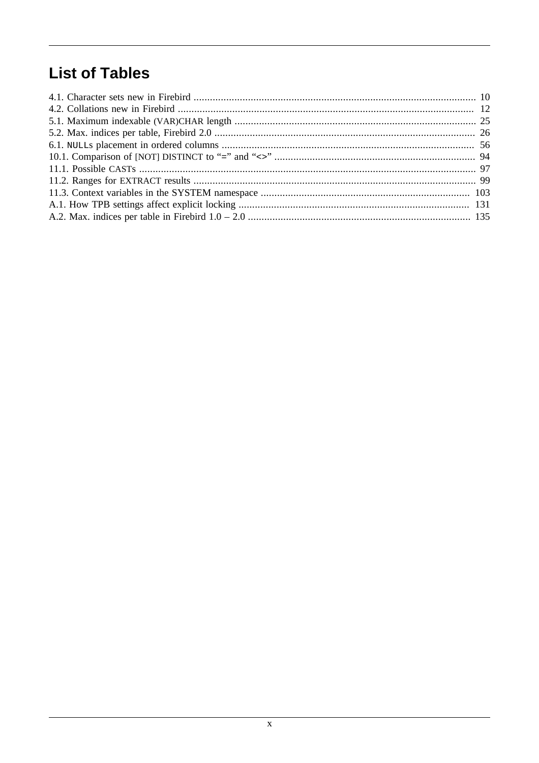## **List of Tables**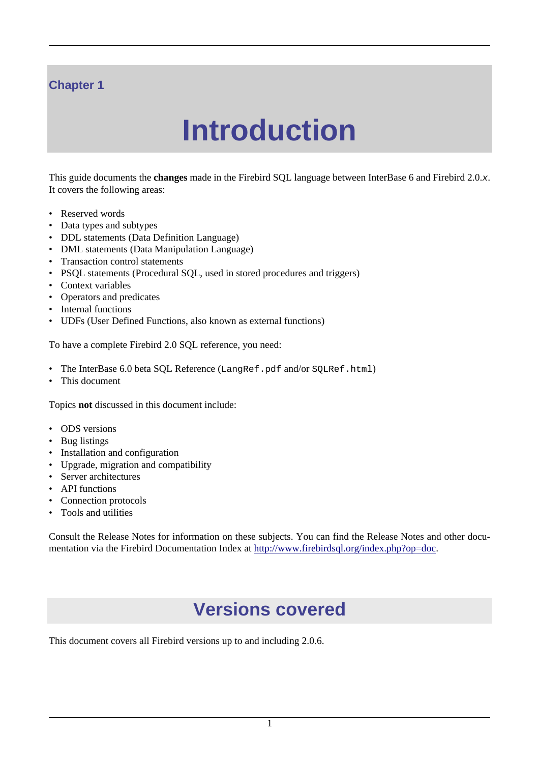#### <span id="page-10-0"></span>**Chapter 1**

# **Introduction**

This guide documents the **changes** made in the Firebird SQL language between InterBase 6 and Firebird 2.0.x. It covers the following areas:

- Reserved words
- Data types and subtypes
- DDL statements (Data Definition Language)
- DML statements (Data Manipulation Language)
- Transaction control statements
- PSQL statements (Procedural SQL, used in stored procedures and triggers)
- Context variables
- Operators and predicates
- Internal functions
- UDFs (User Defined Functions, also known as external functions)

To have a complete Firebird 2.0 SQL reference, you need:

- The InterBase 6.0 beta SQL Reference (LangRef.pdf and/or SQLRef.html)
- This document

Topics **not** discussed in this document include:

- ODS versions
- Bug listings
- Installation and configuration
- Upgrade, migration and compatibility
- Server architectures
- API functions
- Connection protocols
- Tools and utilities

<span id="page-10-1"></span>Consult the Release Notes for information on these subjects. You can find the Release Notes and other documentation via the Firebird Documentation Index at<http://www.firebirdsql.org/index.php?op=doc>.

## **Versions covered**

This document covers all Firebird versions up to and including 2.0.6.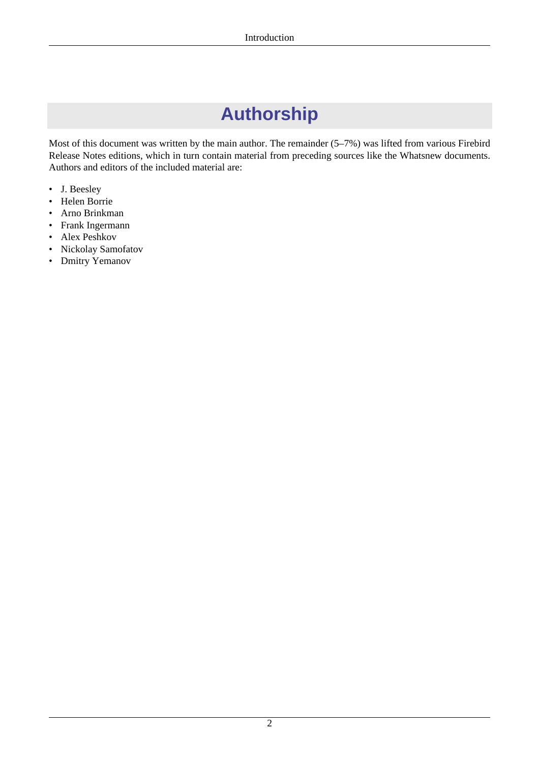# **Authorship**

<span id="page-11-0"></span>Most of this document was written by the main author. The remainder (5–7%) was lifted from various Firebird Release Notes editions, which in turn contain material from preceding sources like the Whatsnew documents. Authors and editors of the included material are:

- J. Beesley
- Helen Borrie
- Arno Brinkman
- Frank Ingermann
- Alex Peshkov
- Nickolay Samofatov
- Dmitry Yemanov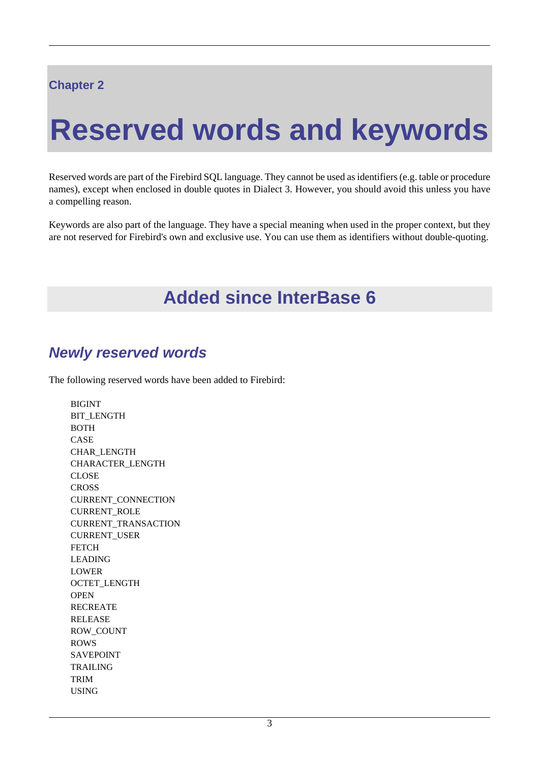#### <span id="page-12-0"></span>**Chapter 2**

# **Reserved words and keywords**

Reserved words are part of the Firebird SQL language. They cannot be used as identifiers (e.g. table or procedure names), except when enclosed in double quotes in Dialect 3. However, you should avoid this unless you have a compelling reason.

<span id="page-12-1"></span>Keywords are also part of the language. They have a special meaning when used in the proper context, but they are not reserved for Firebird's own and exclusive use. You can use them as identifiers without double-quoting.

## **Added since InterBase 6**

## <span id="page-12-2"></span>**Newly reserved words**

The following reserved words have been added to Firebird:

BIGINT BIT\_LENGTH BOTH CASE CHAR\_LENGTH CHARACTER\_LENGTH CLOSE **CROSS** CURRENT\_CONNECTION CURRENT\_ROLE CURRENT\_TRANSACTION CURRENT\_USER **FETCH** LEADING LOWER OCTET\_LENGTH **OPEN** RECREATE RELEASE ROW\_COUNT ROWS SAVEPOINT TRAILING TRIM USING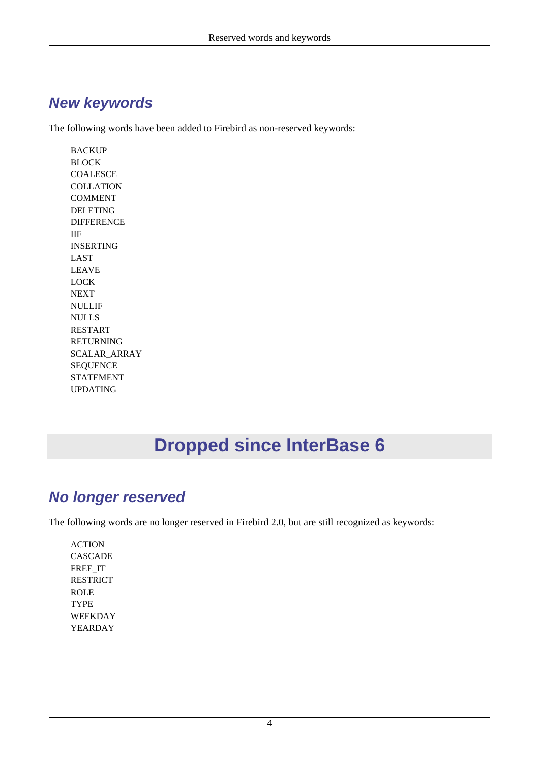#### <span id="page-13-0"></span>**New keywords**

The following words have been added to Firebird as non-reserved keywords:

**BACKUP** BLOCK **COALESCE COLLATION** COMMENT DELETING DIFFERENCE IIF INSERTING LAST LEAVE LOCK **NEXT** NULLIF NULLS RESTART RETURNING SCALAR\_ARRAY SEQUENCE STATEMENT UPDATING

# **Dropped since InterBase 6**

## <span id="page-13-2"></span><span id="page-13-1"></span>**No longer reserved**

The following words are no longer reserved in Firebird 2.0, but are still recognized as keywords:

ACTION CASCADE FREE\_IT RESTRICT ROLE TYPE WEEKDAY YEARDAY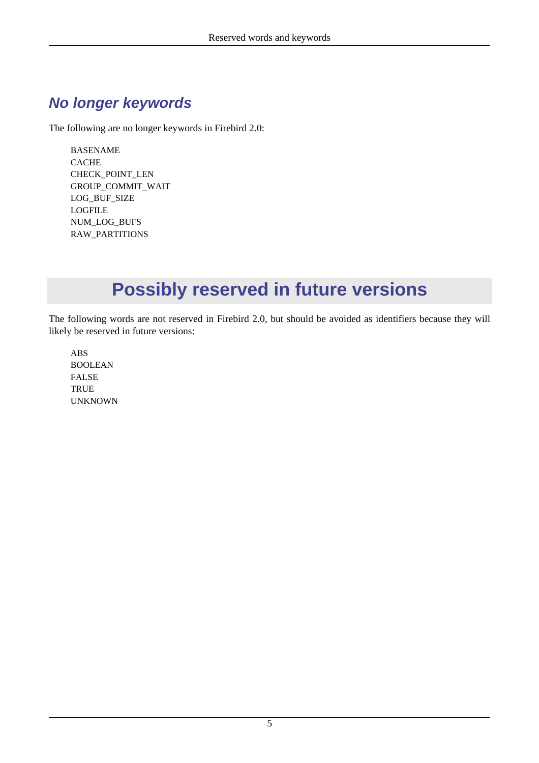## <span id="page-14-0"></span>**No longer keywords**

The following are no longer keywords in Firebird 2.0:

BASENAME CACHE CHECK\_POINT\_LEN GROUP\_COMMIT\_WAIT LOG\_BUF\_SIZE LOGFILE NUM\_LOG\_BUFS RAW\_PARTITIONS

# **Possibly reserved in future versions**

<span id="page-14-1"></span>The following words are not reserved in Firebird 2.0, but should be avoided as identifiers because they will likely be reserved in future versions:

ABS BOOLEAN FALSE TRUE UNKNOWN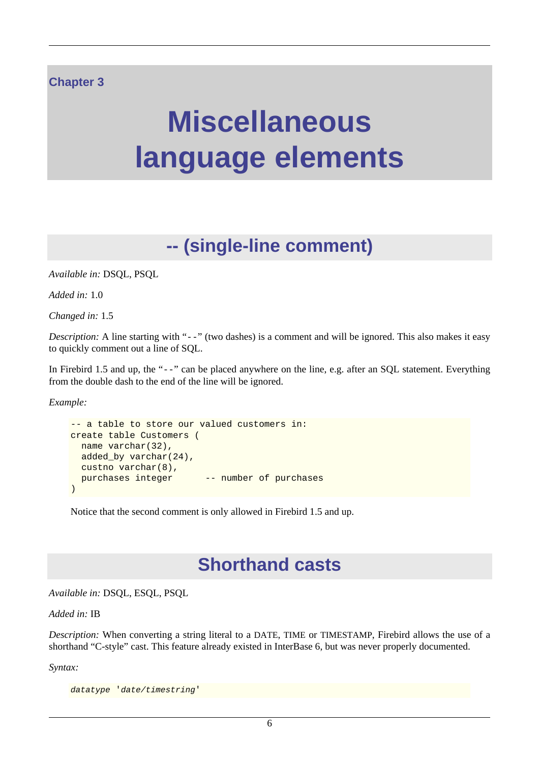#### <span id="page-15-0"></span>**Chapter 3**

# **Miscellaneous language elements**

# **-- (single-line comment)**

<span id="page-15-1"></span>*Available in:* DSQL, PSQL

*Added in:* 1.0

*Changed in:* 1.5

*Description:* A line starting with "--" (two dashes) is a comment and will be ignored. This also makes it easy to quickly comment out a line of SQL.

In Firebird 1.5 and up, the "--" can be placed anywhere on the line, e.g. after an SQL statement. Everything from the double dash to the end of the line will be ignored.

*Example:*

```
-- a table to store our valued customers in:
create table Customers (
  name varchar(32),
  added_by varchar(24),
  custno varchar(8),
 purchases integer -- number of purchases
)
```
<span id="page-15-2"></span>Notice that the second comment is only allowed in Firebird 1.5 and up.

## **Shorthand casts**

*Available in:* DSQL, ESQL, PSQL

#### *Added in:* IB

*Description:* When converting a string literal to a DATE, TIME or TIMESTAMP, Firebird allows the use of a shorthand "C-style" cast. This feature already existed in InterBase 6, but was never properly documented.

*Syntax:*

datatype 'date/timestring'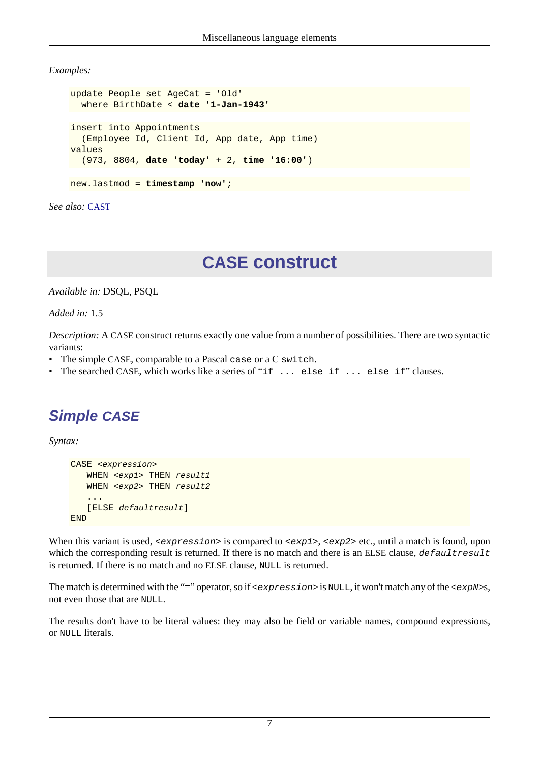*Examples:*

```
update People set AgeCat = 'Old'
  where BirthDate < date '1-Jan-1943'
insert into Appointments
   (Employee_Id, Client_Id, App_date, App_time)
values
   (973, 8804, date 'today' + 2, time '16:00')
new.lastmod = timestamp 'now';
```
<span id="page-16-0"></span>*See also:* [CAST](#page-105-0)

## **CASE construct**

*Available in:* DSQL, PSQL

*Added in:* 1.5

*Description:* A CASE construct returns exactly one value from a number of possibilities. There are two syntactic variants:

- The simple CASE, comparable to a Pascal case or a C switch.
- <span id="page-16-1"></span>• The searched CASE, which works like a series of "if ... else if ... else if" clauses.

## **Simple CASE**

*Syntax:*

```
CASE <expression>
   WHEN <exp1> THEN result1
   WHEN <exp2> THEN result2
    ...
    [ELSE defaultresult]
END
```
When this variant is used,  $\langle$  expression> is compared to  $\langle$  exp1>,  $\langle$  exp2> etc., until a match is found, upon which the corresponding result is returned. If there is no match and there is an ELSE clause, defaultresult is returned. If there is no match and no ELSE clause, NULL is returned.

The match is determined with the "=" operator, so if  $\leq$   $\leq$   $\leq$   $\leq$   $\leq$   $\leq$   $\leq$   $\leq$   $\leq$   $\leq$   $\leq$   $\leq$   $\leq$   $\leq$   $\leq$   $\leq$   $\leq$   $\leq$   $\leq$   $\leq$   $\leq$   $\leq$   $\leq$   $\leq$   $\leq$   $\leq$   $\leq$   $\leq$  not even those that are NULL.

The results don't have to be literal values: they may also be field or variable names, compound expressions, or NULL literals.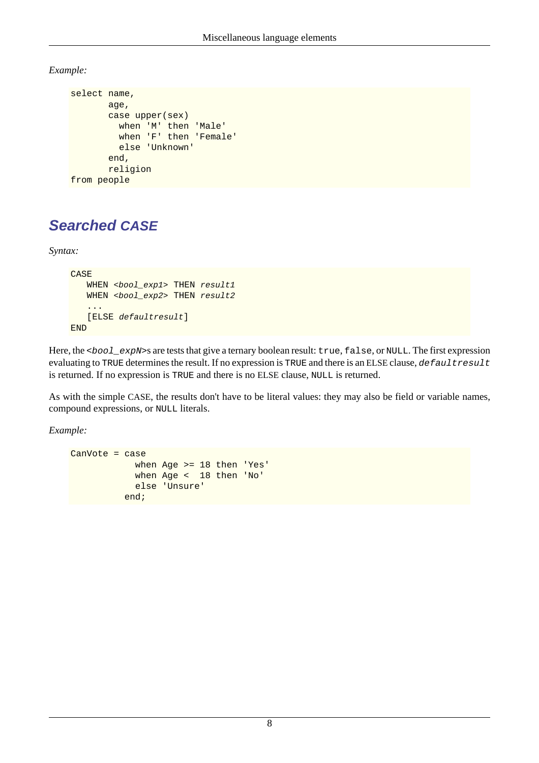*Example:*

```
select name,
        age,
        case upper(sex)
          when 'M' then 'Male'
          when 'F' then 'Female'
          else 'Unknown'
        end,
        religion
from people
```
## <span id="page-17-0"></span>**Searched CASE**

*Syntax:*

```
CASE
   WHEN <bool exp1> THEN result1
   WHEN <br/>bool_exp2> THEN result2
    ...
    [ELSE defaultresult]
END
```
Here, the <bool\_expN>s are tests that give a ternary boolean result: true, false, or NULL. The first expression evaluating to TRUE determines the result. If no expression is TRUE and there is an ELSE clause, defaultresult is returned. If no expression is TRUE and there is no ELSE clause, NULL is returned.

As with the simple CASE, the results don't have to be literal values: they may also be field or variable names, compound expressions, or NULL literals.

*Example:*

```
CanVote = case
             when Age >= 18 then 'Yes'
             when Age < 18 then 'No'
             else 'Unsure'
           end;
```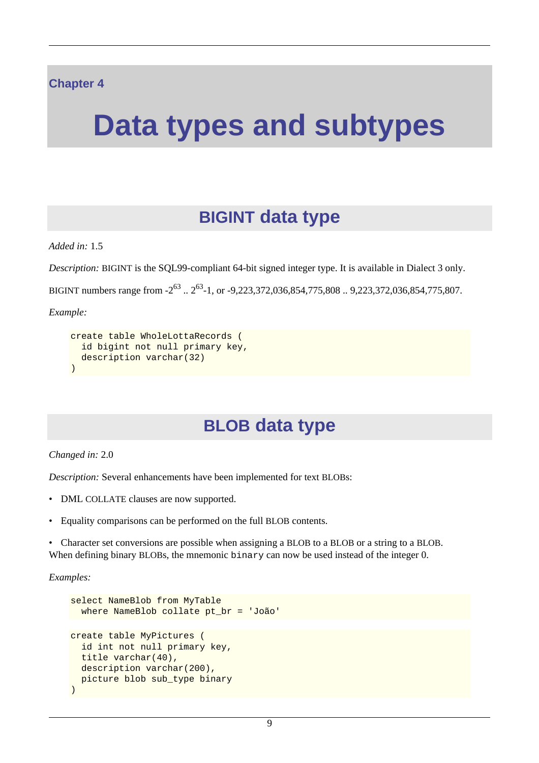#### <span id="page-18-0"></span>**Chapter 4**

# <span id="page-18-1"></span>**Data types and subtypes**

## **BIGINT data type**

*Added in:* 1.5

*Description:* BIGINT is the SQL99-compliant 64-bit signed integer type. It is available in Dialect 3 only.

BIGINT numbers range from -2<sup>63</sup> .. 2<sup>63</sup>-1, or -9,223,372,036,854,775,808 .. 9,223,372,036,854,775,807.

*Example:*

```
create table WholeLottaRecords (
  id bigint not null primary key,
  description varchar(32)
)
```
## **BLOB data type**

*Changed in:* 2.0

*Description:* Several enhancements have been implemented for text BLOBs:

- DML COLLATE clauses are now supported.
- Equality comparisons can be performed on the full BLOB contents.

• Character set conversions are possible when assigning a BLOB to a BLOB or a string to a BLOB. When defining binary BLOBs, the mnemonic binary can now be used instead of the integer 0.

*Examples:*

```
select NameBlob from MyTable
  where NameBlob collate pt_br = 'João'
create table MyPictures (
  id int not null primary key,
  title varchar(40),
 description varchar(200),
  picture blob sub_type binary
)
```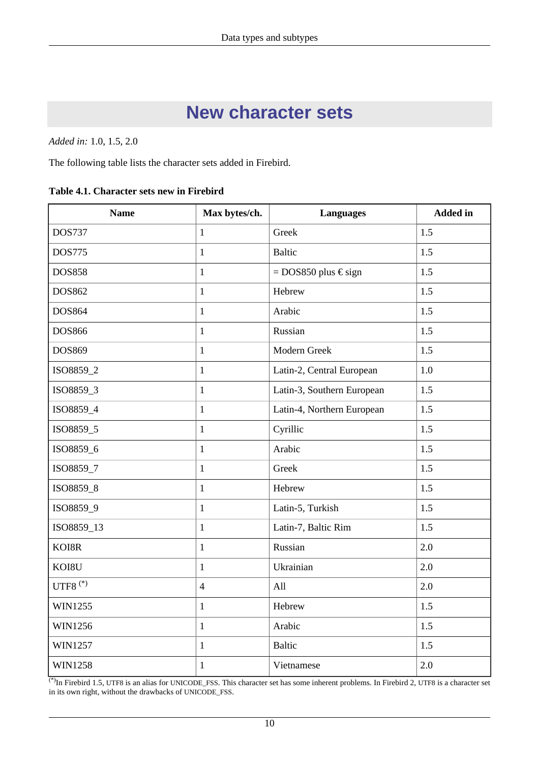## **New character sets**

<span id="page-19-0"></span>*Added in:* 1.0, 1.5, 2.0

The following table lists the character sets added in Firebird.

<span id="page-19-1"></span>

|  | Table 4.1. Character sets new in Firebird |  |  |  |
|--|-------------------------------------------|--|--|--|
|--|-------------------------------------------|--|--|--|

| <b>Name</b>    | Max bytes/ch.  | <b>Languages</b>           | <b>Added</b> in |  |
|----------------|----------------|----------------------------|-----------------|--|
| <b>DOS737</b>  | $\mathbf{1}$   | Greek                      | 1.5             |  |
| <b>DOS775</b>  | $\mathbf{1}$   | <b>Baltic</b>              | 1.5             |  |
| <b>DOS858</b>  | $\mathbf{1}$   | $=$ DOS850 plus $\in$ sign | 1.5             |  |
| DOS862         | $\mathbf{1}$   | Hebrew                     | 1.5             |  |
| DOS864         | $\mathbf{1}$   | Arabic                     | 1.5             |  |
| <b>DOS866</b>  | $\mathbf{1}$   | Russian                    | 1.5             |  |
| DOS869         | $\mathbf{1}$   | Modern Greek               | 1.5             |  |
| ISO8859_2      | $\mathbf{1}$   | Latin-2, Central European  | 1.0             |  |
| ISO8859_3      | $\mathbf{1}$   | Latin-3, Southern European | 1.5             |  |
| ISO8859_4      | $\mathbf{1}$   | Latin-4, Northern European | 1.5             |  |
| ISO8859_5      | $\mathbf{1}$   | Cyrillic                   | 1.5             |  |
| ISO8859_6      | $\mathbf{1}$   | Arabic                     | 1.5             |  |
| ISO8859_7      | $\mathbf{1}$   | Greek                      | 1.5             |  |
| ISO8859_8      | $\mathbf{1}$   | Hebrew                     | 1.5             |  |
| ISO8859_9      | $\mathbf{1}$   | Latin-5, Turkish           | 1.5             |  |
| ISO8859_13     | $\mathbf{1}$   | Latin-7, Baltic Rim        | 1.5             |  |
| KOI8R          | $\mathbf{1}$   | Russian                    | 2.0             |  |
| KOI8U          | $\mathbf{1}$   | Ukrainian                  | 2.0             |  |
| UTF8 $(*)$     | $\overline{4}$ | All                        | 2.0             |  |
| WIN1255        | $\mathbf{1}$   | Hebrew                     | 1.5             |  |
| WIN1256        | $\mathbf{1}$   | Arabic                     | 1.5             |  |
| WIN1257        | $\mathbf{1}$   | <b>Baltic</b>              | 1.5             |  |
| <b>WIN1258</b> | $\mathbf{1}$   | Vietnamese                 | 2.0             |  |

<sup>(\*)</sup>In Firebird 1.5, UTF8 is an alias for UNICODE\_FSS. This character set has some inherent problems. In Firebird 2, UTF8 is a character set in its own right, without the drawbacks of UNICODE\_FSS.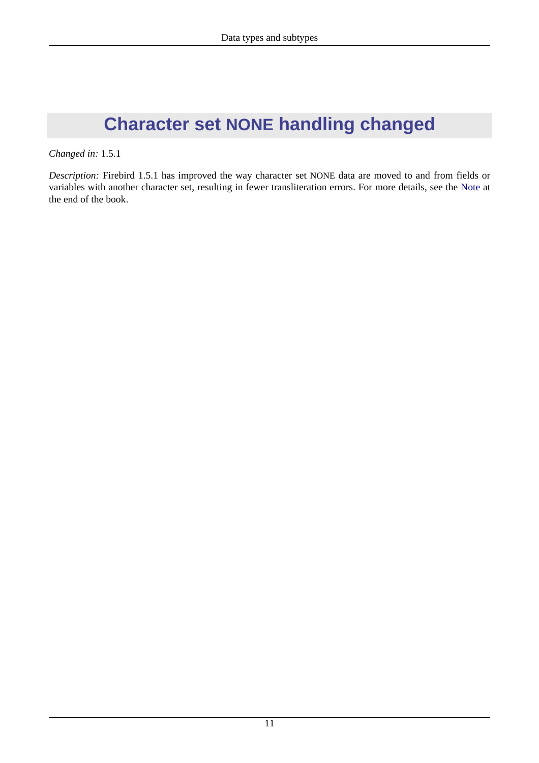# <span id="page-20-0"></span>**Character set NONE handling changed**

*Changed in:* 1.5.1

*Description:* Firebird 1.5.1 has improved the way character set NONE data are moved to and from fields or variables with another character set, resulting in fewer transliteration errors. For more details, see the [Note](#page-138-1) at the end of the book.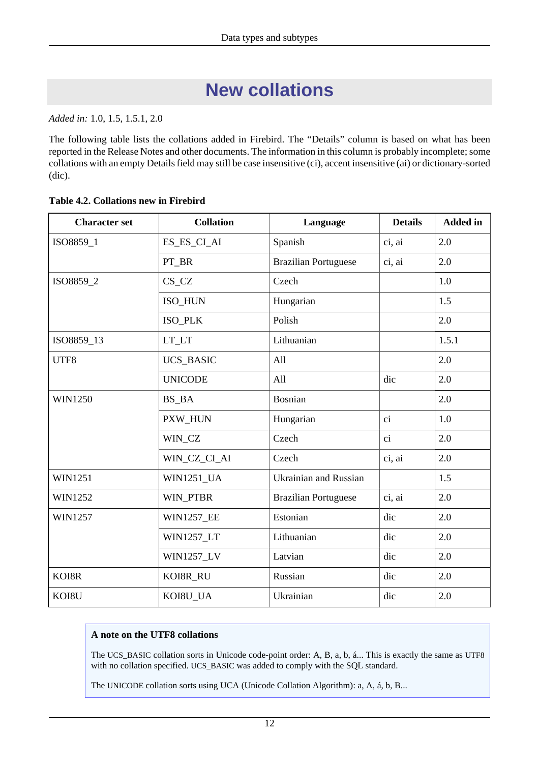# **New collations**

<span id="page-21-0"></span>*Added in:* 1.0, 1.5, 1.5.1, 2.0

The following table lists the collations added in Firebird. The "Details" column is based on what has been reported in the Release Notes and other documents. The information in this column is probably incomplete; some collations with an empty Details field may still be case insensitive (ci), accent insensitive (ai) or dictionary-sorted (dic).

| <b>Collation</b><br><b>Character set</b><br>Language |                   | <b>Details</b>               | <b>Added in</b> |       |
|------------------------------------------------------|-------------------|------------------------------|-----------------|-------|
| ISO8859_1                                            | ES_ES_CI_AI       | Spanish                      | ci, ai          | 2.0   |
|                                                      | PT_BR             | <b>Brazilian Portuguese</b>  | ci, ai          | 2.0   |
| ISO8859_2                                            | $CS_CZ$           | Czech                        |                 | 1.0   |
|                                                      | ISO_HUN           | Hungarian                    |                 | 1.5   |
|                                                      | ISO_PLK           | Polish                       |                 | 2.0   |
| ISO8859_13                                           | $LT_LTT$          | Lithuanian                   |                 | 1.5.1 |
| UTF8                                                 | <b>UCS_BASIC</b>  | All                          |                 | 2.0   |
|                                                      | <b>UNICODE</b>    | All                          | dic             | 2.0   |
| <b>WIN1250</b>                                       | BS_BA             | Bosnian                      |                 | 2.0   |
|                                                      | PXW_HUN           | Hungarian                    | $\overline{c}$  | 1.0   |
|                                                      | WIN_CZ            | Czech                        | ci              | 2.0   |
|                                                      | WIN_CZ_CI_AI      | Czech                        | ci, ai          | 2.0   |
| <b>WIN1251</b>                                       | <b>WIN1251_UA</b> | <b>Ukrainian and Russian</b> |                 | 1.5   |
| <b>WIN1252</b>                                       | WIN_PTBR          | <b>Brazilian Portuguese</b>  | ci, ai          | 2.0   |
| WIN1257                                              | <b>WIN1257_EE</b> | Estonian                     | dic             | 2.0   |
|                                                      | WIN1257_LT        | Lithuanian                   | dic             | 2.0   |
|                                                      | <b>WIN1257_LV</b> | Latvian                      | dic             | 2.0   |
| KOI8R                                                | KOI8R_RU          | Russian                      | dic             | 2.0   |
| KOI8U                                                | KOI8U_UA          | Ukrainian                    | dic             | 2.0   |

#### <span id="page-21-1"></span>**Table 4.2. Collations new in Firebird**

#### **A note on the UTF8 collations**

The UCS\_BASIC collation sorts in Unicode code-point order: A, B, a, b, á... This is exactly the same as UTF8 with no collation specified. UCS\_BASIC was added to comply with the SQL standard.

The UNICODE collation sorts using UCA (Unicode Collation Algorithm): a, A, á, b, B...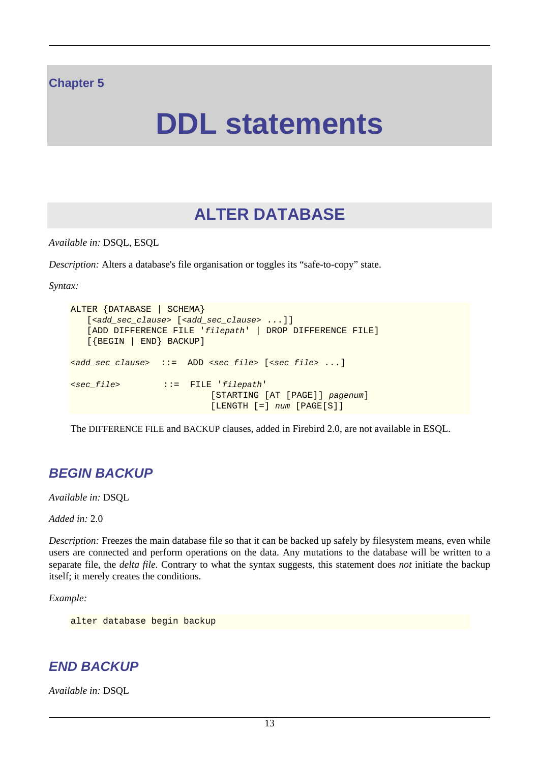#### <span id="page-22-0"></span>**Chapter 5**

# **DDL statements**

## **ALTER DATABASE**

<span id="page-22-1"></span>*Available in:* DSQL, ESQL

*Description:* Alters a database's file organisation or toggles its "safe-to-copy" state.

*Syntax:*

```
ALTER {DATABASE | SCHEMA}
   [<add_sec_clause> [<add_sec_clause> ...]]
    [ADD DIFFERENCE FILE 'filepath' | DROP DIFFERENCE FILE]
    [{BEGIN | END} BACKUP]
<add_sec_clause> ::= ADD <sec_file> [<sec_file> ...]
<sec_file> ::= FILE 'filepath'
                           [STARTING [AT [PAGE]] pagenum]
                           [LENGTH [=] num [PAGE[S]]
```
<span id="page-22-2"></span>The DIFFERENCE FILE and BACKUP clauses, added in Firebird 2.0, are not available in ESQL.

#### **BEGIN BACKUP**

*Available in:* DSQL

*Added in:* 2.0

*Description:* Freezes the main database file so that it can be backed up safely by filesystem means, even while users are connected and perform operations on the data. Any mutations to the database will be written to a separate file, the *delta file*. Contrary to what the syntax suggests, this statement does *not* initiate the backup itself; it merely creates the conditions.

*Example:*

<span id="page-22-3"></span>alter database begin backup

#### **END BACKUP**

*Available in:* DSQL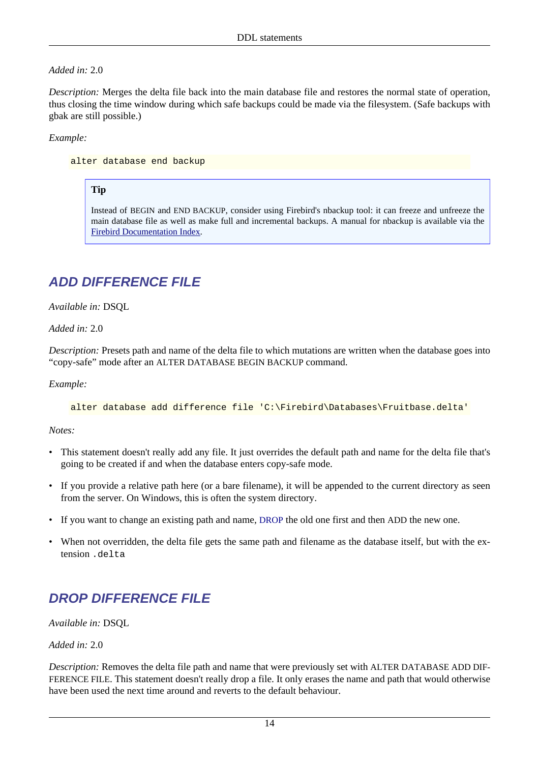#### *Added in:* 2.0

*Description:* Merges the delta file back into the main database file and restores the normal state of operation, thus closing the time window during which safe backups could be made via the filesystem. (Safe backups with gbak are still possible.)

#### *Example:*

alter database end backup

#### **Tip**

Instead of BEGIN and END BACKUP, consider using Firebird's nbackup tool: it can freeze and unfreeze the main database file as well as make full and incremental backups. A manual for nbackup is available via the [Firebird Documentation Index.](http://www.firebirdsql.org/index.php?op=doc)

### <span id="page-23-0"></span>**ADD DIFFERENCE FILE**

*Available in:* DSQL

*Added in:* 2.0

*Description:* Presets path and name of the delta file to which mutations are written when the database goes into "copy-safe" mode after an ALTER DATABASE BEGIN BACKUP command.

*Example:*

alter database add difference file 'C:\Firebird\Databases\Fruitbase.delta'

*Notes:*

- This statement doesn't really add any file. It just overrides the default path and name for the delta file that's going to be created if and when the database enters copy-safe mode.
- If you provide a relative path here (or a bare filename), it will be appended to the current directory as seen from the server. On Windows, this is often the system directory.
- If you want to change an existing path and name, [DROP](#page-23-1) the old one first and then ADD the new one.
- <span id="page-23-1"></span>• When not overridden, the delta file gets the same path and filename as the database itself, but with the extension .delta

#### **DROP DIFFERENCE FILE**

*Available in:* DSQL

*Added in:* 2.0

*Description:* Removes the delta file path and name that were previously set with ALTER DATABASE ADD DIF-FERENCE FILE. This statement doesn't really drop a file. It only erases the name and path that would otherwise have been used the next time around and reverts to the default behaviour.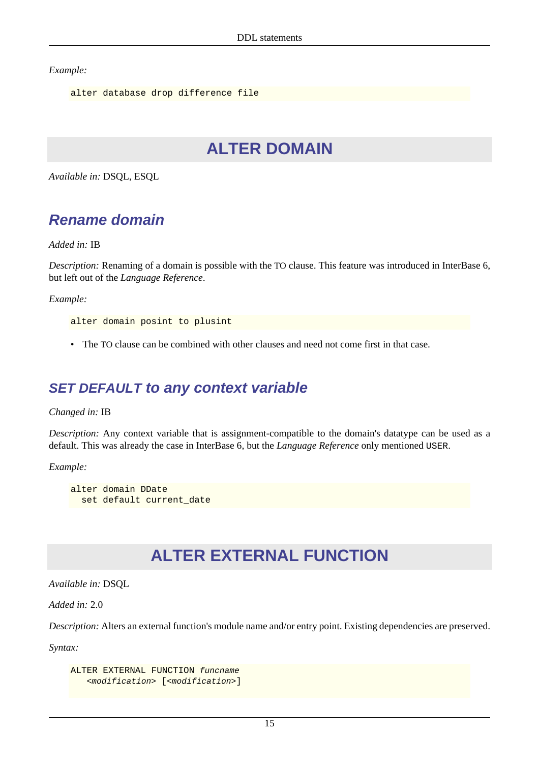*Example:*

```
alter database drop difference file
```
## **ALTER DOMAIN**

<span id="page-24-1"></span>*Available in:* DSQL, ESQL

## **Rename domain**

*Added in:* IB

*Description:* Renaming of a domain is possible with the TO clause. This feature was introduced in InterBase 6, but left out of the *Language Reference*.

*Example:*

alter domain posint to plusint

<span id="page-24-2"></span>• The TO clause can be combined with other clauses and need not come first in that case.

### **SET DEFAULT to any context variable**

*Changed in:* IB

*Description:* Any context variable that is assignment-compatible to the domain's datatype can be used as a default. This was already the case in InterBase 6, but the *Language Reference* only mentioned USER.

*Example:*

```
alter domain DDate
  set default current_date
```
## **ALTER EXTERNAL FUNCTION**

*Available in:* DSQL

*Added in:* 2.0

*Description:* Alters an external function's module name and/or entry point. Existing dependencies are preserved.

*Syntax:*

```
ALTER EXTERNAL FUNCTION funcname
    <modification> [<modification>]
```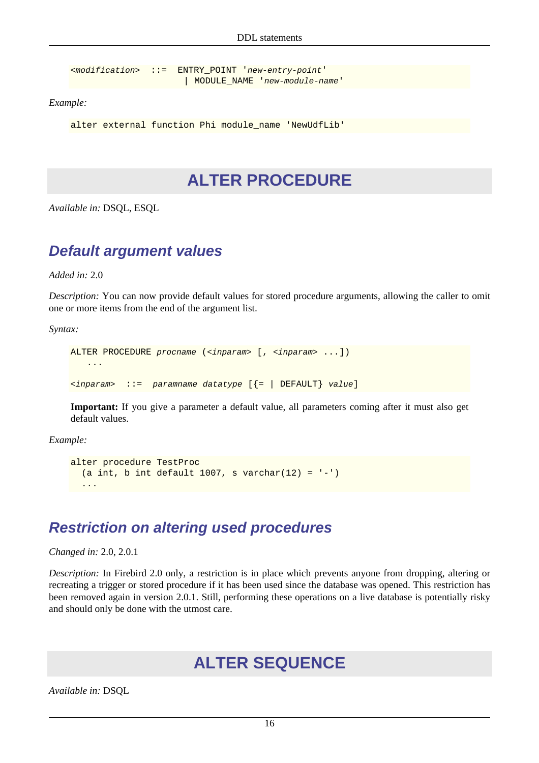<modification> ::= ENTRY\_POINT 'new-entry-point' | MODULE\_NAME 'new-module-name'

*Example:*

<span id="page-25-0"></span>alter external function Phi module name 'NewUdfLib'

## **ALTER PROCEDURE**

<span id="page-25-1"></span>*Available in:* DSQL, ESQL

#### **Default argument values**

*Added in:* 2.0

*Description:* You can now provide default values for stored procedure arguments, allowing the caller to omit one or more items from the end of the argument list.

*Syntax:*

```
ALTER PROCEDURE procname (<inparam> [, <inparam> ...])
     ...
\langleinparam> ::= paramname datatype [\{\text{= } \mid DEFAULT} value]
```
**Important:** If you give a parameter a default value, all parameters coming after it must also get default values.

*Example:*

```
alter procedure TestProc
  (a int, b int default 1007, s varchar(12) = ' - ')
 ...
```
### <span id="page-25-2"></span>**Restriction on altering used procedures**

*Changed in:* 2.0, 2.0.1

<span id="page-25-3"></span>*Description:* In Firebird 2.0 only, a restriction is in place which prevents anyone from dropping, altering or recreating a trigger or stored procedure if it has been used since the database was opened. This restriction has been removed again in version 2.0.1. Still, performing these operations on a live database is potentially risky and should only be done with the utmost care.

## **ALTER SEQUENCE**

*Available in:* DSQL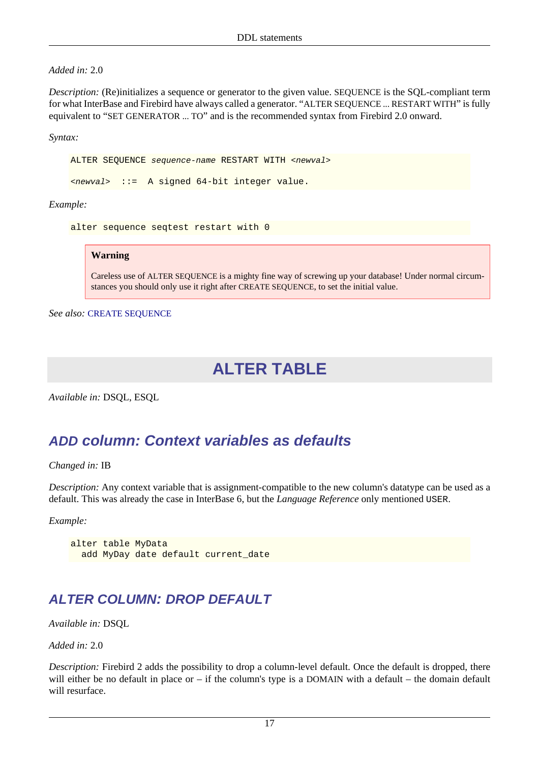#### *Added in:* 2.0

*Description:* (Re)initializes a sequence or generator to the given value. SEQUENCE is the SQL-compliant term for what InterBase and Firebird have always called a generator. "ALTER SEQUENCE ... RESTART WITH" is fully equivalent to "SET GENERATOR ... TO" and is the recommended syntax from Firebird 2.0 onward.

*Syntax:*

ALTER SEQUENCE sequence-name RESTART WITH <newval>

<newval> ::= A signed 64-bit integer value.

*Example:*

```
alter sequence seqtest restart with 0
```
#### **Warning**

Careless use of ALTER SEQUENCE is a mighty fine way of screwing up your database! Under normal circumstances you should only use it right after CREATE SEQUENCE, to set the initial value.

<span id="page-26-0"></span>*See also:* [CREATE SEQUENCE](#page-36-0)

## **ALTER TABLE**

<span id="page-26-1"></span>*Available in:* DSQL, ESQL

#### **ADD column: Context variables as defaults**

#### *Changed in:* IB

*Description:* Any context variable that is assignment-compatible to the new column's datatype can be used as a default. This was already the case in InterBase 6, but the *Language Reference* only mentioned USER.

*Example:*

```
alter table MyData
  add MyDay date default current_date
```
#### <span id="page-26-2"></span>**ALTER COLUMN: DROP DEFAULT**

*Available in:* DSQL

*Added in:* 2.0

*Description:* Firebird 2 adds the possibility to drop a column-level default. Once the default is dropped, there will either be no default in place or – if the column's type is a DOMAIN with a default – the domain default will resurface.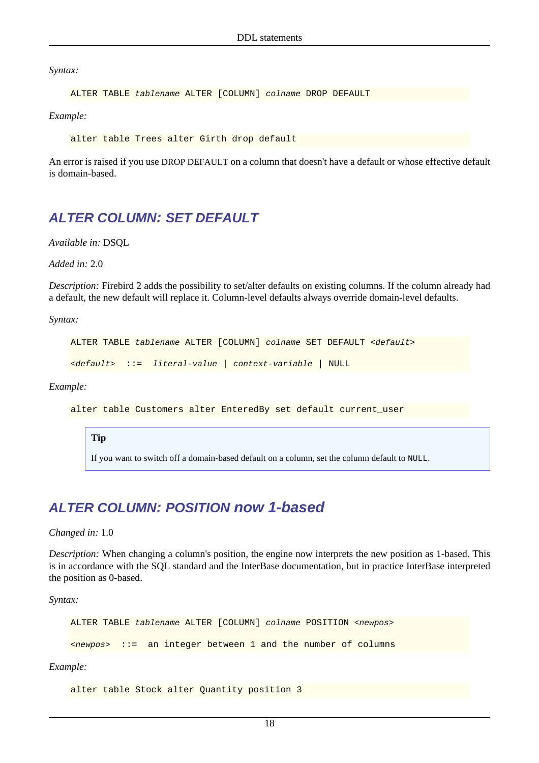*Syntax:*

```
ALTER TABLE tablename ALTER [COLUMN] colname DROP DEFAULT
```
*Example:*

alter table Trees alter Girth drop default

<span id="page-27-0"></span>An error is raised if you use DROP DEFAULT on a column that doesn't have a default or whose effective default is domain-based.

#### **ALTER COLUMN: SET DEFAULT**

*Available in:* DSQL

*Added in:* 2.0

*Description:* Firebird 2 adds the possibility to set/alter defaults on existing columns. If the column already had a default, the new default will replace it. Column-level defaults always override domain-level defaults.

*Syntax:*

```
ALTER TABLE tablename ALTER [COLUMN] colname SET DEFAULT <default>
```

```
<default> ::= literal-value | context-variable | NULL
```
*Example:*

alter table Customers alter EnteredBy set default current\_user

#### **Tip**

If you want to switch off a domain-based default on a column, set the column default to NULL.

#### <span id="page-27-1"></span>**ALTER COLUMN: POSITION now 1-based**

#### *Changed in:* 1.0

*Description:* When changing a column's position, the engine now interprets the new position as 1-based. This is in accordance with the SQL standard and the InterBase documentation, but in practice InterBase interpreted the position as 0-based.

*Syntax:*

ALTER TABLE tablename ALTER [COLUMN] colname POSITION <newpos>

<newpos> ::= an integer between 1 and the number of columns

*Example:*

alter table Stock alter Quantity position 3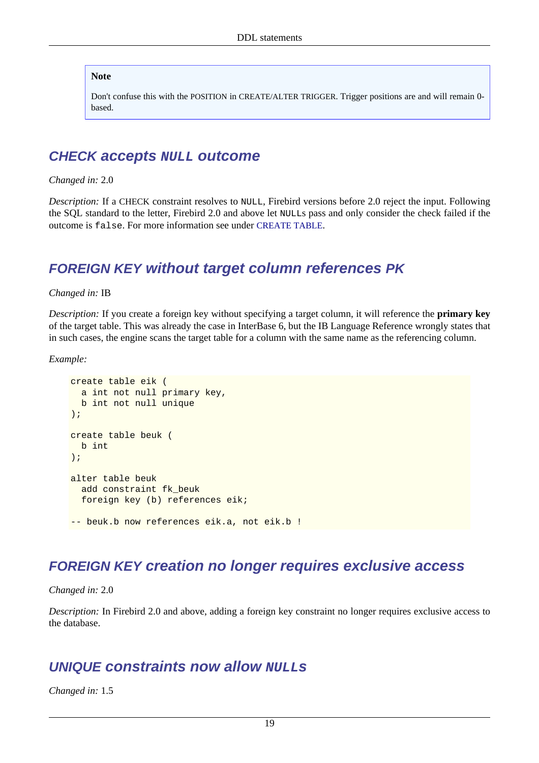#### **Note**

Don't confuse this with the POSITION in CREATE/ALTER TRIGGER. Trigger positions are and will remain 0 based.

#### <span id="page-28-0"></span>**CHECK accepts NULL outcome**

*Changed in:* 2.0

*Description:* If a CHECK constraint resolves to NULL, Firebird versions before 2.0 reject the input. Following the SQL standard to the letter, Firebird 2.0 and above let NULLs pass and only consider the check failed if the outcome is false. For more information see under [CREATE TABLE](#page-36-2).

#### <span id="page-28-1"></span>**FOREIGN KEY without target column references PK**

*Changed in:* IB

*Description:* If you create a foreign key without specifying a target column, it will reference the **primary key** of the target table. This was already the case in InterBase 6, but the IB Language Reference wrongly states that in such cases, the engine scans the target table for a column with the same name as the referencing column.

*Example:*

```
create table eik (
  a int not null primary key,
  b int not null unique
);
create table beuk (
  b int
);
alter table beuk
  add constraint fk_beuk
  foreign key (b) references eik;
-- beuk.b now references eik.a, not eik.b !
```
#### <span id="page-28-2"></span>**FOREIGN KEY creation no longer requires exclusive access**

*Changed in:* 2.0

<span id="page-28-3"></span>*Description:* In Firebird 2.0 and above, adding a foreign key constraint no longer requires exclusive access to the database.

#### **UNIQUE** constraints now allow **NULL**<sub>s</sub>

*Changed in:* 1.5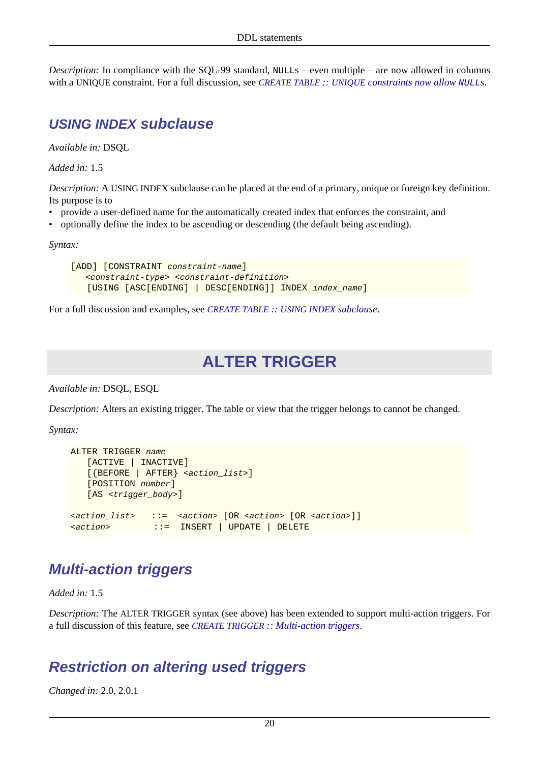<span id="page-29-0"></span>*Description:* In compliance with the SQL-99 standard, NULLs – even multiple – are now allowed in columns with a UNIQUE constraint. For a full discussion, see *CREATE TABLE :: UNIQUE [constraints now allow](#page-38-1)* NULL*s*.

#### **USING INDEX subclause**

*Available in:* DSQL

*Added in:* 1.5

*Description:* A USING INDEX subclause can be placed at the end of a primary, unique or foreign key definition. Its purpose is to

- provide a user-defined name for the automatically created index that enforces the constraint, and
- optionally define the index to be ascending or descending (the default being ascending).

*Syntax:*

```
[ADD] [CONSTRAINT constraint-name]
   <constraint-type> <constraint-definition>
    [USING [ASC[ENDING] | DESC[ENDING]] INDEX index_name]
```
<span id="page-29-1"></span>For a full discussion and examples, see *[CREATE TABLE](#page-38-2) :: USING INDEX subclause*.

## **ALTER TRIGGER**

*Available in:* DSQL, ESQL

*Description:* Alters an existing trigger. The table or view that the trigger belongs to cannot be changed.

*Syntax:*

```
ALTER TRIGGER name
    [ACTIVE | INACTIVE]
    [{BEFORE | AFTER} <action_list>]
    [POSITION number]
    [AS <trigger_body>]
<action_list> ::= <action> [OR <action> [OR <action>]]
<action> ::= INSERT | UPDATE | DELETE
```
### <span id="page-29-2"></span>**Multi-action triggers**

*Added in:* 1.5

<span id="page-29-3"></span>*Description:* The ALTER TRIGGER syntax (see above) has been extended to support multi-action triggers. For a full discussion of this feature, see *CREATE TRIGGER [:: Multi-action triggers](#page-40-0)*.

#### **Restriction on altering used triggers**

*Changed in:* 2.0, 2.0.1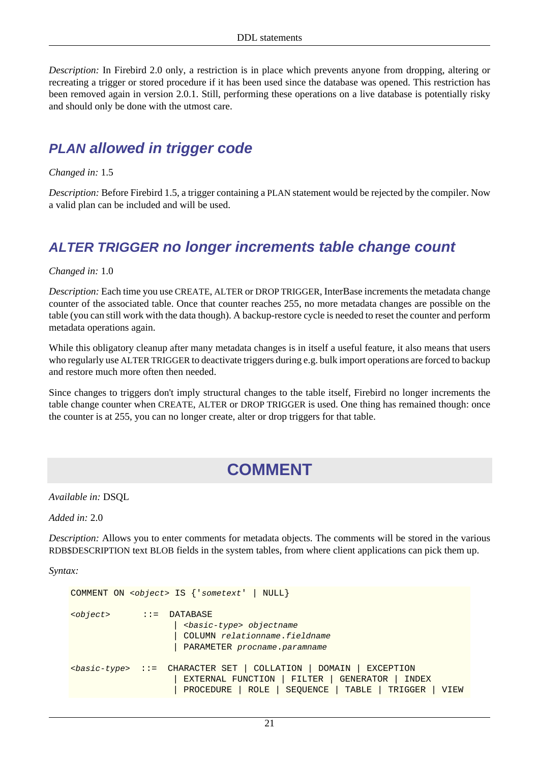*Description:* In Firebird 2.0 only, a restriction is in place which prevents anyone from dropping, altering or recreating a trigger or stored procedure if it has been used since the database was opened. This restriction has been removed again in version 2.0.1. Still, performing these operations on a live database is potentially risky and should only be done with the utmost care.

#### <span id="page-30-0"></span>**PLAN allowed in trigger code**

*Changed in:* 1.5

<span id="page-30-1"></span>*Description:* Before Firebird 1.5, a trigger containing a PLAN statement would be rejected by the compiler. Now a valid plan can be included and will be used.

#### **ALTER TRIGGER no longer increments table change count**

*Changed in:* 1.0

*Description:* Each time you use CREATE, ALTER or DROP TRIGGER, InterBase increments the metadata change counter of the associated table. Once that counter reaches 255, no more metadata changes are possible on the table (you can still work with the data though). A backup-restore cycle is needed to reset the counter and perform metadata operations again.

While this obligatory cleanup after many metadata changes is in itself a useful feature, it also means that users who regularly use ALTER TRIGGER to deactivate triggers during e.g. bulk import operations are forced to backup and restore much more often then needed.

<span id="page-30-2"></span>Since changes to triggers don't imply structural changes to the table itself, Firebird no longer increments the table change counter when CREATE, ALTER or DROP TRIGGER is used. One thing has remained though: once the counter is at 255, you can no longer create, alter or drop triggers for that table.

## **COMMENT**

*Available in:* DSQL

*Added in:* 2.0

*Description:* Allows you to enter comments for metadata objects. The comments will be stored in the various RDB\$DESCRIPTION text BLOB fields in the system tables, from where client applications can pick them up.

*Syntax:*

```
COMMENT ON <object> IS {'sometext' | NULL}
<object> ::= DATABASE
                       | <basic-type> objectname
                       | COLUMN relationname.fieldname
                    | PARAMETER procname.paramname
<basic-type> ::= CHARACTER SET | COLLATION | DOMAIN | EXCEPTION
                       | EXTERNAL FUNCTION | FILTER | GENERATOR | INDEX
                       | PROCEDURE | ROLE | SEQUENCE | TABLE | TRIGGER | VIEW
```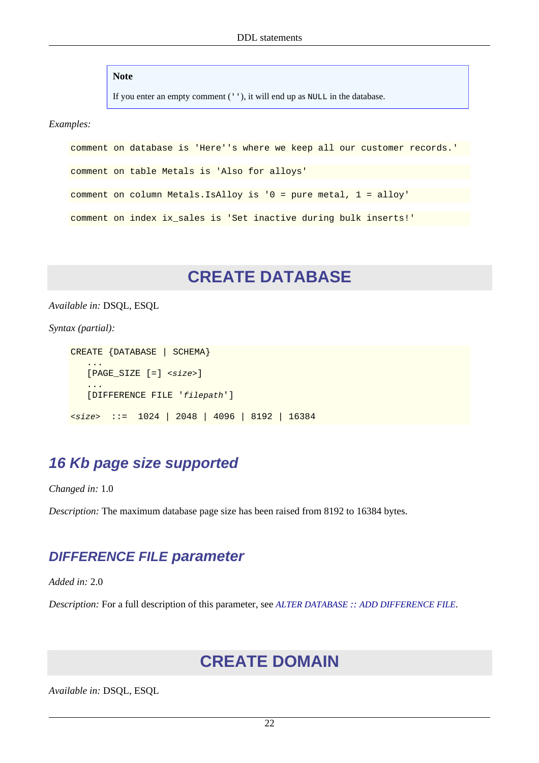**Note**

If you enter an empty comment (''), it will end up as NULL in the database.

*Examples:*

```
comment on database is 'Here''s where we keep all our customer records.'
comment on table Metals is 'Also for alloys'
comment on column Metals.IsAlloy is '0 = pure metal, 1 = alloy'
comment on index ix_sales is 'Set inactive during bulk inserts!'
```
## **CREATE DATABASE**

<span id="page-31-0"></span>*Available in:* DSQL, ESQL

*Syntax (partial):*

```
CREATE {DATABASE | SCHEMA}
 ...
   [PAGE SIZE [-] < size>]
 ...
    [DIFFERENCE FILE 'filepath']
<size> ::= 1024 | 2048 | 4096 | 8192 | 16384
```
#### <span id="page-31-1"></span>**16 Kb page size supported**

*Changed in:* 1.0

<span id="page-31-2"></span>*Description:* The maximum database page size has been raised from 8192 to 16384 bytes.

#### **DIFFERENCE FILE parameter**

*Added in:* 2.0

<span id="page-31-3"></span>*Description:* For a full description of this parameter, see *ALTER DATABASE :: [ADD DIFFERENCE FILE](#page-23-0)*.

## **CREATE DOMAIN**

*Available in:* DSQL, ESQL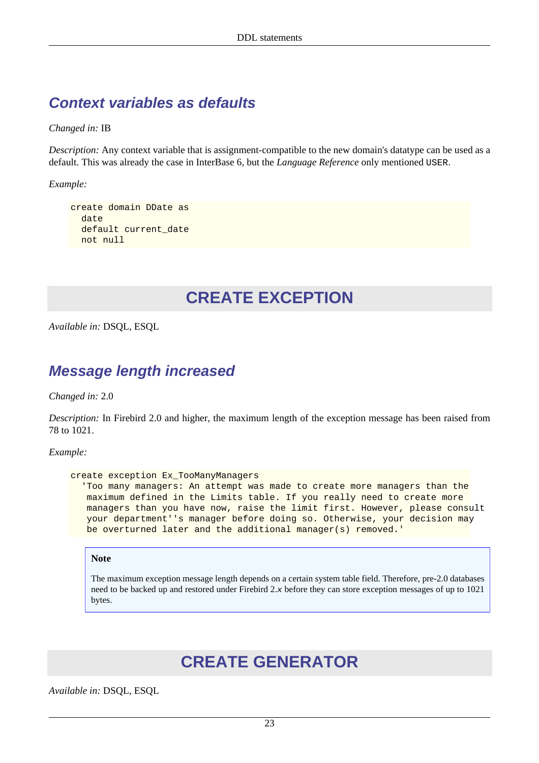## <span id="page-32-0"></span>**Context variables as defaults**

*Changed in:* IB

*Description:* Any context variable that is assignment-compatible to the new domain's datatype can be used as a default. This was already the case in InterBase 6, but the *Language Reference* only mentioned USER.

*Example:*

```
create domain DDate as
   date
   default current_date
  not null
```
## **CREATE EXCEPTION**

<span id="page-32-2"></span>*Available in:* DSQL, ESQL

#### **Message length increased**

*Changed in:* 2.0

*Description:* In Firebird 2.0 and higher, the maximum length of the exception message has been raised from 78 to 1021.

*Example:*

```
create exception Ex_TooManyManagers
   'Too many managers: An attempt was made to create more managers than the
   maximum defined in the Limits table. If you really need to create more
   managers than you have now, raise the limit first. However, please consult
    your department''s manager before doing so. Otherwise, your decision may
    be overturned later and the additional manager(s) removed.'
```
**Note**

<span id="page-32-3"></span>The maximum exception message length depends on a certain system table field. Therefore, pre-2.0 databases need to be backed up and restored under Firebird 2.x before they can store exception messages of up to 1021 bytes.

## **CREATE GENERATOR**

*Available in:* DSQL, ESQL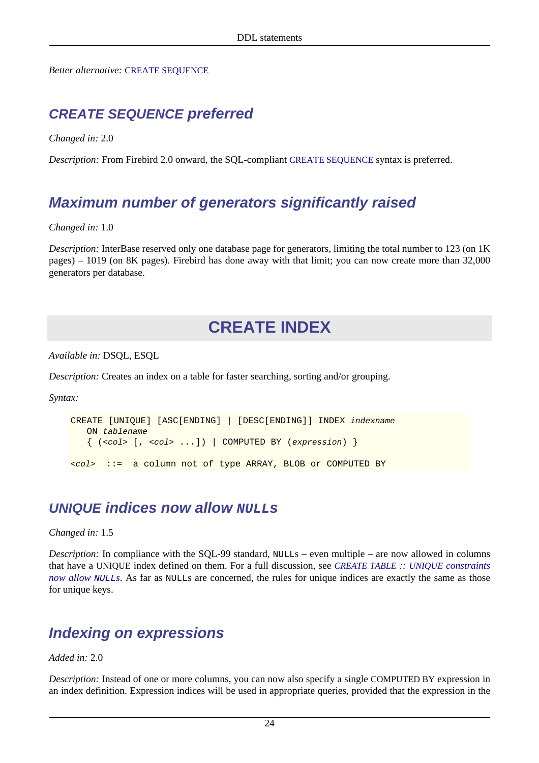<span id="page-33-0"></span>*Better alternative:* [CREATE SEQUENCE](#page-36-0)

### **CREATE SEQUENCE preferred**

*Changed in:* 2.0

<span id="page-33-1"></span>*Description:* From Firebird 2.0 onward, the SQL-compliant [CREATE SEQUENCE](#page-36-0) syntax is preferred.

## **Maximum number of generators significantly raised**

*Changed in:* 1.0

<span id="page-33-2"></span>*Description:* InterBase reserved only one database page for generators, limiting the total number to 123 (on 1K) pages) – 1019 (on 8K pages). Firebird has done away with that limit; you can now create more than 32,000 generators per database.

## **CREATE INDEX**

*Available in:* DSQL, ESQL

*Description:* Creates an index on a table for faster searching, sorting and/or grouping.

*Syntax:*

```
CREATE [UNIQUE] [ASC[ENDING] | [DESC[ENDING]] INDEX indexname
    ON tablename
   \{ ( < \text{col} > [ , < \text{col} > ... ] ) \mid \text{COMPUTED BY } (expression) \}<col> ::= a column not of type ARRAY, BLOB or COMPUTED BY
```
#### <span id="page-33-3"></span>**UNIQUE indices now allow NULLs**

*Changed in:* 1.5

*Description:* In compliance with the SQL-99 standard, NULLs – even multiple – are now allowed in columns that have a UNIQUE index defined on them. For a full discussion, see *[CREATE TABLE](#page-38-1) :: UNIQUE constraints [now allow](#page-38-1)* NULL*s*. As far as NULLs are concerned, the rules for unique indices are exactly the same as those for unique keys.

## <span id="page-33-4"></span>**Indexing on expressions**

*Added in:* 2.0

*Description:* Instead of one or more columns, you can now also specify a single COMPUTED BY expression in an index definition. Expression indices will be used in appropriate queries, provided that the expression in the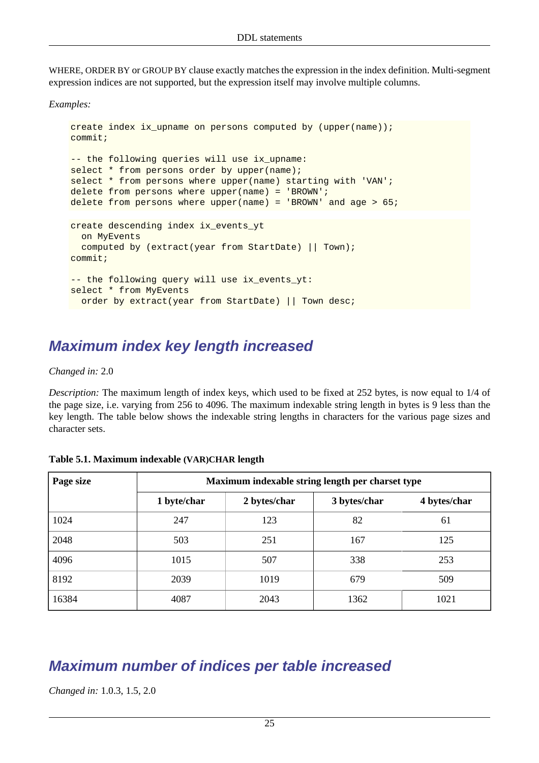WHERE, ORDER BY or GROUP BY clause exactly matches the expression in the index definition. Multi-segment expression indices are not supported, but the expression itself may involve multiple columns.

*Examples:*

```
create index ix upname on persons computed by (upper(name));
commit;
-- the following queries will use ix_upname:
select * from persons order by upper(name);
select * from persons where upper(name) starting with 'VAN';
delete from persons where upper(name) = 'BROWN';
delete from persons where upper(name) = 'BROWN' and age > 65;
create descending index ix_events_yt
  on MyEvents
  computed by (extract(year from StartDate) || Town);
commit;
-- the following query will use ix_events_yt:
select * from MyEvents
  order by extract(year from StartDate) || Town desc;
```
### <span id="page-34-0"></span>**Maximum index key length increased**

*Changed in:* 2.0

*Description:* The maximum length of index keys, which used to be fixed at 252 bytes, is now equal to 1/4 of the page size, i.e. varying from 256 to 4096. The maximum indexable string length in bytes is 9 less than the key length. The table below shows the indexable string lengths in characters for the various page sizes and character sets.

| Page size | Maximum indexable string length per charset type |              |              |              |  |
|-----------|--------------------------------------------------|--------------|--------------|--------------|--|
|           | 1 byte/char                                      | 2 bytes/char | 3 bytes/char | 4 bytes/char |  |
| 1024      | 247                                              | 123          | 82           | 61           |  |
| 2048      | 503                                              | 251          | 167          | 125          |  |
| 4096      | 1015                                             | 507          | 338          | 253          |  |
| 8192      | 2039                                             | 1019         | 679          | 509          |  |
| 16384     | 4087                                             | 2043         | 1362         | 1021         |  |

<span id="page-34-2"></span>

| Table 5.1. Maximum indexable (VAR)CHAR length |  |  |  |
|-----------------------------------------------|--|--|--|
|-----------------------------------------------|--|--|--|

#### <span id="page-34-1"></span>**Maximum number of indices per table increased**

*Changed in:* 1.0.3, 1.5, 2.0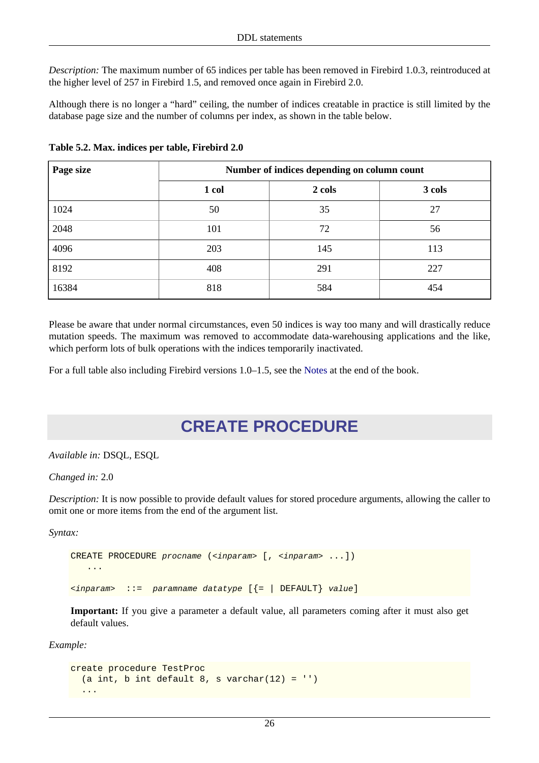*Description:* The maximum number of 65 indices per table has been removed in Firebird 1.0.3, reintroduced at the higher level of 257 in Firebird 1.5, and removed once again in Firebird 2.0.

Although there is no longer a "hard" ceiling, the number of indices creatable in practice is still limited by the database page size and the number of columns per index, as shown in the table below.

| Page size | Number of indices depending on column count |        |        |
|-----------|---------------------------------------------|--------|--------|
|           | 1 col                                       | 2 cols | 3 cols |
| 1024      | 50                                          | 35     | 27     |
| 2048      | 101                                         | 72     | 56     |
| 4096      | 203                                         | 145    | 113    |
| 8192      | 408                                         | 291    | 227    |
| 16384     | 818                                         | 584    | 454    |

<span id="page-35-1"></span>**Table 5.2. Max. indices per table, Firebird 2.0**

Please be aware that under normal circumstances, even 50 indices is way too many and will drastically reduce mutation speeds. The maximum was removed to accommodate data-warehousing applications and the like, which perform lots of bulk operations with the indices temporarily inactivated.

<span id="page-35-0"></span>For a full table also including Firebird versions 1.0–1.5, see the [Notes](#page-144-0) at the end of the book.

## **CREATE PROCEDURE**

*Available in:* DSQL, ESQL

*Changed in:* 2.0

*Description:* It is now possible to provide default values for stored procedure arguments, allowing the caller to omit one or more items from the end of the argument list.

*Syntax:*

```
CREATE PROCEDURE procname (<inparam> [, <inparam> ...])
    ...
\langleinparam> ::= paramname datatype [\{\text{=} | DEFAULT} value]
```
**Important:** If you give a parameter a default value, all parameters coming after it must also get default values.

*Example:*

```
create procedure TestProc
  (a int, b int default 8, s varchar(12) = \cdots)
 ...
```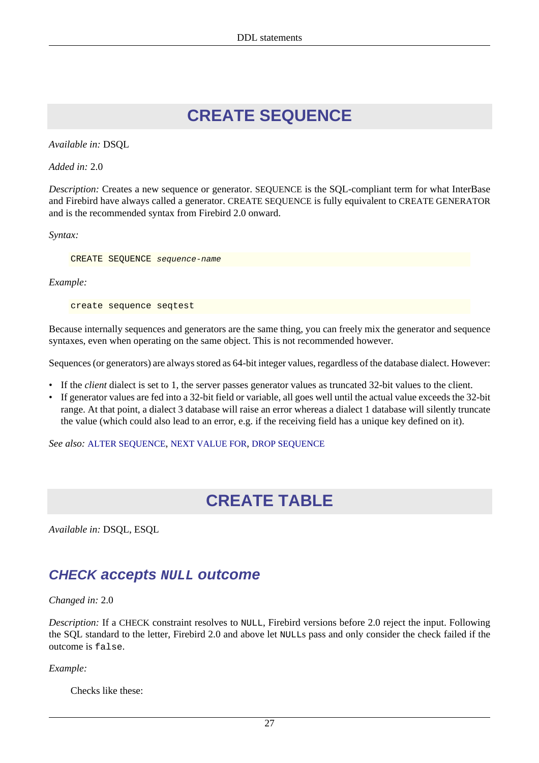## **CREATE SEQUENCE**

<span id="page-36-0"></span>*Available in:* DSQL

*Added in:* 2.0

*Description:* Creates a new sequence or generator. SEQUENCE is the SQL-compliant term for what InterBase and Firebird have always called a generator. CREATE SEQUENCE is fully equivalent to CREATE GENERATOR and is the recommended syntax from Firebird 2.0 onward.

*Syntax:*

CREATE SEQUENCE sequence-name

*Example:*

create sequence seqtest

Because internally sequences and generators are the same thing, you can freely mix the generator and sequence syntaxes, even when operating on the same object. This is not recommended however.

Sequences (or generators) are always stored as 64-bit integer values, regardless of the database dialect. However:

- If the *client* dialect is set to 1, the server passes generator values as truncated 32-bit values to the client.
- If generator values are fed into a 32-bit field or variable, all goes well until the actual value exceeds the 32-bit range. At that point, a dialect 3 database will raise an error whereas a dialect 1 database will silently truncate the value (which could also lead to an error, e.g. if the receiving field has a unique key defined on it).

<span id="page-36-1"></span>*See also:* [ALTER SEQUENCE](#page-25-0), [NEXT VALUE FOR](#page-103-0), [DROP SEQUENCE](#page-46-0)

## **CREATE TABLE**

*Available in:* DSQL, ESQL

### **CHECK accepts NULL outcome**

*Changed in:* 2.0

*Description:* If a CHECK constraint resolves to NULL, Firebird versions before 2.0 reject the input. Following the SQL standard to the letter, Firebird 2.0 and above let NULLs pass and only consider the check failed if the outcome is false.

*Example:*

Checks like these: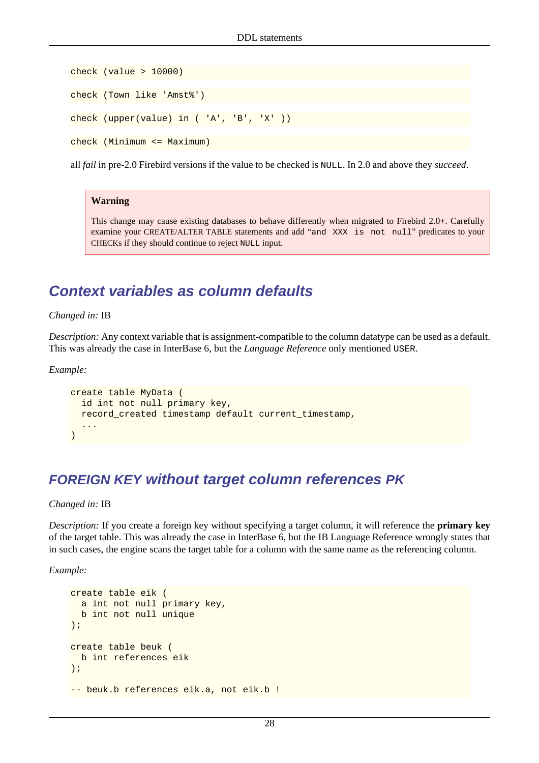```
check (value > 10000)
check (Town like 'Amst%')
check (upper(value) in ( 'A', 'B', 'X' ))
check (Minimum <= Maximum)
```
all *fail* in pre-2.0 Firebird versions if the value to be checked is NULL. In 2.0 and above they *succeed*.

#### **Warning**

This change may cause existing databases to behave differently when migrated to Firebird 2.0+. Carefully examine your CREATE/ALTER TABLE statements and add "and XXX is not null" predicates to your CHECKs if they should continue to reject NULL input.

### **Context variables as column defaults**

*Changed in:* IB

*Description:* Any context variable that is assignment-compatible to the column datatype can be used as a default. This was already the case in InterBase 6, but the *Language Reference* only mentioned USER.

*Example:*

```
create table MyData (
  id int not null primary key,
   record_created timestamp default current_timestamp,
 ...
)
```
### **FOREIGN KEY without target column references PK**

*Changed in:* IB

*Description:* If you create a foreign key without specifying a target column, it will reference the **primary key** of the target table. This was already the case in InterBase 6, but the IB Language Reference wrongly states that in such cases, the engine scans the target table for a column with the same name as the referencing column.

*Example:*

```
create table eik (
  a int not null primary key,
  b int not null unique
);
create table beuk (
  b int references eik
);
-- beuk.b references eik.a, not eik.b !
```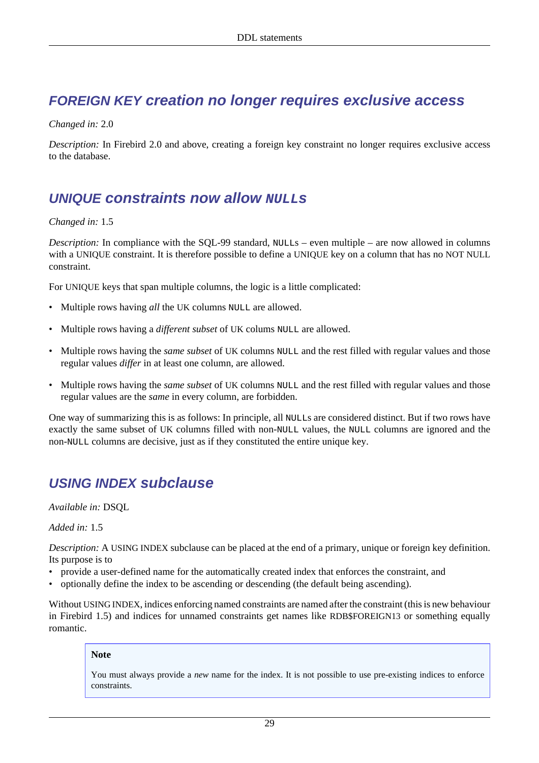### **FOREIGN KEY creation no longer requires exclusive access**

#### *Changed in:* 2.0

*Description:* In Firebird 2.0 and above, creating a foreign key constraint no longer requires exclusive access to the database.

### **UNIQUE** constraints now allow **NULL**<sub>s</sub>

#### *Changed in:* 1.5

*Description:* In compliance with the SQL-99 standard, NULLs – even multiple – are now allowed in columns with a UNIQUE constraint. It is therefore possible to define a UNIQUE key on a column that has no NOT NULL constraint.

For UNIQUE keys that span multiple columns, the logic is a little complicated:

- Multiple rows having *all* the UK columns NULL are allowed.
- Multiple rows having a *different subset* of UK colums NULL are allowed.
- Multiple rows having the *same subset* of UK columns NULL and the rest filled with regular values and those regular values *differ* in at least one column, are allowed.
- Multiple rows having the *same subset* of UK columns NULL and the rest filled with regular values and those regular values are the *same* in every column, are forbidden.

One way of summarizing this is as follows: In principle, all NULLs are considered distinct. But if two rows have exactly the same subset of UK columns filled with non-NULL values, the NULL columns are ignored and the non-NULL columns are decisive, just as if they constituted the entire unique key.

### **USING INDEX subclause**

*Available in:* DSQL

*Added in:* 1.5

*Description:* A USING INDEX subclause can be placed at the end of a primary, unique or foreign key definition. Its purpose is to

- provide a user-defined name for the automatically created index that enforces the constraint, and
- optionally define the index to be ascending or descending (the default being ascending).

Without USING INDEX, indices enforcing named constraints are named after the constraint (this is new behaviour in Firebird 1.5) and indices for unnamed constraints get names like RDB\$FOREIGN13 or something equally romantic.

#### **Note**

You must always provide a *new* name for the index. It is not possible to use pre-existing indices to enforce constraints.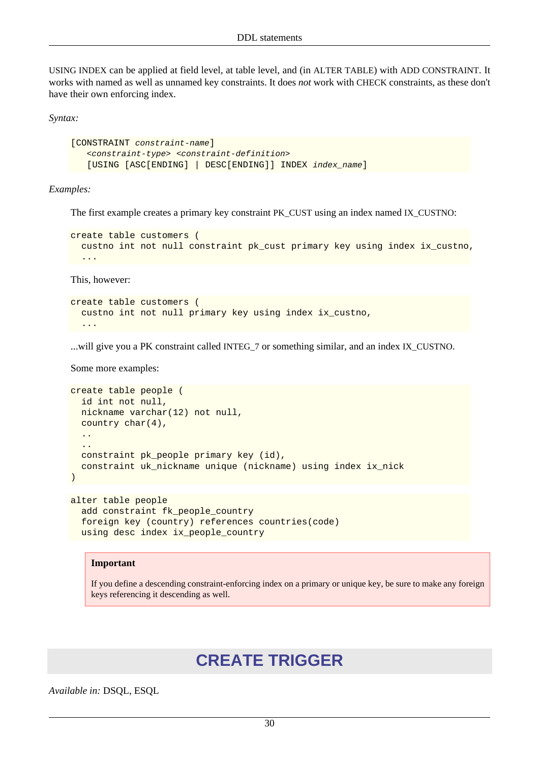USING INDEX can be applied at field level, at table level, and (in ALTER TABLE) with ADD CONSTRAINT. It works with named as well as unnamed key constraints. It does *not* work with CHECK constraints, as these don't have their own enforcing index.

*Syntax:*

```
[CONSTRAINT constraint-name]
    <constraint-type> <constraint-definition>
    [USING [ASC[ENDING] | DESC[ENDING]] INDEX index_name]
```
*Examples:*

The first example creates a primary key constraint PK\_CUST using an index named IX\_CUSTNO:

```
create table customers (
  custno int not null constraint pk_cust primary key using index ix_custno,
 ...
```
This, however:

```
create table customers (
  custno int not null primary key using index ix_custno,
 ...
```
...will give you a PK constraint called INTEG\_7 or something similar, and an index IX\_CUSTNO.

Some more examples:

```
create table people (
   id int not null,
   nickname varchar(12) not null,
   country char(4),
   ..
 ..
  constraint pk people primary key (id),
   constraint uk_nickname unique (nickname) using index ix_nick
)
```

```
alter table people
 add constraint fk people country
   foreign key (country) references countries(code)
  using desc index ix_people_country
```
#### **Important**

<span id="page-39-0"></span>If you define a descending constraint-enforcing index on a primary or unique key, be sure to make any foreign keys referencing it descending as well.

## **CREATE TRIGGER**

*Available in:* DSQL, ESQL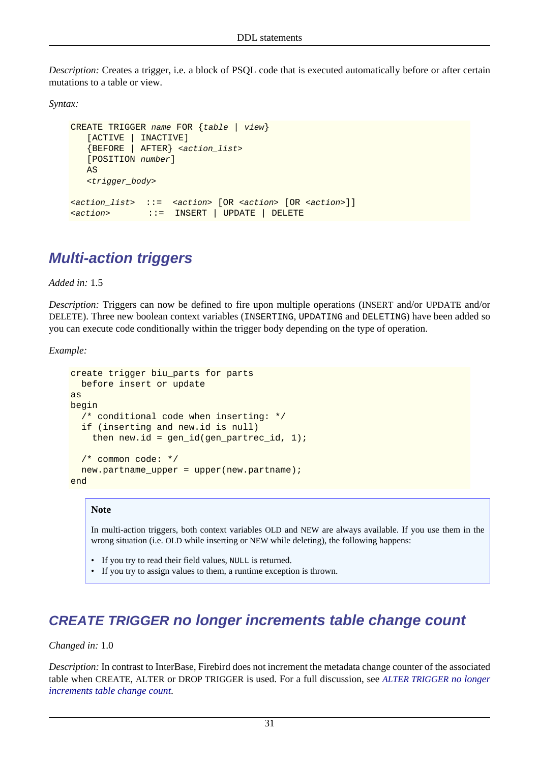*Description:* Creates a trigger, i.e. a block of PSQL code that is executed automatically before or after certain mutations to a table or view.

*Syntax:*

```
CREATE TRIGGER name FOR {table | view}
    [ACTIVE | INACTIVE]
    {BEFORE | AFTER} <action_list>
    [POSITION number]
    AS
    <trigger_body>
<action_list> ::= <action> [OR <action> [OR <action>]]
<action> ::= INSERT | UPDATE | DELETE
```
## **Multi-action triggers**

*Added in:* 1.5

*Description:* Triggers can now be defined to fire upon multiple operations (INSERT and/or UPDATE and/or DELETE). Three new boolean context variables (INSERTING, UPDATING and DELETING) have been added so you can execute code conditionally within the trigger body depending on the type of operation.

*Example:*

```
create trigger biu_parts for parts
  before insert or update
as
begin
   /* conditional code when inserting: */
  if (inserting and new.id is null)
    then new.id = gen_id(gen\_partrec_id, 1);
   /* common code: */
  new.partname_upper = upper(new.partname);
end
```
#### **Note**

In multi-action triggers, both context variables OLD and NEW are always available. If you use them in the wrong situation (i.e. OLD while inserting or NEW while deleting), the following happens:

- If you try to read their field values, NULL is returned.
- If you try to assign values to them, a runtime exception is thrown.

### **CREATE TRIGGER no longer increments table change count**

#### *Changed in:* 1.0

*Description:* In contrast to InterBase, Firebird does not increment the metadata change counter of the associated table when CREATE, ALTER or DROP TRIGGER is used. For a full discussion, see *[ALTER TRIGGER](#page-30-0) no longer [increments table change count](#page-30-0)*.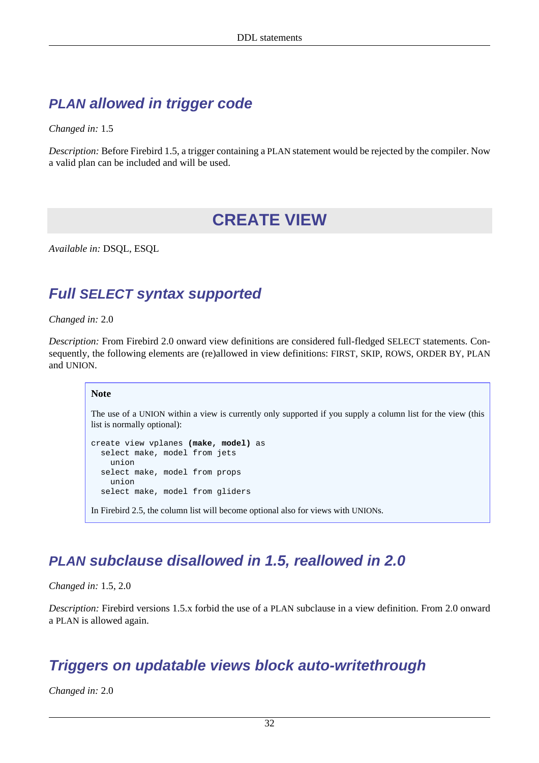## **PLAN allowed in trigger code**

*Changed in:* 1.5

<span id="page-41-1"></span>*Description:* Before Firebird 1.5, a trigger containing a PLAN statement would be rejected by the compiler. Now a valid plan can be included and will be used.

## **CREATE VIEW**

*Available in:* DSQL, ESQL

### **Full SELECT syntax supported**

*Changed in:* 2.0

*Description:* From Firebird 2.0 onward view definitions are considered full-fledged SELECT statements. Consequently, the following elements are (re)allowed in view definitions: FIRST, SKIP, ROWS, ORDER BY, PLAN and UNION.

#### **Note**

The use of a UNION within a view is currently only supported if you supply a column list for the view (this list is normally optional):

```
create view vplanes (make, model) as
   select make, model from jets
     union
   select make, model from props
     union
   select make, model from gliders
In Firebird 2.5, the column list will become optional also for views with UNIONs.
```
## **PLAN subclause disallowed in 1.5, reallowed in 2.0**

*Changed in:* 1.5, 2.0

<span id="page-41-0"></span>*Description:* Firebird versions 1.5.x forbid the use of a PLAN subclause in a view definition. From 2.0 onward a PLAN is allowed again.

### **Triggers on updatable views block auto-writethrough**

*Changed in:* 2.0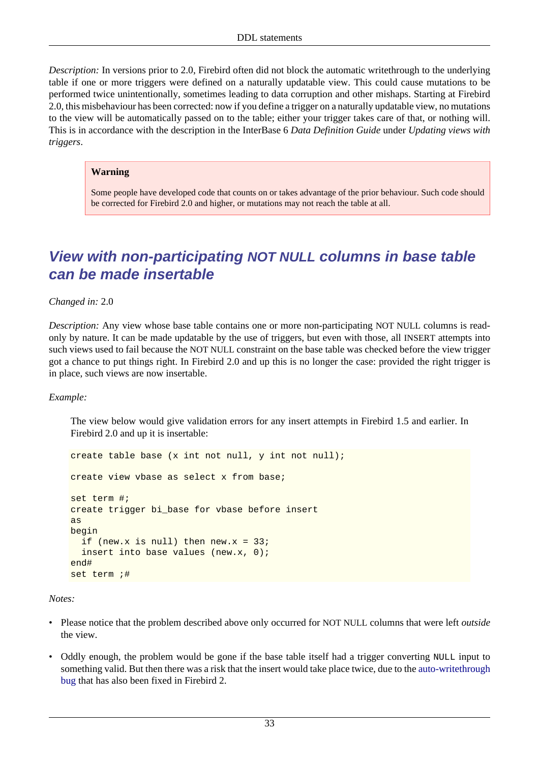*Description:* In versions prior to 2.0, Firebird often did not block the automatic writethrough to the underlying table if one or more triggers were defined on a naturally updatable view. This could cause mutations to be performed twice unintentionally, sometimes leading to data corruption and other mishaps. Starting at Firebird 2.0, this misbehaviour has been corrected: now if you define a trigger on a naturally updatable view, no mutations to the view will be automatically passed on to the table; either your trigger takes care of that, or nothing will. This is in accordance with the description in the InterBase 6 *Data Definition Guide* under *Updating views with triggers*.

#### **Warning**

Some people have developed code that counts on or takes advantage of the prior behaviour. Such code should be corrected for Firebird 2.0 and higher, or mutations may not reach the table at all.

### **View with non-participating NOT NULL columns in base table can be made insertable**

*Changed in:* 2.0

*Description:* Any view whose base table contains one or more non-participating NOT NULL columns is readonly by nature. It can be made updatable by the use of triggers, but even with those, all INSERT attempts into such views used to fail because the NOT NULL constraint on the base table was checked before the view trigger got a chance to put things right. In Firebird 2.0 and up this is no longer the case: provided the right trigger is in place, such views are now insertable.

#### *Example:*

The view below would give validation errors for any insert attempts in Firebird 1.5 and earlier. In Firebird 2.0 and up it is insertable:

```
create table base (x int not null, y int not null);
create view vbase as select x from base;
set term #;
create trigger bi_base for vbase before insert
as
begin
 if (new.x is null) then new.x = 33;
  insert into base values (new.x, 0);
end#
set term ;#
```
#### *Notes:*

- Please notice that the problem described above only occurred for NOT NULL columns that were left *outside* the view.
- Oddly enough, the problem would be gone if the base table itself had a trigger converting NULL input to something valid. But then there was a risk that the insert would take place twice, due to the [auto-writethrough](#page-41-0) [bug](#page-41-0) that has also been fixed in Firebird 2.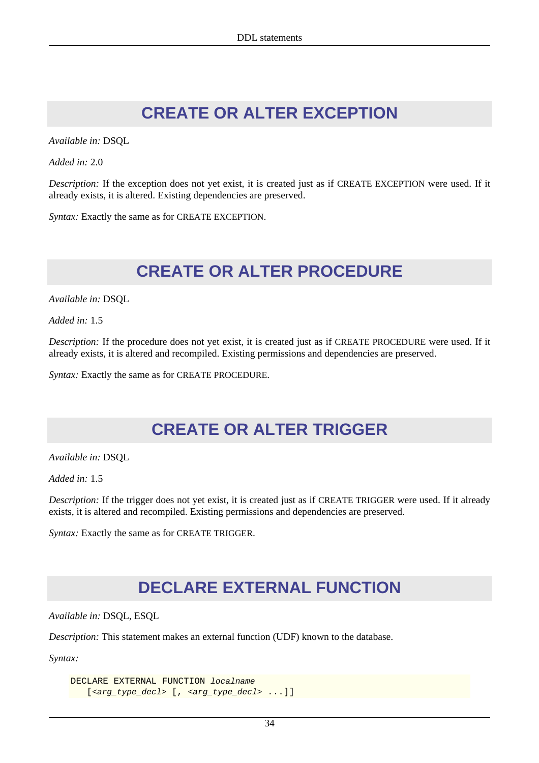## **CREATE OR ALTER EXCEPTION**

*Available in:* DSQL

*Added in:* 2.0

*Description:* If the exception does not yet exist, it is created just as if CREATE EXCEPTION were used. If it already exists, it is altered. Existing dependencies are preserved.

*Syntax:* Exactly the same as for CREATE EXCEPTION.

## **CREATE OR ALTER PROCEDURE**

*Available in:* DSQL

*Added in:* 1.5

*Description:* If the procedure does not yet exist, it is created just as if CREATE PROCEDURE were used. If it already exists, it is altered and recompiled. Existing permissions and dependencies are preserved.

*Syntax:* Exactly the same as for CREATE PROCEDURE.

## **CREATE OR ALTER TRIGGER**

*Available in:* DSQL

*Added in:* 1.5

*Description:* If the trigger does not yet exist, it is created just as if CREATE TRIGGER were used. If it already exists, it is altered and recompiled. Existing permissions and dependencies are preserved.

*Syntax:* Exactly the same as for CREATE TRIGGER.

## **DECLARE EXTERNAL FUNCTION**

*Available in:* DSQL, ESQL

*Description:* This statement makes an external function (UDF) known to the database.

*Syntax:*

```
DECLARE EXTERNAL FUNCTION localname
   [<arg type decl> [, <arg type decl> ...]]
```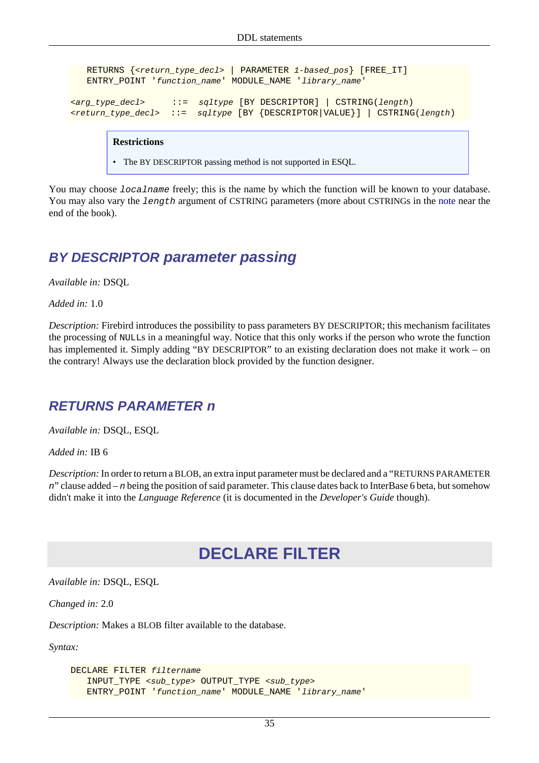```
 RETURNS {<return_type_decl> | PARAMETER 1-based_pos} [FREE_IT]
    ENTRY_POINT 'function_name' MODULE_NAME 'library_name'
<arg_type_decl> ::= sqltype [BY DESCRIPTOR] | CSTRING(length)
<return_type_decl> ::= sqltype [BY {DESCRIPTOR|VALUE}] | CSTRING(length)
```
#### **Restrictions**

• The BY DESCRIPTOR passing method is not supported in ESQL.

You may choose *localname* freely; this is the name by which the function will be known to your database. You may also vary the length argument of CSTRING parameters (more about CSTRINGs in the [note](#page-142-0) near the end of the book).

### **BY DESCRIPTOR parameter passing**

*Available in:* DSQL

*Added in:* 1.0

*Description:* Firebird introduces the possibility to pass parameters BY DESCRIPTOR; this mechanism facilitates the processing of NULLs in a meaningful way. Notice that this only works if the person who wrote the function has implemented it. Simply adding "BY DESCRIPTOR" to an existing declaration does not make it work – on the contrary! Always use the declaration block provided by the function designer.

### **RETURNS PARAMETER n**

*Available in:* DSQL, ESQL

*Added in:* IB 6

*Description:* In order to return a BLOB, an extra input parameter must be declared and a "RETURNS PARAMETER n" clause added – n being the position of said parameter. This clause dates back to InterBase 6 beta, but somehow didn't make it into the *Language Reference* (it is documented in the *Developer's Guide* though).

## **DECLARE FILTER**

*Available in:* DSQL, ESQL

*Changed in:* 2.0

*Description:* Makes a BLOB filter available to the database.

*Syntax:*

```
DECLARE FILTER filtername
    INPUT_TYPE <sub_type> OUTPUT_TYPE <sub_type>
    ENTRY_POINT 'function_name' MODULE_NAME 'library_name'
```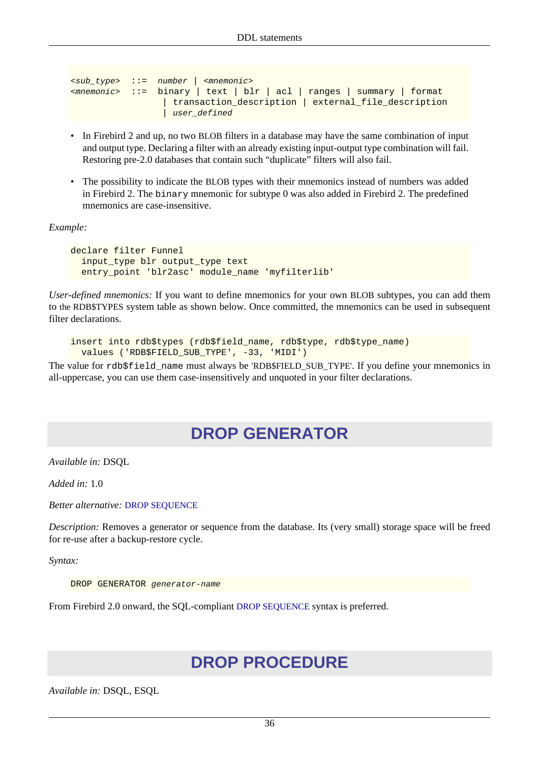```
<sub_type> ::= number | <mnemonic>
<mnemonic> ::= binary | text | blr | acl | ranges | summary | format
                    | transaction_description | external_file_description
                   user_defined
```
- In Firebird 2 and up, no two BLOB filters in a database may have the same combination of input and output type. Declaring a filter with an already existing input-output type combination will fail. Restoring pre-2.0 databases that contain such "duplicate" filters will also fail.
- The possibility to indicate the BLOB types with their mnemonics instead of numbers was added in Firebird 2. The binary mnemonic for subtype 0 was also added in Firebird 2. The predefined mnemonics are case-insensitive.

*Example:*

```
declare filter Funnel
   input_type blr output_type text
   entry_point 'blr2asc' module_name 'myfilterlib'
```
*User-defined mnemonics:* If you want to define mnemonics for your own BLOB subtypes, you can add them to the RDB\$TYPES system table as shown below. Once committed, the mnemonics can be used in subsequent filter declarations.

```
insert into rdb$types (rdb$field_name, rdb$type, rdb$type_name)
  values ('RDB$FIELD_SUB_TYPE', -33, 'MIDI')
```
The value for rdb\$field name must always be 'RDB\$FIELD SUB TYPE'. If you define your mnemonics in all-uppercase, you can use them case-insensitively and unquoted in your filter declarations.

## **DROP GENERATOR**

*Available in:* DSQL

*Added in:* 1.0

*Better alternative:* [DROP SEQUENCE](#page-46-0)

*Description:* Removes a generator or sequence from the database. Its (very small) storage space will be freed for re-use after a backup-restore cycle.

*Syntax:*

DROP GENERATOR generator-name

From Firebird 2.0 onward, the SQL-compliant [DROP SEQUENCE](#page-46-0) syntax is preferred.

## **DROP PROCEDURE**

*Available in:* DSQL, ESQL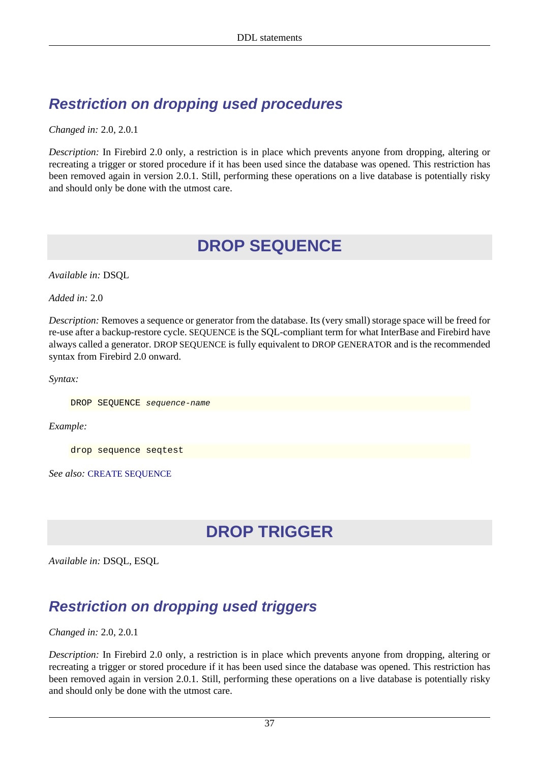## **Restriction on dropping used procedures**

*Changed in:* 2.0, 2.0.1

<span id="page-46-0"></span>*Description:* In Firebird 2.0 only, a restriction is in place which prevents anyone from dropping, altering or recreating a trigger or stored procedure if it has been used since the database was opened. This restriction has been removed again in version 2.0.1. Still, performing these operations on a live database is potentially risky and should only be done with the utmost care.

## **DROP SEQUENCE**

*Available in:* DSQL

*Added in:* 2.0

*Description:* Removes a sequence or generator from the database. Its (very small) storage space will be freed for re-use after a backup-restore cycle. SEQUENCE is the SQL-compliant term for what InterBase and Firebird have always called a generator. DROP SEQUENCE is fully equivalent to DROP GENERATOR and is the recommended syntax from Firebird 2.0 onward.

*Syntax:*

DROP SEQUENCE sequence-name

*Example:*

drop sequence seqtest

*See also:* [CREATE SEQUENCE](#page-36-0)

## **DROP TRIGGER**

*Available in:* DSQL, ESQL

## **Restriction on dropping used triggers**

*Changed in:* 2.0, 2.0.1

*Description:* In Firebird 2.0 only, a restriction is in place which prevents anyone from dropping, altering or recreating a trigger or stored procedure if it has been used since the database was opened. This restriction has been removed again in version 2.0.1. Still, performing these operations on a live database is potentially risky and should only be done with the utmost care.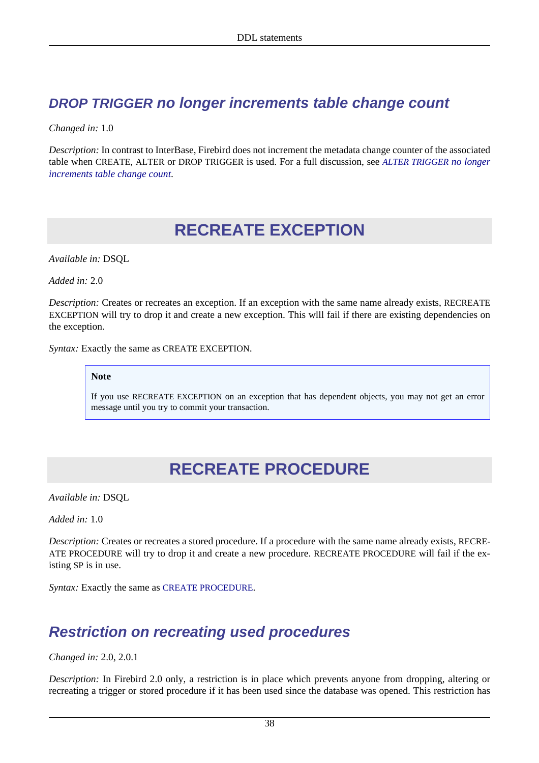### **DROP TRIGGER no longer increments table change count**

*Changed in:* 1.0

*Description:* In contrast to InterBase, Firebird does not increment the metadata change counter of the associated table when CREATE, ALTER or DROP TRIGGER is used. For a full discussion, see *[ALTER TRIGGER](#page-30-0) no longer [increments table change count](#page-30-0)*.

## **RECREATE EXCEPTION**

*Available in:* DSQL

*Added in:* 2.0

*Description:* Creates or recreates an exception. If an exception with the same name already exists, RECREATE EXCEPTION will try to drop it and create a new exception. This wlll fail if there are existing dependencies on the exception.

*Syntax:* Exactly the same as CREATE EXCEPTION.

**Note**

If you use RECREATE EXCEPTION on an exception that has dependent objects, you may not get an error message until you try to commit your transaction.

## **RECREATE PROCEDURE**

*Available in:* DSQL

*Added in:* 1.0

*Description:* Creates or recreates a stored procedure. If a procedure with the same name already exists, RECRE-ATE PROCEDURE will try to drop it and create a new procedure. RECREATE PROCEDURE will fail if the existing SP is in use.

*Syntax:* Exactly the same as [CREATE PROCEDURE](#page-35-0).

## **Restriction on recreating used procedures**

*Changed in:* 2.0, 2.0.1

*Description:* In Firebird 2.0 only, a restriction is in place which prevents anyone from dropping, altering or recreating a trigger or stored procedure if it has been used since the database was opened. This restriction has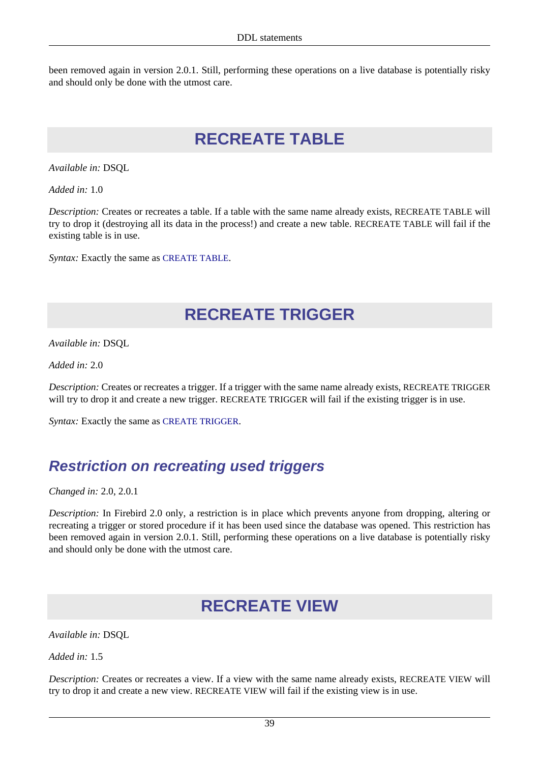been removed again in version 2.0.1. Still, performing these operations on a live database is potentially risky and should only be done with the utmost care.

## **RECREATE TABLE**

*Available in:* DSQL

*Added in:* 1.0

*Description:* Creates or recreates a table. If a table with the same name already exists, RECREATE TABLE will try to drop it (destroying all its data in the process!) and create a new table. RECREATE TABLE will fail if the existing table is in use.

*Syntax:* Exactly the same as [CREATE TABLE](#page-36-1).

## **RECREATE TRIGGER**

*Available in:* DSQL

*Added in:* 2.0

*Description:* Creates or recreates a trigger. If a trigger with the same name already exists, RECREATE TRIGGER will try to drop it and create a new trigger. RECREATE TRIGGER will fail if the existing trigger is in use.

*Syntax:* Exactly the same as [CREATE TRIGGER](#page-39-0).

## **Restriction on recreating used triggers**

*Changed in:* 2.0, 2.0.1

*Description:* In Firebird 2.0 only, a restriction is in place which prevents anyone from dropping, altering or recreating a trigger or stored procedure if it has been used since the database was opened. This restriction has been removed again in version 2.0.1. Still, performing these operations on a live database is potentially risky and should only be done with the utmost care.

## **RECREATE VIEW**

*Available in:* DSQL

*Added in:* 1.5

*Description:* Creates or recreates a view. If a view with the same name already exists, RECREATE VIEW will try to drop it and create a new view. RECREATE VIEW will fail if the existing view is in use.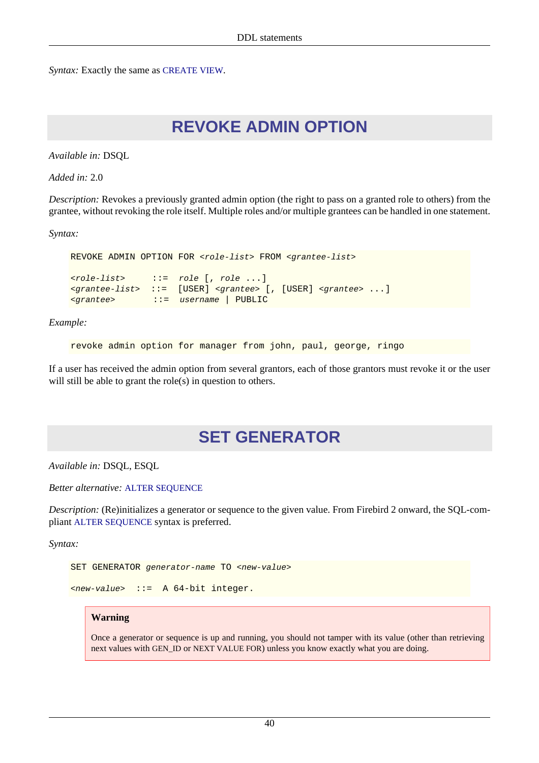*Syntax:* Exactly the same as [CREATE VIEW](#page-41-1).

## **REVOKE ADMIN OPTION**

*Available in:* DSQL

*Added in:* 2.0

*Description:* Revokes a previously granted admin option (the right to pass on a granted role to others) from the grantee, without revoking the role itself. Multiple roles and/or multiple grantees can be handled in one statement.

*Syntax:*

```
REVOKE ADMIN OPTION FOR <role-list> FROM <grantee-list>
<role-list> ::= role [, role ...]
<grantee-list> ::= [USER] <grantee> [, [USER] <grantee> ...]
<grantee> ::= username | PUBLIC
```
*Example:*

revoke admin option for manager from john, paul, george, ringo

If a user has received the admin option from several grantors, each of those grantors must revoke it or the user will still be able to grant the role(s) in question to others.

## **SET GENERATOR**

*Available in:* DSQL, ESQL

*Better alternative:* [ALTER SEQUENCE](#page-25-0)

*Description:* (Re)initializes a generator or sequence to the given value. From Firebird 2 onward, the SQL-compliant [ALTER SEQUENCE](#page-25-0) syntax is preferred.

*Syntax:*

```
SET GENERATOR generator-name TO <new-value>
```

```
<new-value> ::= A 64-bit integer.
```
#### **Warning**

Once a generator or sequence is up and running, you should not tamper with its value (other than retrieving next values with GEN\_ID or NEXT VALUE FOR) unless you know exactly what you are doing.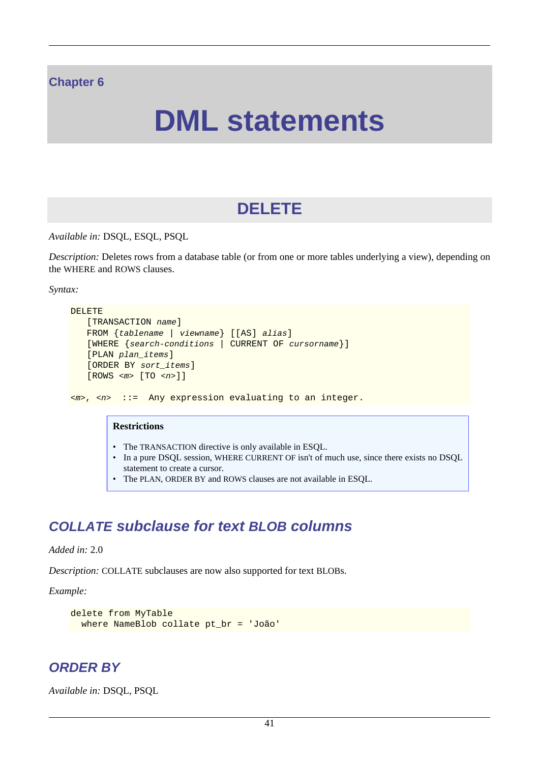#### **Chapter 6**

# **DML statements**

## **DELETE**

*Available in:* DSQL, ESQL, PSQL

*Description:* Deletes rows from a database table (or from one or more tables underlying a view), depending on the WHERE and ROWS clauses.

*Syntax:*

```
DELETE
    [TRANSACTION name]
    FROM {tablename | viewname} [[AS] alias]
    [WHERE {search-conditions | CURRENT OF cursorname}]
    [PLAN plan_items]
    [ORDER BY sort_items]
    [ROWS <m> [TO <n>]]
<m>, <n> ::= Any expression evaluating to an integer.
         Restrictions
         • The TRANSACTION directive is only available in ESQL.
         • In a pure DSQL session, WHERE CURRENT OF isn't of much use, since there exists no DSQL
```
statement to create a cursor. • The PLAN, ORDER BY and ROWS clauses are not available in ESQL.

### **COLLATE subclause for text BLOB columns**

#### *Added in:* 2.0

*Description:* COLLATE subclauses are now also supported for text BLOBs.

*Example:*

```
delete from MyTable
   where NameBlob collate pt_br = 'João'
```
### **ORDER BY**

*Available in:* DSQL, PSQL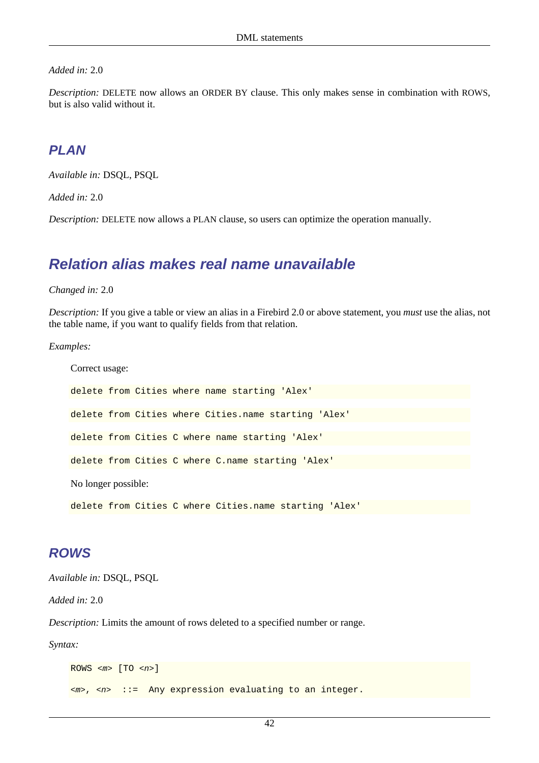#### *Added in:* 2.0

*Description:* DELETE now allows an ORDER BY clause. This only makes sense in combination with ROWS, but is also valid without it.

### **PLAN**

*Available in:* DSQL, PSQL

*Added in:* 2.0

*Description:* DELETE now allows a PLAN clause, so users can optimize the operation manually.

### **Relation alias makes real name unavailable**

*Changed in:* 2.0

*Description:* If you give a table or view an alias in a Firebird 2.0 or above statement, you *must* use the alias, not the table name, if you want to qualify fields from that relation.

*Examples:*

```
Correct usage:
delete from Cities where name starting 'Alex'
delete from Cities where Cities.name starting 'Alex'
delete from Cities C where name starting 'Alex'
delete from Cities C where C.name starting 'Alex'
No longer possible:
delete from Cities C where Cities.name starting 'Alex'
```
#### <span id="page-51-0"></span>**ROWS**

*Available in:* DSQL, PSQL

*Added in:* 2.0

*Description:* Limits the amount of rows deleted to a specified number or range.

*Syntax:*

```
ROWS \langle m \rangle [TO \langle n \rangle]
<m>, <n> ::= Any expression evaluating to an integer.
```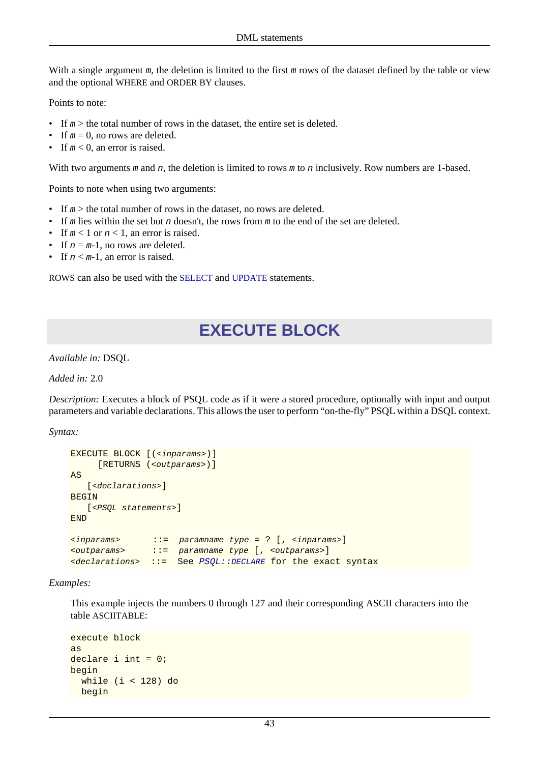With a single argument  $m$ , the deletion is limited to the first  $m$  rows of the dataset defined by the table or view and the optional WHERE and ORDER BY clauses.

Points to note:

- If  $m >$  the total number of rows in the dataset, the entire set is deleted.
- If  $m = 0$ , no rows are deleted.
- If  $m < 0$ , an error is raised.

With two arguments m and n, the deletion is limited to rows m to n inclusively. Row numbers are 1-based.

Points to note when using two arguments:

- If  $m >$  the total number of rows in the dataset, no rows are deleted.
- If m lies within the set but n doesn't, the rows from m to the end of the set are deleted.
- If  $m < 1$  or  $n < 1$ , an error is raised.
- If  $n = m-1$ , no rows are deleted.
- If  $n < m-1$ , an error is raised.

ROWS can also be used with the [SELECT](#page-68-0) and [UPDATE](#page-72-0) statements.

## **EXECUTE BLOCK**

*Available in:* DSQL

*Added in:* 2.0

*Description:* Executes a block of PSQL code as if it were a stored procedure, optionally with input and output parameters and variable declarations. This allows the user to perform "on-the-fly" PSQL within a DSQL context.

*Syntax:*

```
EXECUTE BLOCK [(<inparams>)]
      [RETURNS (<outparams>)]
AS
   [<declarations>]
BEGIN
   [<PSQL statements>]
END
<inparams> ::= paramname type = ? [, <inparams>]
<outparams> ::= paramname type [, <outparams>]
\langle declarations \rangleDECLARE for the exact syntax
```
*Examples:*

This example injects the numbers 0 through 127 and their corresponding ASCII characters into the table ASCIITABLE:

```
execute block
as
declare i int = 0;
begin
   while (i < 128) do
   begin
```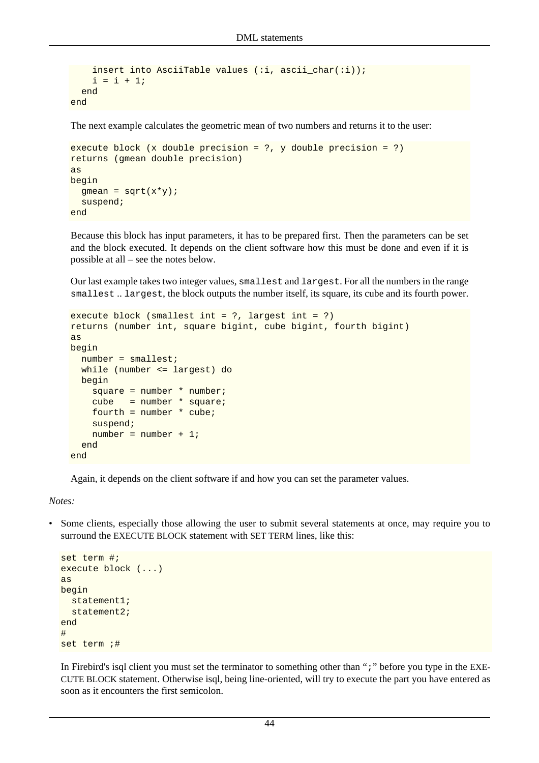```
 insert into AsciiTable values (:i, ascii_char(:i));
    i = i + 1; end
end
```
The next example calculates the geometric mean of two numbers and returns it to the user:

```
execute block (x double precision = ?, y double precision = ?)
returns (gmean double precision)
as
begin
 gmean = sqrt(x*y);
  suspend;
end
```
Because this block has input parameters, it has to be prepared first. Then the parameters can be set and the block executed. It depends on the client software how this must be done and even if it is possible at all – see the notes below.

Our last example takes two integer values, smallest and largest. For all the numbers in the range smallest .. largest, the block outputs the number itself, its square, its cube and its fourth power.

```
execute block (smallest int = ?, largest int = ?)
returns (number int, square bigint, cube bigint, fourth bigint)
as
begin
 number = smallest;
  while (number <= largest) do
  begin
    square = number * number;
     cube = number * square;
    fourth = number * cube;
     suspend;
    number = number + 1; end
end
```
Again, it depends on the client software if and how you can set the parameter values.

*Notes:*

• Some clients, especially those allowing the user to submit several statements at once, may require you to surround the EXECUTE BLOCK statement with SET TERM lines, like this:

```
set term #;
execute block (...)
as
begin
   statement1;
  statement2;
end
#
set term ;#
```
In Firebird's isql client you must set the terminator to something other than ";" before you type in the EXE-CUTE BLOCK statement. Otherwise isql, being line-oriented, will try to execute the part you have entered as soon as it encounters the first semicolon.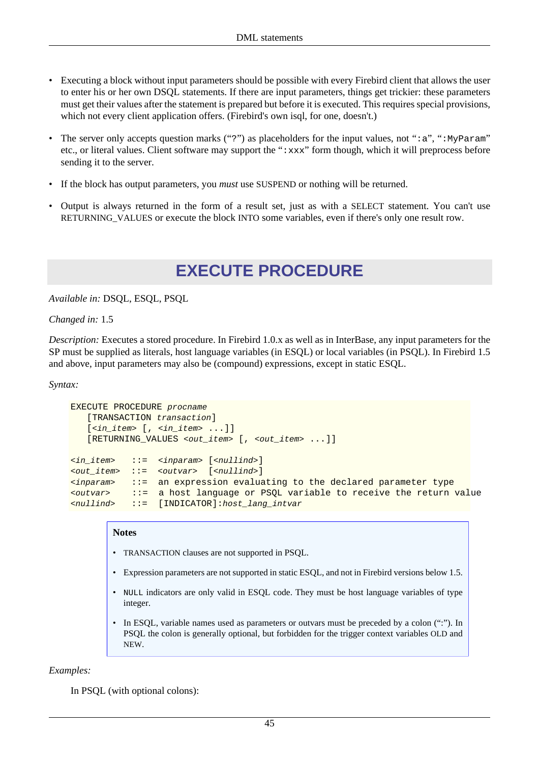- Executing a block without input parameters should be possible with every Firebird client that allows the user to enter his or her own DSQL statements. If there are input parameters, things get trickier: these parameters must get their values after the statement is prepared but before it is executed. This requires special provisions, which not every client application offers. (Firebird's own isql, for one, doesn't.)
- The server only accepts question marks ("?") as placeholders for the input values, not " $:a$ ", ":MyParam" etc., or literal values. Client software may support the " $:xxx$ " form though, which it will preprocess before sending it to the server.
- If the block has output parameters, you *must* use SUSPEND or nothing will be returned.
- Output is always returned in the form of a result set, just as with a SELECT statement. You can't use RETURNING VALUES or execute the block INTO some variables, even if there's only one result row.

## **EXECUTE PROCEDURE**

*Available in:* DSQL, ESQL, PSQL

*Changed in:* 1.5

*Description:* Executes a stored procedure. In Firebird 1.0.x as well as in InterBase, any input parameters for the SP must be supplied as literals, host language variables (in ESQL) or local variables (in PSQL). In Firebird 1.5 and above, input parameters may also be (compound) expressions, except in static ESQL.

*Syntax:*

```
EXECUTE PROCEDURE procname
    [TRANSACTION transaction]
    [<in_item> [, <in_item> ...]]
    [RETURNING_VALUES <out_item> [, <out_item> ...]]
\langle \sin it item> ::= \langle \sin \theta x \sin \theta \rangle [<nullind>]
<out_item> ::= <outvar> [<nullind>]
\langleinparam> ::= an expression evaluating to the declared parameter type
<outvar> ::= a host language or PSQL variable to receive the return value
<nullind> ::= [INDICATOR]:host_lang_intvar
```
#### **Notes**

- TRANSACTION clauses are not supported in PSQL.
- Expression parameters are not supported in static ESQL, and not in Firebird versions below 1.5.
- NULL indicators are only valid in ESQL code. They must be host language variables of type integer.
- In ESQL, variable names used as parameters or outvars must be preceded by a colon (":"). In PSQL the colon is generally optional, but forbidden for the trigger context variables OLD and NEW.

*Examples:*

In PSQL (with optional colons):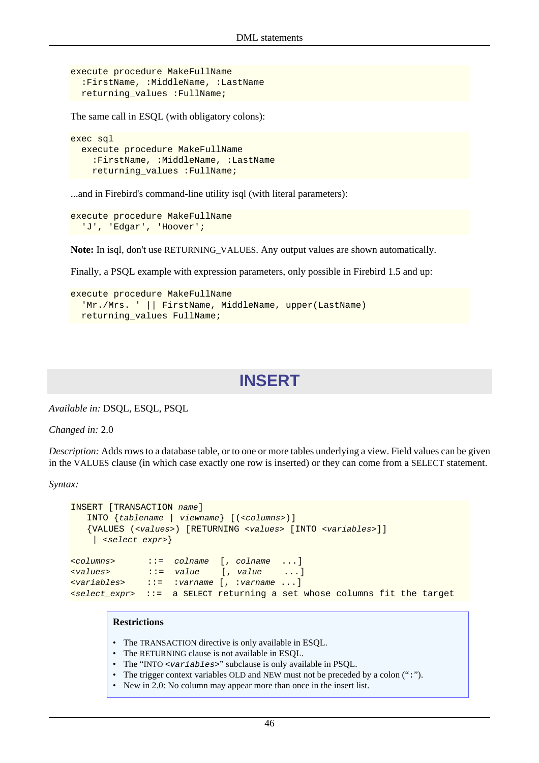```
execute procedure MakeFullName
   :FirstName, :MiddleName, :LastName
  returning_values :FullName;
```
The same call in ESQL (with obligatory colons):

```
exec sql
   execute procedure MakeFullName
     :FirstName, :MiddleName, :LastName
     returning_values :FullName;
```
...and in Firebird's command-line utility isql (with literal parameters):

```
execute procedure MakeFullName
   'J', 'Edgar', 'Hoover';
```
**Note:** In isql, don't use RETURNING\_VALUES. Any output values are shown automatically.

Finally, a PSQL example with expression parameters, only possible in Firebird 1.5 and up:

```
execute procedure MakeFullName
   'Mr./Mrs. ' || FirstName, MiddleName, upper(LastName)
  returning_values FullName;
```
### **INSERT**

*Available in:* DSQL, ESQL, PSQL

*Changed in:* 2.0

*Description:* Adds rows to a database table, or to one or more tables underlying a view. Field values can be given in the VALUES clause (in which case exactly one row is inserted) or they can come from a SELECT statement.

*Syntax:*

```
INSERT [TRANSACTION name]
    INTO {tablename | viewname} [(<columns>)]
    {VALUES (<values>) [RETURNING <values> [INTO <variables>]]
     | <select_expr>}
<columns> ::= colname [, colname ...]
<values> ::= value [, value ...]
<variables> ::= :varname [, :varname ...]
<select_expr> ::= a SELECT returning a set whose columns fit the target
```
#### **Restrictions**

- The TRANSACTION directive is only available in ESQL.
- The RETURNING clause is not available in ESQL.
- The "INTO <variables>" subclause is only available in PSQL.
- The trigger context variables OLD and NEW must not be preceded by a colon (":").
- New in 2.0: No column may appear more than once in the insert list.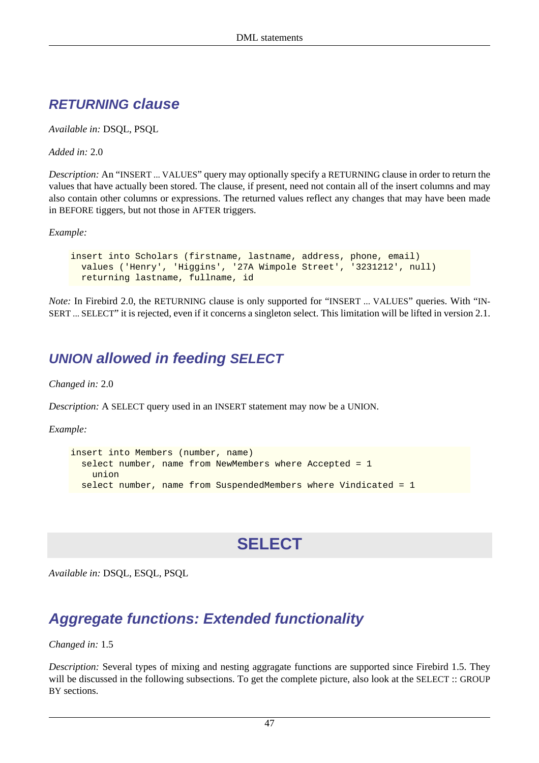### **RETURNING clause**

*Available in:* DSQL, PSQL

*Added in:* 2.0

*Description:* An "INSERT ... VALUES" query may optionally specify a RETURNING clause in order to return the values that have actually been stored. The clause, if present, need not contain all of the insert columns and may also contain other columns or expressions. The returned values reflect any changes that may have been made in BEFORE tiggers, but not those in AFTER triggers.

*Example:*

insert into Scholars (firstname, lastname, address, phone, email) values ('Henry', 'Higgins', '27A Wimpole Street', '3231212', null) returning lastname, fullname, id

*Note: In Firebird 2.0, the RETURNING clause is only supported for "INSERT ... VALUES" queries. With "IN-*SERT ... SELECT" it is rejected, even if it concerns a singleton select. This limitation will be lifted in version 2.1.

### **UNION allowed in feeding SELECT**

*Changed in:* 2.0

*Description:* A SELECT query used in an INSERT statement may now be a UNION.

*Example:*

```
insert into Members (number, name)
   select number, name from NewMembers where Accepted = 1
     union
   select number, name from SuspendedMembers where Vindicated = 1
```
## **SELECT**

*Available in:* DSQL, ESQL, PSQL

## **Aggregate functions: Extended functionality**

*Changed in:* 1.5

*Description:* Several types of mixing and nesting aggragate functions are supported since Firebird 1.5. They will be discussed in the following subsections. To get the complete picture, also look at the SELECT :: GROUP BY sections.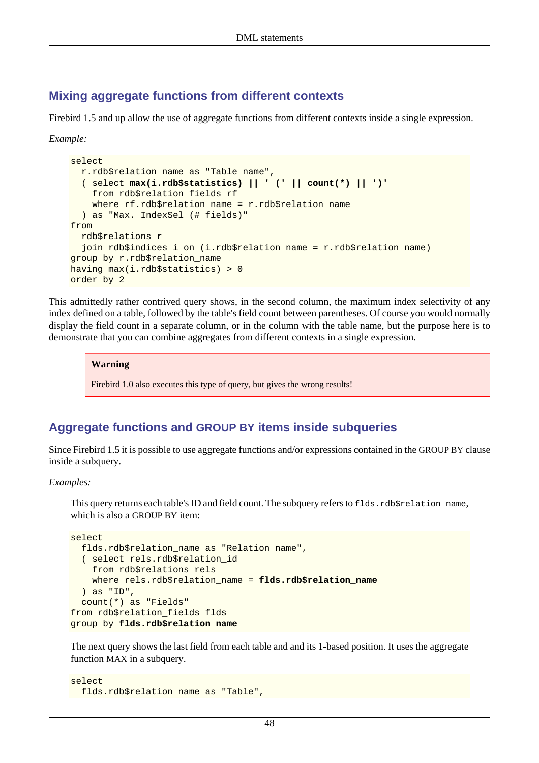#### **Mixing aggregate functions from different contexts**

Firebird 1.5 and up allow the use of aggregate functions from different contexts inside a single expression.

*Example:*

```
select
  r.rdb$relation_name as "Table name",
   ( select max(i.rdb$statistics) || ' (' || count(*) || ')'
     from rdb$relation_fields rf
    where rf.rdb$relation_name = r.rdb$relation_name
   ) as "Max. IndexSel (# fields)"
from
  rdb$relations r
  join rdb$indices i on (i.rdb$relation name = r.rdb$relation name)
group by r.rdb$relation_name
having max(i.rdb$statistics) > 0
order by 2
```
This admittedly rather contrived query shows, in the second column, the maximum index selectivity of any index defined on a table, followed by the table's field count between parentheses. Of course you would normally display the field count in a separate column, or in the column with the table name, but the purpose here is to demonstrate that you can combine aggregates from different contexts in a single expression.

#### **Warning**

Firebird 1.0 also executes this type of query, but gives the wrong results!

#### **Aggregate functions and GROUP BY items inside subqueries**

Since Firebird 1.5 it is possible to use aggregate functions and/or expressions contained in the GROUP BY clause inside a subquery.

#### *Examples:*

This query returns each table's ID and field count. The subquery refers to  $f$ lds.rdb $f$ relation name, which is also a GROUP BY item:

```
select
   flds.rdb$relation_name as "Relation name",
   ( select rels.rdb$relation_id
     from rdb$relations rels
    where rels.rdb$relation_name = flds.rdb$relation_name
   ) as "ID",
   count(*) as "Fields"
from rdb$relation_fields flds
group by flds.rdb$relation_name
```
The next query shows the last field from each table and and its 1-based position. It uses the aggregate function MAX in a subquery.

```
select
  flds.rdb$relation_name as "Table",
```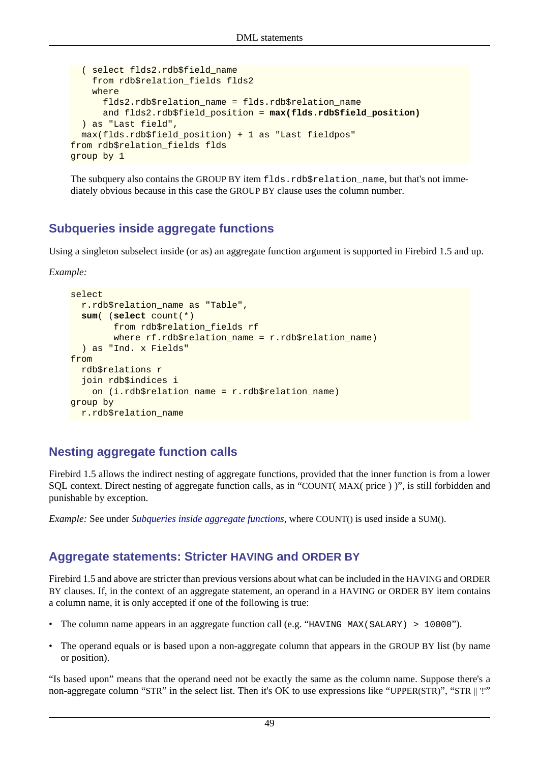```
 ( select flds2.rdb$field_name
     from rdb$relation_fields flds2
     where
       flds2.rdb$relation_name = flds.rdb$relation_name
       and flds2.rdb$field_position = max(flds.rdb$field_position)
   ) as "Last field",
  max(flds.rdb$field_position) + 1 as "Last fieldpos"
from rdb$relation_fields flds
group by 1
```
The subquery also contains the GROUP BY item flds.rdb\$relation\_name, but that's not immediately obvious because in this case the GROUP BY clause uses the column number.

#### <span id="page-58-0"></span>**Subqueries inside aggregate functions**

Using a singleton subselect inside (or as) an aggregate function argument is supported in Firebird 1.5 and up.

*Example:*

```
select
   r.rdb$relation_name as "Table",
   sum( (select count(*)
         from rdb$relation_fields rf
         where rf.rdb$relation_name = r.rdb$relation_name)
   ) as "Ind. x Fields"
from
   rdb$relations r
   join rdb$indices i
    on (i.rdb$relation name = r.rdb$relation name)
group by
   r.rdb$relation_name
```
### **Nesting aggregate function calls**

Firebird 1.5 allows the indirect nesting of aggregate functions, provided that the inner function is from a lower SQL context. Direct nesting of aggregate function calls, as in "COUNT( MAX( price ) )", is still forbidden and punishable by exception.

<span id="page-58-1"></span>*Example:* See under *[Subqueries inside aggregate functions](#page-58-0)*, where COUNT() is used inside a SUM().

#### **Aggregate statements: Stricter HAVING and ORDER BY**

Firebird 1.5 and above are stricter than previous versions about what can be included in the HAVING and ORDER BY clauses. If, in the context of an aggregate statement, an operand in a HAVING or ORDER BY item contains a column name, it is only accepted if one of the following is true:

- The column name appears in an aggregate function call (e.g. "HAVING MAX(SALARY) > 10000").
- The operand equals or is based upon a non-aggregate column that appears in the GROUP BY list (by name or position).

"Is based upon" means that the operand need not be exactly the same as the column name. Suppose there's a non-aggregate column "STR" in the select list. Then it's OK to use expressions like "UPPER(STR)", "STR || '!'"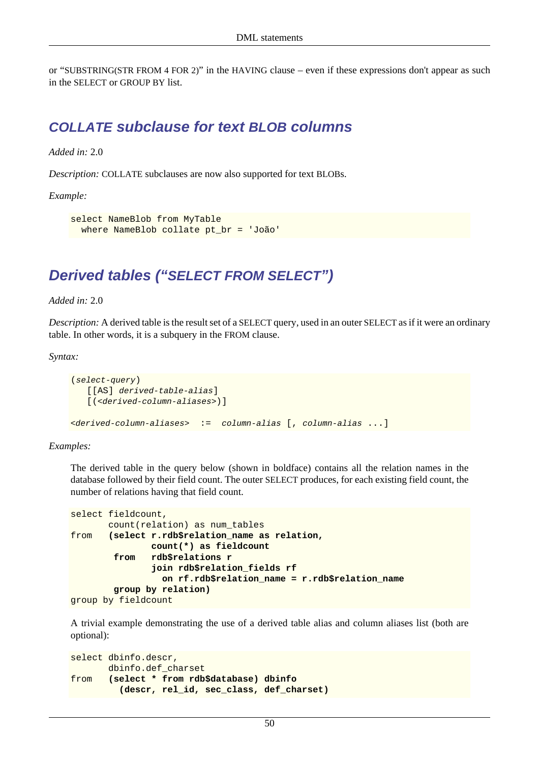or "SUBSTRING(STR FROM 4 FOR 2)" in the HAVING clause – even if these expressions don't appear as such in the SELECT or GROUP BY list.

### **COLLATE subclause for text BLOB columns**

*Added in:* 2.0

*Description:* COLLATE subclauses are now also supported for text BLOBs.

*Example:*

```
select NameBlob from MyTable
  where NameBlob collate pt_br = 'João'
```
## <span id="page-59-0"></span>**Derived tables ("SELECT FROM SELECT")**

*Added in:* 2.0

*Description:* A derived table is the result set of a SELECT query, used in an outer SELECT as if it were an ordinary table. In other words, it is a subquery in the FROM clause.

*Syntax:*

```
(select-query)
    [[AS] derived-table-alias]
   [(<derived-column-aliases>)]
<derived-column-aliases> := column-alias [, column-alias ...]
```
#### *Examples:*

The derived table in the query below (shown in boldface) contains all the relation names in the database followed by their field count. The outer SELECT produces, for each existing field count, the number of relations having that field count.

```
select fieldcount,
        count(relation) as num_tables
from (select r.rdb$relation_name as relation,
                count(*) as fieldcount
         from rdb$relations r
                join rdb$relation_fields rf
                  on rf.rdb$relation_name = r.rdb$relation_name
         group by relation)
group by fieldcount
```
A trivial example demonstrating the use of a derived table alias and column aliases list (both are optional):

```
select dbinfo.descr,
       dbinfo.def_charset
from (select * from rdb$database) dbinfo
          (descr, rel_id, sec_class, def_charset)
```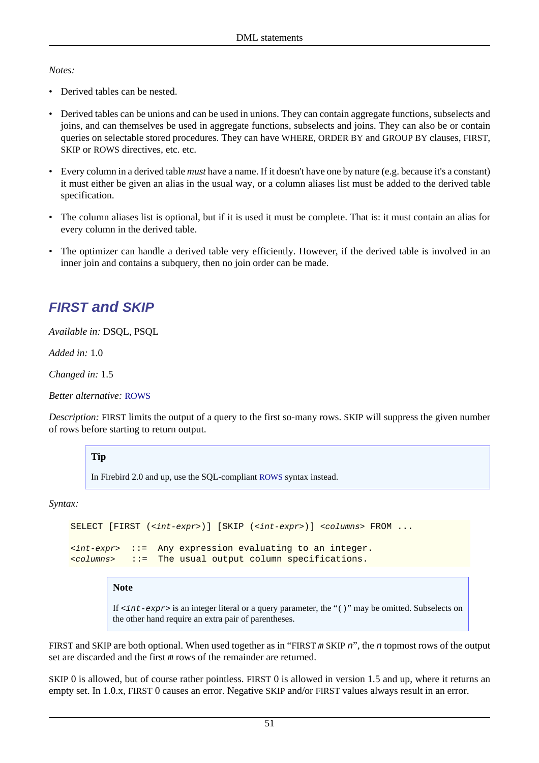#### *Notes:*

- Derived tables can be nested.
- Derived tables can be unions and can be used in unions. They can contain aggregate functions, subselects and joins, and can themselves be used in aggregate functions, subselects and joins. They can also be or contain queries on selectable stored procedures. They can have WHERE, ORDER BY and GROUP BY clauses, FIRST, SKIP or ROWS directives, etc. etc.
- Every column in a derived table *must* have a name. If it doesn't have one by nature (e.g. because it's a constant) it must either be given an alias in the usual way, or a column aliases list must be added to the derived table specification.
- The column aliases list is optional, but if it is used it must be complete. That is: it must contain an alias for every column in the derived table.
- <span id="page-60-0"></span>• The optimizer can handle a derived table very efficiently. However, if the derived table is involved in an inner join and contains a subquery, then no join order can be made.

### **FIRST and SKIP**

*Available in:* DSQL, PSQL

*Added in:* 1.0

*Changed in:* 1.5

*Better alternative:* [ROWS](#page-68-0)

*Description:* FIRST limits the output of a query to the first so-many rows. SKIP will suppress the given number of rows before starting to return output.

#### **Tip**

In Firebird 2.0 and up, use the SQL-compliant [ROWS](#page-68-0) syntax instead.

*Syntax:*

```
SELECT [FIRST (<int-expr>)] [SKIP (<int-expr>)] <columns> FROM ...
\langleint-expr> ::= Any expression evaluating to an integer.
<columns> ::= The usual output column specifications.
```
#### **Note**

If  $\langle$ int-expr> is an integer literal or a query parameter, the "()" may be omitted. Subselects on the other hand require an extra pair of parentheses.

FIRST and SKIP are both optional. When used together as in "FIRST m SKIP n", the n topmost rows of the output set are discarded and the first m rows of the remainder are returned.

SKIP 0 is allowed, but of course rather pointless. FIRST 0 is allowed in version 1.5 and up, where it returns an empty set. In 1.0.x, FIRST 0 causes an error. Negative SKIP and/or FIRST values always result in an error.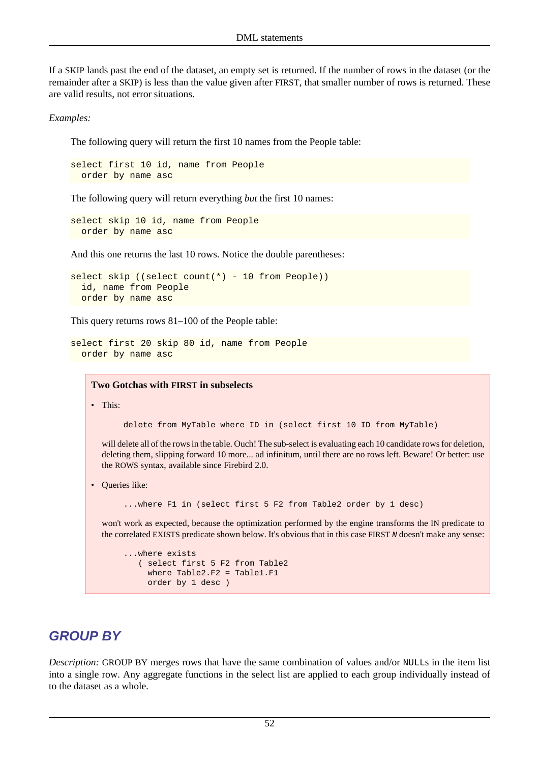If a SKIP lands past the end of the dataset, an empty set is returned. If the number of rows in the dataset (or the remainder after a SKIP) is less than the value given after FIRST, that smaller number of rows is returned. These are valid results, not error situations.

*Examples:*

The following query will return the first 10 names from the People table:

select first 10 id, name from People order by name asc

The following query will return everything *but* the first 10 names:

select skip 10 id, name from People order by name asc

And this one returns the last 10 rows. Notice the double parentheses:

```
select skip ((select count(*) - 10 from People))
   id, name from People
  order by name asc
```
This query returns rows 81–100 of the People table:

```
select first 20 skip 80 id, name from People
  order by name asc
```
**Two Gotchas with FIRST in subselects**

• This:

delete from MyTable where ID in (select first 10 ID from MyTable)

will delete all of the rows in the table. Ouch! The sub-select is evaluating each 10 candidate rows for deletion, deleting them, slipping forward 10 more... ad infinitum, until there are no rows left. Beware! Or better: use the ROWS syntax, available since Firebird 2.0.

• Oueries like:

...where F1 in (select first 5 F2 from Table2 order by 1 desc)

won't work as expected, because the optimization performed by the engine transforms the IN predicate to the correlated EXISTS predicate shown below. It's obvious that in this case FIRST N doesn't make any sense:

```
...where exists
    ( select first 5 F2 from Table2
    where Table2.F2 = Table1.F1
     order by 1 desc )
```
### **GROUP BY**

*Description:* GROUP BY merges rows that have the same combination of values and/or NULLs in the item list into a single row. Any aggregate functions in the select list are applied to each group individually instead of to the dataset as a whole.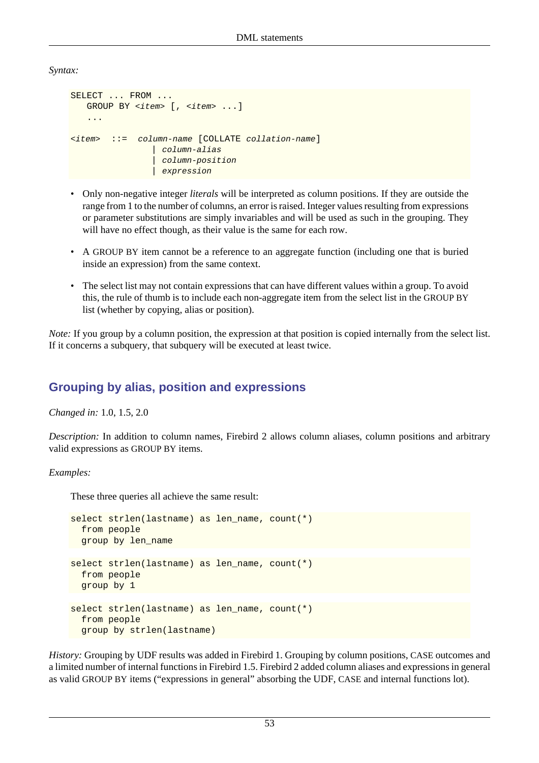*Syntax:*

```
SELECT ... FROM ...
   GROUP BY <item> [, <item> ...]
    ...
<item> ::= column-name [COLLATE collation-name]
                   | column-alias
                   | column-position
                  expression
```
- Only non-negative integer *literals* will be interpreted as column positions. If they are outside the range from 1 to the number of columns, an error is raised. Integer values resulting from expressions or parameter substitutions are simply invariables and will be used as such in the grouping. They will have no effect though, as their value is the same for each row.
- A GROUP BY item cannot be a reference to an aggregate function (including one that is buried inside an expression) from the same context.
- The select list may not contain expressions that can have different values within a group. To avoid this, the rule of thumb is to include each non-aggregate item from the select list in the GROUP BY list (whether by copying, alias or position).

*Note:* If you group by a column position, the expression at that position is copied internally from the select list. If it concerns a subquery, that subquery will be executed at least twice.

### **Grouping by alias, position and expressions**

*Changed in:* 1.0, 1.5, 2.0

*Description:* In addition to column names, Firebird 2 allows column aliases, column positions and arbitrary valid expressions as GROUP BY items.

*Examples:*

These three queries all achieve the same result:

```
select strlen(lastname) as len_name, count(*)
   from people
  group by len_name
select strlen(lastname) as len_name, count(*)
   from people
  group by 1
select strlen(lastname) as len_name, count(*)
   from people
  group by strlen(lastname)
```
*History:* Grouping by UDF results was added in Firebird 1. Grouping by column positions, CASE outcomes and a limited number of internal functions in Firebird 1.5. Firebird 2 added column aliases and expressions in general as valid GROUP BY items ("expressions in general" absorbing the UDF, CASE and internal functions lot).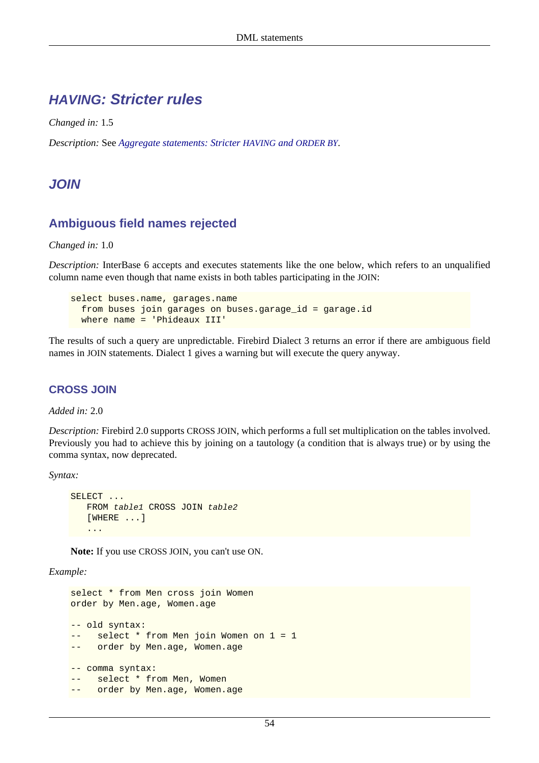### **HAVING: Stricter rules**

*Changed in:* 1.5

*Description:* See *[Aggregate statements: Stricter](#page-58-1) HAVING and ORDER BY*.

### **JOIN**

### **Ambiguous field names rejected**

*Changed in:* 1.0

*Description:* InterBase 6 accepts and executes statements like the one below, which refers to an unqualified column name even though that name exists in both tables participating in the JOIN:

```
select buses.name, garages.name
   from buses join garages on buses.garage_id = garage.id
  where name = 'Phideaux III'
```
The results of such a query are unpredictable. Firebird Dialect 3 returns an error if there are ambiguous field names in JOIN statements. Dialect 1 gives a warning but will execute the query anyway.

#### **CROSS JOIN**

*Added in:* 2.0

*Description:* Firebird 2.0 supports CROSS JOIN, which performs a full set multiplication on the tables involved. Previously you had to achieve this by joining on a tautology (a condition that is always true) or by using the comma syntax, now deprecated.

*Syntax:*

```
SELECT ...
    FROM table1 CROSS JOIN table2
    [WHERE ...]
    ...
```
**Note:** If you use CROSS JOIN, you can't use ON.

*Example:*

```
select * from Men cross join Women
order by Men.age, Women.age
-- old syntax:
-- select * from Men join Women on 1 = 1
-- order by Men.age, Women.age
-- comma syntax:
-- select * from Men, Women
-- order by Men.age, Women.age
```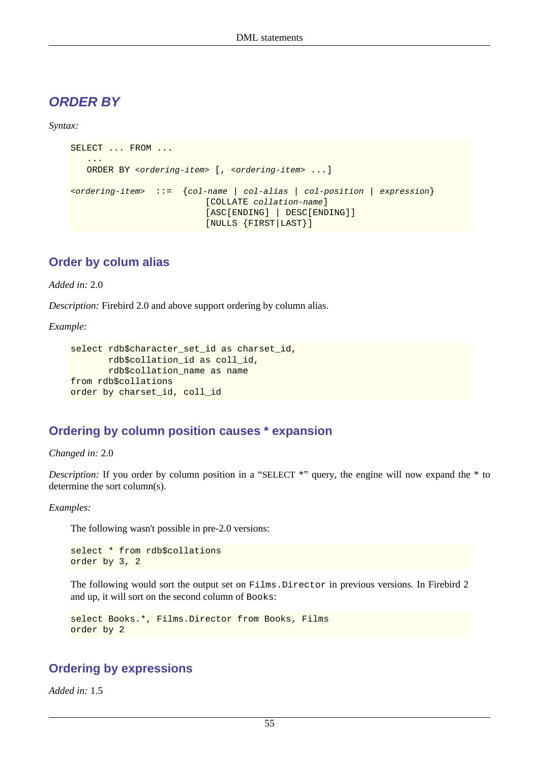### **ORDER BY**

*Syntax:*

```
SELECT ... FROM ...
 ...
     ORDER BY <ordering-item> [, <ordering-item> ...]
\left\{\text{cot} - \text{cot} \right\} ::= \left\{\text{col} - \text{name} \mid \text{col} - \text{alias} \mid \text{col} - \text{position} \mid \text{expression}\right\} [COLLATE collation-name]
                                       [ASC[ENDING] | DESC[ENDING]]
                                       [NULLS {FIRST|LAST}]
```
### **Order by colum alias**

*Added in:* 2.0

*Description:* Firebird 2.0 and above support ordering by column alias.

*Example:*

```
select rdb$character_set_id as charset_id,
        rdb$collation_id as coll_id,
        rdb$collation_name as name
from rdb$collations
order by charset id, coll id
```
### **Ordering by column position causes \* expansion**

*Changed in:* 2.0

*Description:* If you order by column position in a "SELECT \*" query, the engine will now expand the \* to determine the sort column(s).

*Examples:*

The following wasn't possible in pre-2.0 versions:

select \* from rdb\$collations order by 3, 2

The following would sort the output set on Films.Director in previous versions. In Firebird 2 and up, it will sort on the second column of Books:

```
select Books.*, Films.Director from Books, Films
order by 2
```
#### **Ordering by expressions**

*Added in:* 1.5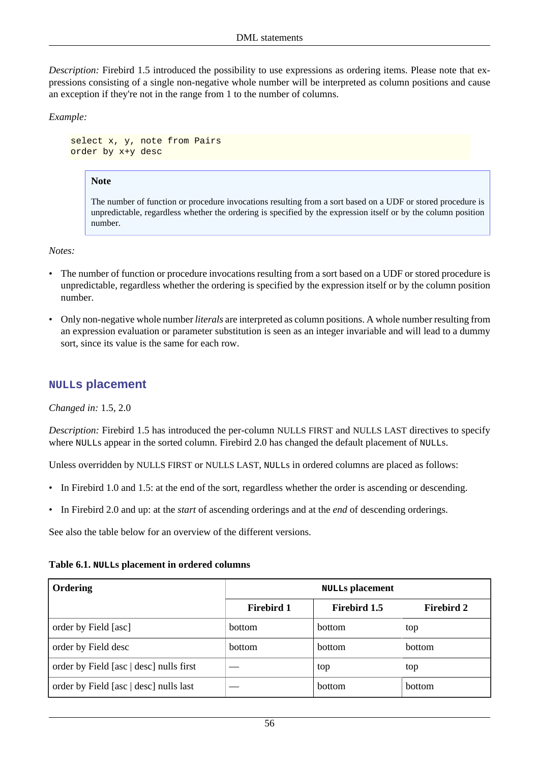*Description:* Firebird 1.5 introduced the possibility to use expressions as ordering items. Please note that expressions consisting of a single non-negative whole number will be interpreted as column positions and cause an exception if they're not in the range from 1 to the number of columns.

*Example:*

select x, y, note from Pairs order by x+y desc

#### **Note**

The number of function or procedure invocations resulting from a sort based on a UDF or stored procedure is unpredictable, regardless whether the ordering is specified by the expression itself or by the column position number.

*Notes:*

- The number of function or procedure invocations resulting from a sort based on a UDF or stored procedure is unpredictable, regardless whether the ordering is specified by the expression itself or by the column position number.
- Only non-negative whole number *literals* are interpreted as column positions. A whole number resulting from an expression evaluation or parameter substitution is seen as an integer invariable and will lead to a dummy sort, since its value is the same for each row.

#### **NULLs placement**

*Changed in:* 1.5, 2.0

*Description:* Firebird 1.5 has introduced the per-column NULLS FIRST and NULLS LAST directives to specify where NULLs appear in the sorted column. Firebird 2.0 has changed the default placement of NULLs.

Unless overridden by NULLS FIRST or NULLS LAST, NULLs in ordered columns are placed as follows:

- In Firebird 1.0 and 1.5: at the end of the sort, regardless whether the order is ascending or descending.
- In Firebird 2.0 and up: at the *start* of ascending orderings and at the *end* of descending orderings.

See also the table below for an overview of the different versions.

| Ordering                                | <b>NULLS</b> placement |                     |                   |
|-----------------------------------------|------------------------|---------------------|-------------------|
|                                         | <b>Firebird 1</b>      | <b>Firebird 1.5</b> | <b>Firebird 2</b> |
| order by Field [asc]                    | <b>bottom</b>          | <b>bottom</b>       | top               |
| order by Field desc                     | <b>bottom</b>          | <b>bottom</b>       | <b>bottom</b>     |
| order by Field [asc   desc] nulls first |                        | top                 | top               |
| order by Field [asc   desc] nulls last  |                        | <b>bottom</b>       | bottom            |

#### **Table 6.1. NULLs placement in ordered columns**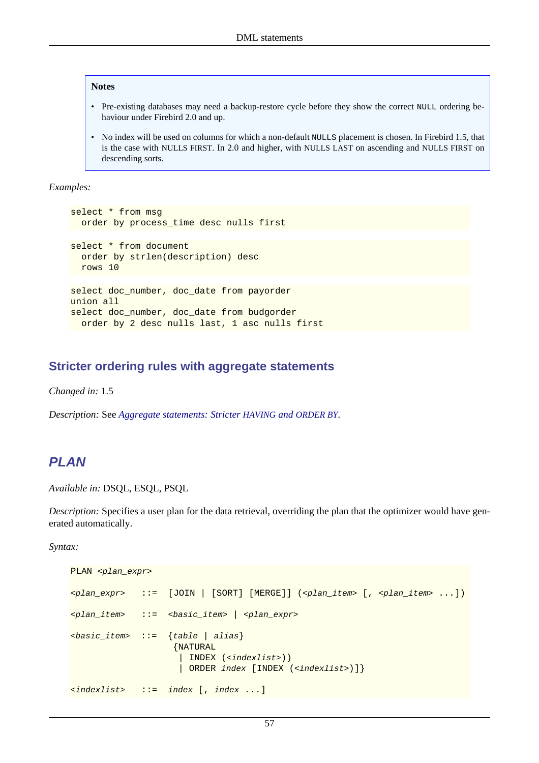#### **Notes**

- Pre-existing databases may need a backup-restore cycle before they show the correct NULL ordering behaviour under Firebird 2.0 and up.
- No index will be used on columns for which a non-default NULLS placement is chosen. In Firebird 1.5, that is the case with NULLS FIRST. In 2.0 and higher, with NULLS LAST on ascending and NULLS FIRST on descending sorts.

*Examples:*

```
select * from msg
  order by process_time desc nulls first
select * from document
   order by strlen(description) desc
  rows 10
select doc_number, doc_date from payorder
union all
select doc_number, doc_date from budgorder
  order by 2 desc nulls last, 1 asc nulls first
```
#### **Stricter ordering rules with aggregate statements**

*Changed in:* 1.5

*Description:* See *[Aggregate statements: Stricter](#page-58-1) HAVING and ORDER BY*.

#### **PLAN**

*Available in:* DSQL, ESQL, PSQL

*Description:* Specifies a user plan for the data retrieval, overriding the plan that the optimizer would have generated automatically.

*Syntax:*

```
PLAN <plan_expr>
\langle \varphi \rangle \langle \rangle \langle \rangle \langle \rangle \langle \rangle \langle \rangle \langle \rangle \langle \rangle \langle \rangle \langle \rangle \langle \rangle \langle \rangle \langle \rangle \langle \rangle \langle \rangle \langle \rangle \langle \rangle \langle \rangle \langle \rangle \langle \rangle \langle \rangle \langle 
<plan_item> ::= <basic_item> | <plan_expr>

                                       {NATURAL
                                        | INDEX (<indexlist>))
                                           | ORDER index [INDEX (<indexlist>)]}
<indexlist> ::= index [, index ...]
```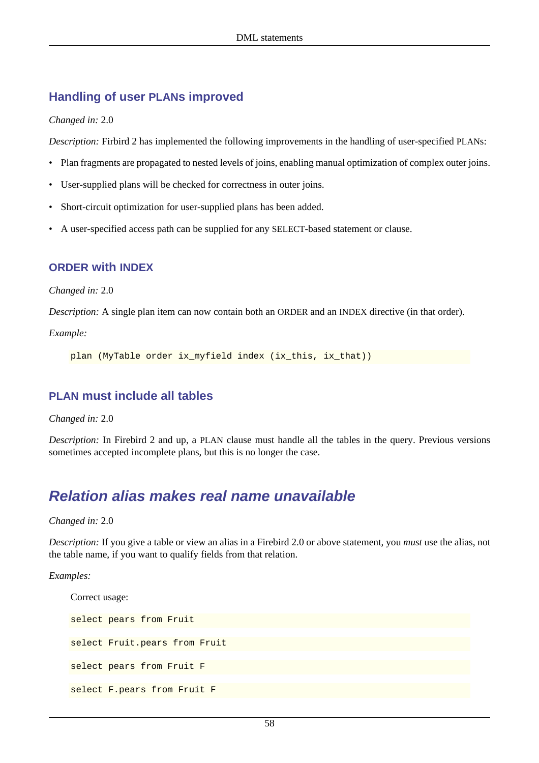### **Handling of user PLANs improved**

*Changed in:* 2.0

*Description:* Firbird 2 has implemented the following improvements in the handling of user-specified PLANs:

- Plan fragments are propagated to nested levels of joins, enabling manual optimization of complex outer joins.
- User-supplied plans will be checked for correctness in outer joins.
- Short-circuit optimization for user-supplied plans has been added.
- A user-specified access path can be supplied for any SELECT-based statement or clause.

#### **ORDER with INDEX**

*Changed in:* 2.0

*Description:* A single plan item can now contain both an ORDER and an INDEX directive (in that order).

*Example:*

plan (MyTable order ix\_myfield index (ix\_this, ix\_that))

#### **PLAN must include all tables**

*Changed in:* 2.0

*Description:* In Firebird 2 and up, a PLAN clause must handle all the tables in the query. Previous versions sometimes accepted incomplete plans, but this is no longer the case.

### **Relation alias makes real name unavailable**

*Changed in:* 2.0

*Description:* If you give a table or view an alias in a Firebird 2.0 or above statement, you *must* use the alias, not the table name, if you want to qualify fields from that relation.

*Examples:*

```
Correct usage:
select pears from Fruit
select Fruit.pears from Fruit
select pears from Fruit F
select F.pears from Fruit F
```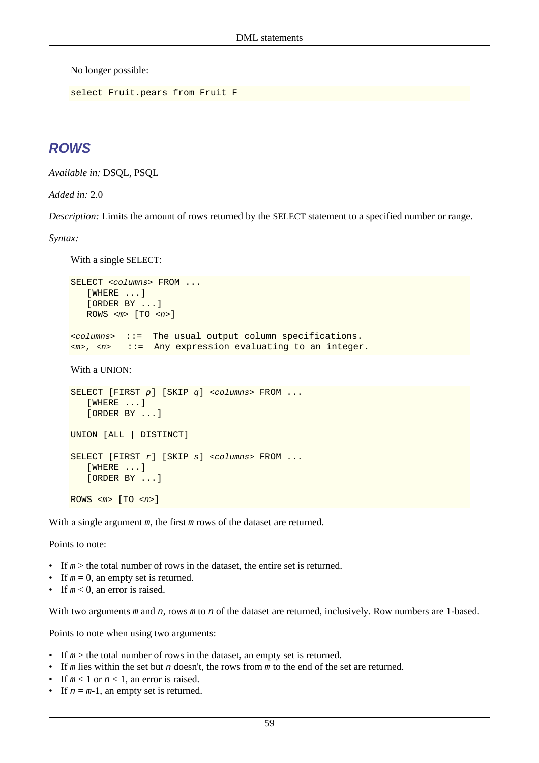No longer possible:

```
select Fruit.pears from Fruit F
```
### **ROWS**

*Available in:* DSQL, PSQL

*Added in:* 2.0

*Description:* Limits the amount of rows returned by the SELECT statement to a specified number or range.

*Syntax:*

With a single SELECT:

```
SELECT <columns> FROM ...
    [WHERE ...]
    [ORDER BY ...]
   ROWS \langle m \rangle [TO \langle n \rangle]
<columns> ::= The usual output column specifications.
<m>, <n> ::= Any expression evaluating to an integer.
```
With a UNION:

```
SELECT [FIRST p] [SKIP q] <columns> FROM ...
    [WHERE ...]
    [ORDER BY ...]
UNION [ALL | DISTINCT]
SELECT [FIRST r] [SKIP s] <columns> FROM ...
    [WHERE ...]
    [ORDER BY ...]
ROWS \langle m \rangle [TO \langle n \rangle]
```
With a single argument m, the first m rows of the dataset are returned.

Points to note:

- If  $m >$  the total number of rows in the dataset, the entire set is returned.
- If  $m = 0$ , an empty set is returned.
- If  $m < 0$ , an error is raised.

With two arguments m and n, rows m to n of the dataset are returned, inclusively. Row numbers are 1-based.

Points to note when using two arguments:

- If  $m >$  the total number of rows in the dataset, an empty set is returned.
- If m lies within the set but n doesn't, the rows from m to the end of the set are returned.
- If  $m < 1$  or  $n < 1$ , an error is raised.
- If  $n = m-1$ , an empty set is returned.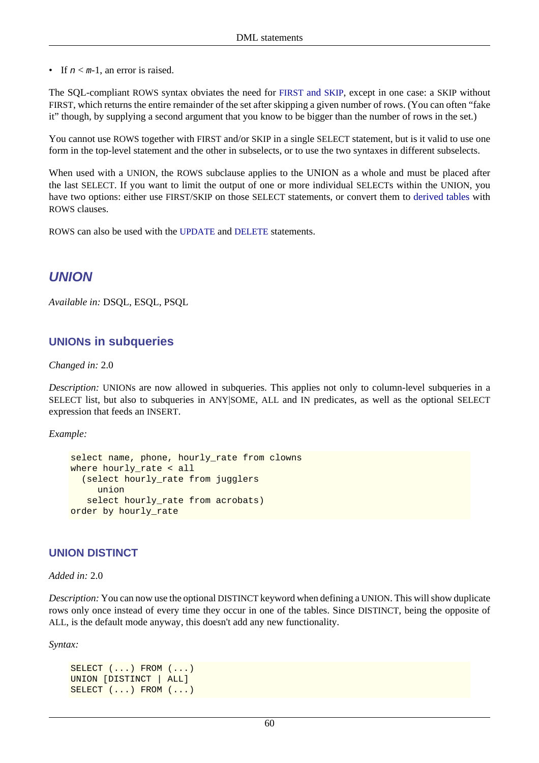• If  $n < m-1$ , an error is raised.

The SQL-compliant ROWS syntax obviates the need for [FIRST](#page-60-0) and SKIP, except in one case: a SKIP without FIRST, which returns the entire remainder of the set after skipping a given number of rows. (You can often "fake it" though, by supplying a second argument that you know to be bigger than the number of rows in the set.)

You cannot use ROWS together with FIRST and/or SKIP in a single SELECT statement, but is it valid to use one form in the top-level statement and the other in subselects, or to use the two syntaxes in different subselects.

When used with a UNION, the ROWS subclause applies to the UNION as a whole and must be placed after the last SELECT. If you want to limit the output of one or more individual SELECTs within the UNION, you have two options: either use FIRST/SKIP on those SELECT statements, or convert them to [derived tables](#page-59-0) with ROWS clauses.

ROWS can also be used with the [UPDATE](#page-72-0) and [DELETE](#page-51-0) statements.

### **UNION**

*Available in:* DSQL, ESQL, PSQL

#### **UNIONs in subqueries**

*Changed in:* 2.0

*Description:* UNIONs are now allowed in subqueries. This applies not only to column-level subqueries in a SELECT list, but also to subqueries in ANY|SOME, ALL and IN predicates, as well as the optional SELECT expression that feeds an INSERT.

*Example:*

```
select name, phone, hourly_rate from clowns
where hourly_rate < all
   (select hourly_rate from jugglers
      union
    select hourly_rate from acrobats)
order by hourly rate
```
#### **UNION DISTINCT**

*Added in:* 2.0

*Description:* You can now use the optional DISTINCT keyword when defining a UNION. This will show duplicate rows only once instead of every time they occur in one of the tables. Since DISTINCT, being the opposite of ALL, is the default mode anyway, this doesn't add any new functionality.

*Syntax:*

```
SELECT (...) FROM (...)
UNION [DISTINCT | ALL]
SELECT (...) FROM (...)
```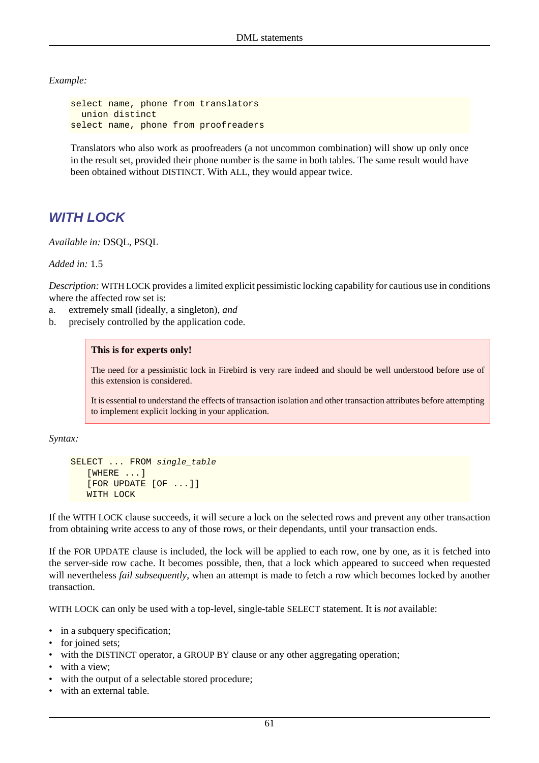*Example:*

```
select name, phone from translators
  union distinct
select name, phone from proofreaders
```
Translators who also work as proofreaders (a not uncommon combination) will show up only once in the result set, provided their phone number is the same in both tables. The same result would have been obtained without DISTINCT. With ALL, they would appear twice.

### **WITH LOCK**

*Available in:* DSQL, PSQL

*Added in:* 1.5

*Description:* WITH LOCK provides a limited explicit pessimistic locking capability for cautious use in conditions where the affected row set is:

- a. extremely small (ideally, a singleton), *and*
- b. precisely controlled by the application code.

#### **This is for experts only!**

The need for a pessimistic lock in Firebird is very rare indeed and should be well understood before use of this extension is considered.

It is essential to understand the effects of transaction isolation and other transaction attributes before attempting to implement explicit locking in your application.

*Syntax:*

```
SELECT ... FROM single table
    [WHERE ...]
    [FOR UPDATE [OF ...]]
    WITH LOCK
```
If the WITH LOCK clause succeeds, it will secure a lock on the selected rows and prevent any other transaction from obtaining write access to any of those rows, or their dependants, until your transaction ends.

If the FOR UPDATE clause is included, the lock will be applied to each row, one by one, as it is fetched into the server-side row cache. It becomes possible, then, that a lock which appeared to succeed when requested will nevertheless *fail subsequently*, when an attempt is made to fetch a row which becomes locked by another transaction.

WITH LOCK can only be used with a top-level, single-table SELECT statement. It is *not* available:

- in a subquery specification;
- for joined sets;
- with the DISTINCT operator, a GROUP BY clause or any other aggregating operation;
- with a view;
- with the output of a selectable stored procedure;
- with an external table.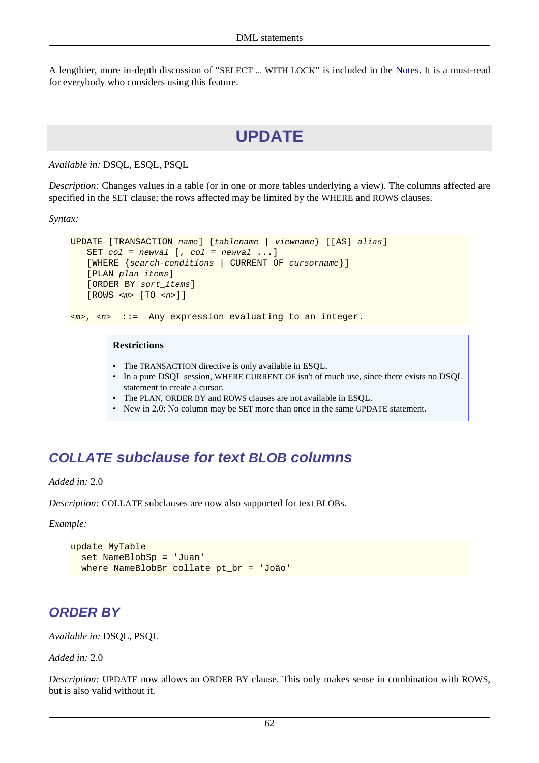A lengthier, more in-depth discussion of "SELECT ... WITH LOCK" is included in the [Notes](#page-139-0). It is a must-read for everybody who considers using this feature.

## **UPDATE**

*Available in:* DSQL, ESQL, PSQL

*Description:* Changes values in a table (or in one or more tables underlying a view). The columns affected are specified in the SET clause; the rows affected may be limited by the WHERE and ROWS clauses.

*Syntax:*

```
UPDATE [TRANSACTION name] {tablename | viewname} [[AS] alias]
   SET col = newval [, col = newval ...]
    [WHERE {search-conditions | CURRENT OF cursorname}]
    [PLAN plan_items]
    [ORDER BY sort_items]
    [ROWS <m> [TO <n>]]
```
 $\langle m \rangle$ ,  $\langle n \rangle$  ::= Any expression evaluating to an integer.

#### **Restrictions**

- The TRANSACTION directive is only available in ESOL.
- In a pure DSQL session, WHERE CURRENT OF isn't of much use, since there exists no DSQL statement to create a cursor.
- The PLAN, ORDER BY and ROWS clauses are not available in ESQL.
- New in 2.0: No column may be SET more than once in the same UPDATE statement.

### **COLLATE subclause for text BLOB columns**

*Added in:* 2.0

*Description:* COLLATE subclauses are now also supported for text BLOBs.

*Example:*

```
update MyTable
  set NameBlobSp = 'Juan'
  where NameBlobBr collate pt_br = 'João'
```
### **ORDER BY**

*Available in:* DSQL, PSQL

*Added in:* 2.0

*Description:* UPDATE now allows an ORDER BY clause. This only makes sense in combination with ROWS, but is also valid without it.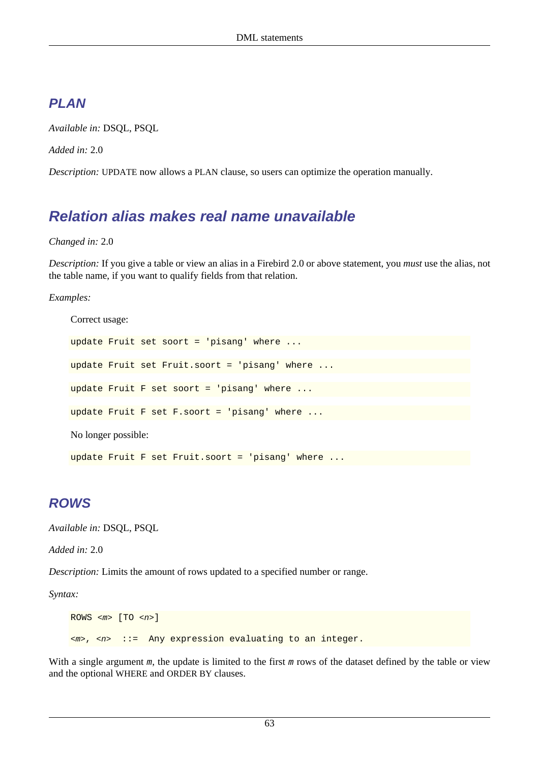## **PLAN**

*Available in:* DSQL, PSQL

*Added in:* 2.0

*Description:* UPDATE now allows a PLAN clause, so users can optimize the operation manually.

# **Relation alias makes real name unavailable**

#### *Changed in:* 2.0

*Description:* If you give a table or view an alias in a Firebird 2.0 or above statement, you *must* use the alias, not the table name, if you want to qualify fields from that relation.

#### *Examples:*

```
Correct usage:
update Fruit set soort = 'pisang' where ...
update Fruit set Fruit.soort = 'pisang' where .
update Fruit F set soort = 'pisang' where ...
update Fruit F set F.soort = 'pisang' where ...
No longer possible:
update Fruit F set Fruit.soort = 'pisang' where ...
```
## **ROWS**

*Available in:* DSQL, PSQL

*Added in:* 2.0

*Description:* Limits the amount of rows updated to a specified number or range.

*Syntax:*

```
ROWS \langle m \rangle [TO \langle n \rangle]
\langle m \rangle, \langle n \rangle ::= Any expression evaluating to an integer.
```
With a single argument m, the update is limited to the first m rows of the dataset defined by the table or view and the optional WHERE and ORDER BY clauses.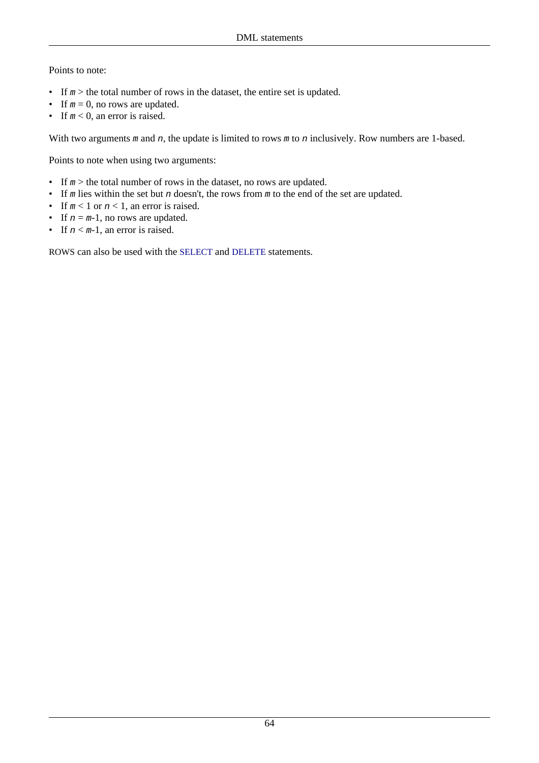#### Points to note:

- If  $m >$  the total number of rows in the dataset, the entire set is updated.
- If  $m = 0$ , no rows are updated.
- If  $m < 0$ , an error is raised.

With two arguments  $m$  and  $n$ , the update is limited to rows  $m$  to  $n$  inclusively. Row numbers are 1-based.

Points to note when using two arguments:

- If  $m >$  the total number of rows in the dataset, no rows are updated.
- If m lies within the set but n doesn't, the rows from  $m$  to the end of the set are updated.
- If  $m < 1$  or  $n < 1$ , an error is raised.
- If  $n = m-1$ , no rows are updated.
- If  $n < m-1$ , an error is raised.

ROWS can also be used with the [SELECT](#page-68-0) and [DELETE](#page-51-0) statements.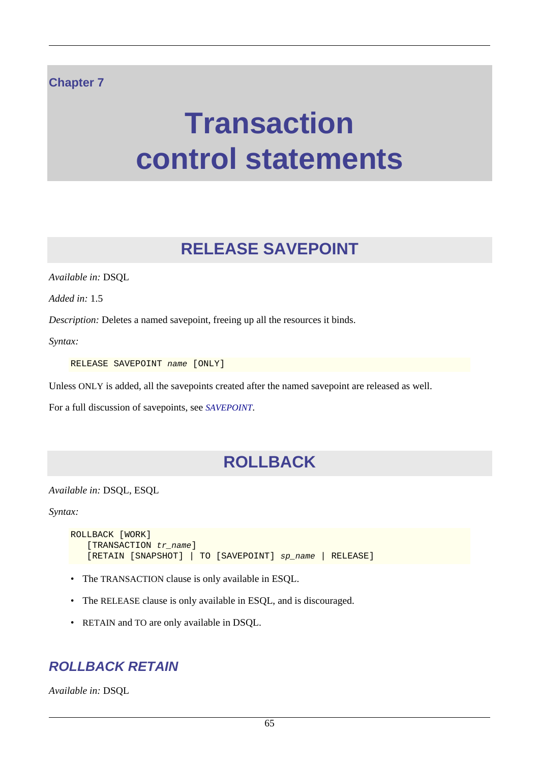### **Chapter 7**

# **Transaction control statements**

# **RELEASE SAVEPOINT**

*Available in:* DSQL

*Added in:* 1.5

*Description:* Deletes a named savepoint, freeing up all the resources it binds.

*Syntax:*

RELEASE SAVEPOINT name [ONLY]

Unless ONLY is added, all the savepoints created after the named savepoint are released as well.

For a full discussion of savepoints, see *[SAVEPOINT](#page-75-0)*.

# **ROLLBACK**

*Available in:* DSQL, ESQL

*Syntax:*

```
ROLLBACK [WORK]
   [TRANSACTION tr_name]
    [RETAIN [SNAPSHOT] | TO [SAVEPOINT] sp_name | RELEASE]
```
- The TRANSACTION clause is only available in ESQL.
- The RELEASE clause is only available in ESQL, and is discouraged.
- RETAIN and TO are only available in DSQL.

### **ROLLBACK RETAIN**

*Available in:* DSQL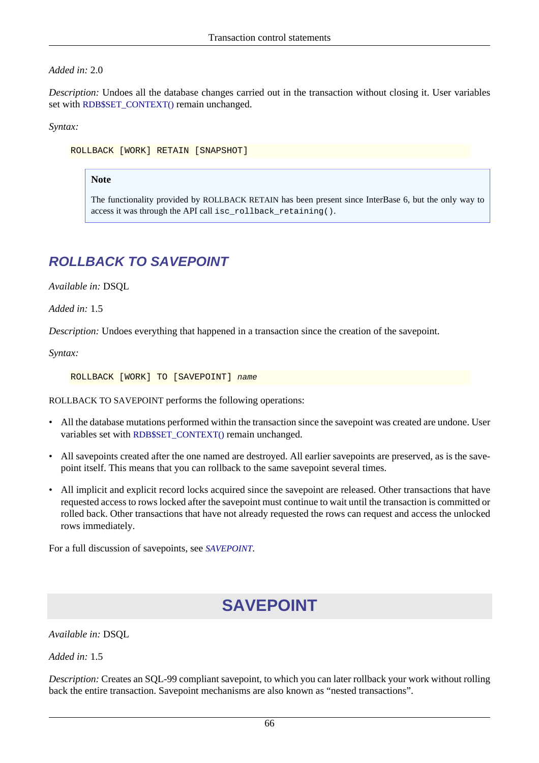#### *Added in:* 2.0

*Description:* Undoes all the database changes carried out in the transaction without closing it. User variables set with [RDB\\$SET\\_CONTEXT\(\)](#page-113-0) remain unchanged.

*Syntax:*

ROLLBACK [WORK] RETAIN [SNAPSHOT]

#### **Note**

The functionality provided by ROLLBACK RETAIN has been present since InterBase 6, but the only way to access it was through the API call isc\_rollback\_retaining().

## **ROLLBACK TO SAVEPOINT**

*Available in:* DSQL

*Added in:* 1.5

*Description:* Undoes everything that happened in a transaction since the creation of the savepoint.

*Syntax:*

ROLLBACK [WORK] TO [SAVEPOINT] name

ROLLBACK TO SAVEPOINT performs the following operations:

- All the database mutations performed within the transaction since the savepoint was created are undone. User variables set with [RDB\\$SET\\_CONTEXT\(\)](#page-113-0) remain unchanged.
- All savepoints created after the one named are destroyed. All earlier savepoints are preserved, as is the savepoint itself. This means that you can rollback to the same savepoint several times.
- All implicit and explicit record locks acquired since the savepoint are released. Other transactions that have requested access to rows locked after the savepoint must continue to wait until the transaction is committed or rolled back. Other transactions that have not already requested the rows can request and access the unlocked rows immediately.

<span id="page-75-0"></span>For a full discussion of savepoints, see *[SAVEPOINT](#page-75-0)*.

# **SAVEPOINT**

*Available in:* DSQL

*Added in:* 1.5

*Description:* Creates an SQL-99 compliant savepoint, to which you can later rollback your work without rolling back the entire transaction. Savepoint mechanisms are also known as "nested transactions".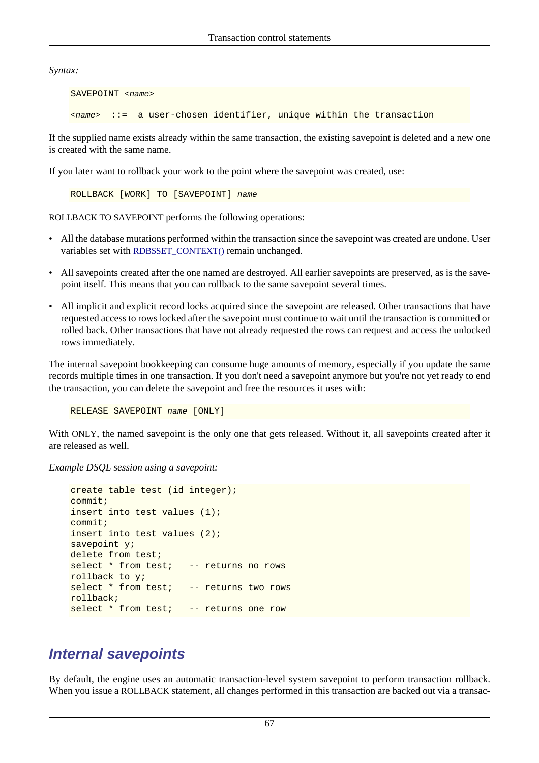*Syntax:*

SAVEPOINT <name> <name> ::= a user-chosen identifier, unique within the transaction

If the supplied name exists already within the same transaction, the existing savepoint is deleted and a new one is created with the same name.

If you later want to rollback your work to the point where the savepoint was created, use:

ROLLBACK [WORK] TO [SAVEPOINT] name

ROLLBACK TO SAVEPOINT performs the following operations:

- All the database mutations performed within the transaction since the savepoint was created are undone. User variables set with [RDB\\$SET\\_CONTEXT\(\)](#page-113-0) remain unchanged.
- All savepoints created after the one named are destroyed. All earlier savepoints are preserved, as is the savepoint itself. This means that you can rollback to the same savepoint several times.
- All implicit and explicit record locks acquired since the savepoint are released. Other transactions that have requested access to rows locked after the savepoint must continue to wait until the transaction is committed or rolled back. Other transactions that have not already requested the rows can request and access the unlocked rows immediately.

The internal savepoint bookkeeping can consume huge amounts of memory, especially if you update the same records multiple times in one transaction. If you don't need a savepoint anymore but you're not yet ready to end the transaction, you can delete the savepoint and free the resources it uses with:

RELEASE SAVEPOINT name [ONLY]

With ONLY, the named savepoint is the only one that gets released. Without it, all savepoints created after it are released as well.

*Example DSQL session using a savepoint:*

```
create table test (id integer);
commit;
insert into test values (1);
commit;
insert into test values (2);
savepoint y;
delete from test;
select * from test; -- returns no rows
rollback to y;
select * from test; -- returns two rows
rollback;
select * from test; -- returns one row
```
## **Internal savepoints**

By default, the engine uses an automatic transaction-level system savepoint to perform transaction rollback. When you issue a ROLLBACK statement, all changes performed in this transaction are backed out via a transac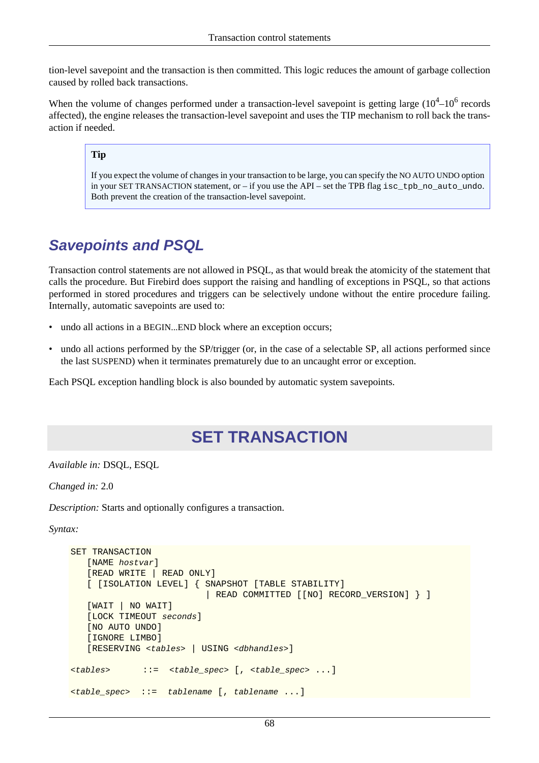tion-level savepoint and the transaction is then committed. This logic reduces the amount of garbage collection caused by rolled back transactions.

When the volume of changes performed under a transaction-level savepoint is getting large  $(10^4 - 10^6$  records affected), the engine releases the transaction-level savepoint and uses the TIP mechanism to roll back the transaction if needed.

#### **Tip**

If you expect the volume of changes in your transaction to be large, you can specify the NO AUTO UNDO option in your SET TRANSACTION statement, or – if you use the API – set the TPB flag isc\_tpb\_no\_auto\_undo. Both prevent the creation of the transaction-level savepoint.

## **Savepoints and PSQL**

Transaction control statements are not allowed in PSQL, as that would break the atomicity of the statement that calls the procedure. But Firebird does support the raising and handling of exceptions in PSQL, so that actions performed in stored procedures and triggers can be selectively undone without the entire procedure failing. Internally, automatic savepoints are used to:

- undo all actions in a BEGIN...END block where an exception occurs;
- undo all actions performed by the SP/trigger (or, in the case of a selectable SP, all actions performed since the last SUSPEND) when it terminates prematurely due to an uncaught error or exception.

Each PSQL exception handling block is also bounded by automatic system savepoints.

# **SET TRANSACTION**

*Available in:* DSQL, ESQL

*Changed in:* 2.0

*Description:* Starts and optionally configures a transaction.

*Syntax:*

```
SET TRANSACTION
    [NAME hostvar]
    [READ WRITE | READ ONLY]
    [ [ISOLATION LEVEL] { SNAPSHOT [TABLE STABILITY]
                           | READ COMMITTED [[NO] RECORD_VERSION] } ]
    [WAIT | NO WAIT]
   [LOCK TIMEOUT seconds]
    [NO AUTO UNDO]
    [IGNORE LIMBO]
    [RESERVING <tables> | USING <dbhandles>]
<tables> ::= <table_spec> [, <table_spec> ...]
<table_spec> ::= tablename [, tablename ...]
```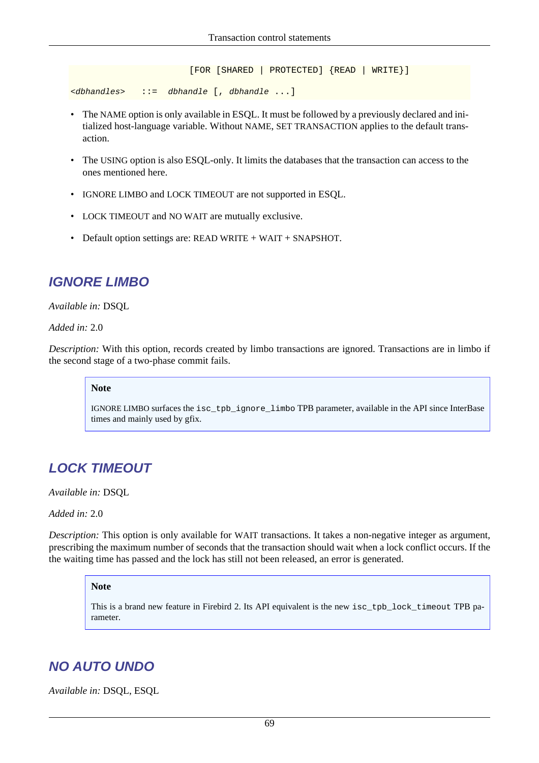```
 [FOR [SHARED | PROTECTED] {READ | WRITE}]
<dbhandles> ::= dbhandle [, dbhandle ...]
```
- The NAME option is only available in ESQL. It must be followed by a previously declared and initialized host-language variable. Without NAME, SET TRANSACTION applies to the default transaction.
- The USING option is also ESQL-only. It limits the databases that the transaction can access to the ones mentioned here.
- IGNORE LIMBO and LOCK TIMEOUT are not supported in ESQL.
- LOCK TIMEOUT and NO WAIT are mutually exclusive.
- Default option settings are: READ WRITE + WAIT + SNAPSHOT.

## **IGNORE LIMBO**

*Available in:* DSQL

*Added in:* 2.0

*Description:* With this option, records created by limbo transactions are ignored. Transactions are in limbo if the second stage of a two-phase commit fails.

#### **Note**

IGNORE LIMBO surfaces the isc\_tpb\_ignore\_limbo TPB parameter, available in the API since InterBase times and mainly used by gfix.

## **LOCK TIMEOUT**

*Available in:* DSQL

*Added in:* 2.0

*Description:* This option is only available for WAIT transactions. It takes a non-negative integer as argument, prescribing the maximum number of seconds that the transaction should wait when a lock conflict occurs. If the the waiting time has passed and the lock has still not been released, an error is generated.

#### **Note**

This is a brand new feature in Firebird 2. Its API equivalent is the new isc\_tpb\_lock\_timeout TPB parameter.

## **NO AUTO UNDO**

*Available in:* DSQL, ESQL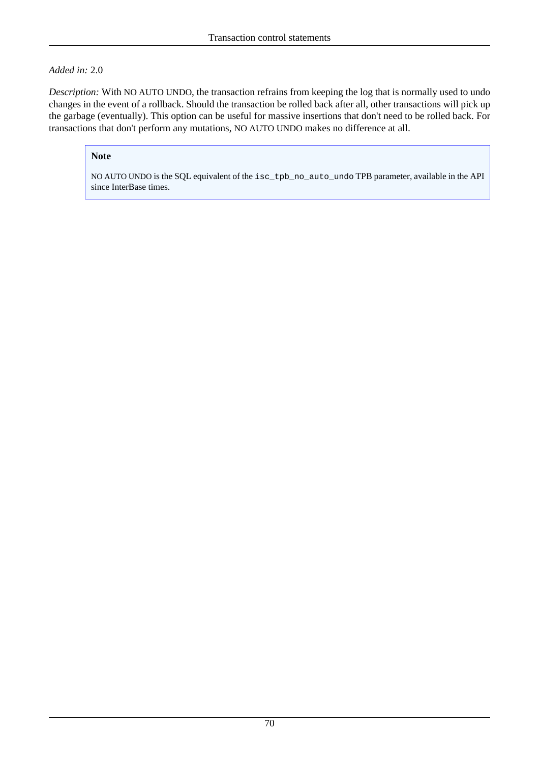#### *Added in:* 2.0

*Description:* With NO AUTO UNDO, the transaction refrains from keeping the log that is normally used to undo changes in the event of a rollback. Should the transaction be rolled back after all, other transactions will pick up the garbage (eventually). This option can be useful for massive insertions that don't need to be rolled back. For transactions that don't perform any mutations, NO AUTO UNDO makes no difference at all.

#### **Note**

NO AUTO UNDO is the SQL equivalent of the isc\_tpb\_no\_auto\_undo TPB parameter, available in the API since InterBase times.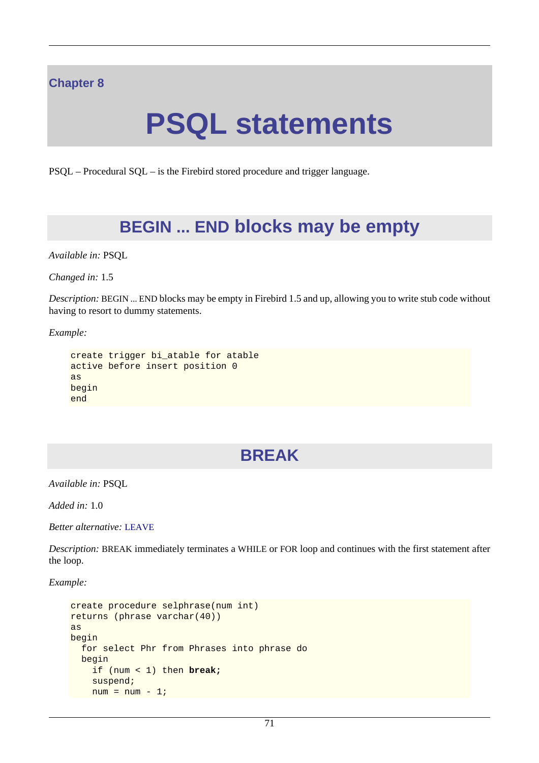### **Chapter 8**

# **PSQL statements**

PSQL – Procedural SQL – is the Firebird stored procedure and trigger language.

# **BEGIN ... END blocks may be empty**

*Available in:* PSQL

*Changed in:* 1.5

*Description:* BEGIN ... END blocks may be empty in Firebird 1.5 and up, allowing you to write stub code without having to resort to dummy statements.

*Example:*

```
create trigger bi_atable for atable
active before insert position 0
as
begin
end
```
# **BREAK**

*Available in:* PSQL

*Added in:* 1.0

*Better alternative:* [LEAVE](#page-89-0)

*Description:* BREAK immediately terminates a WHILE or FOR loop and continues with the first statement after the loop.

*Example:*

```
create procedure selphrase(num int)
returns (phrase varchar(40))
as
begin
   for select Phr from Phrases into phrase do
  begin
     if (num < 1) then break;
     suspend;
   num = num - 1;
```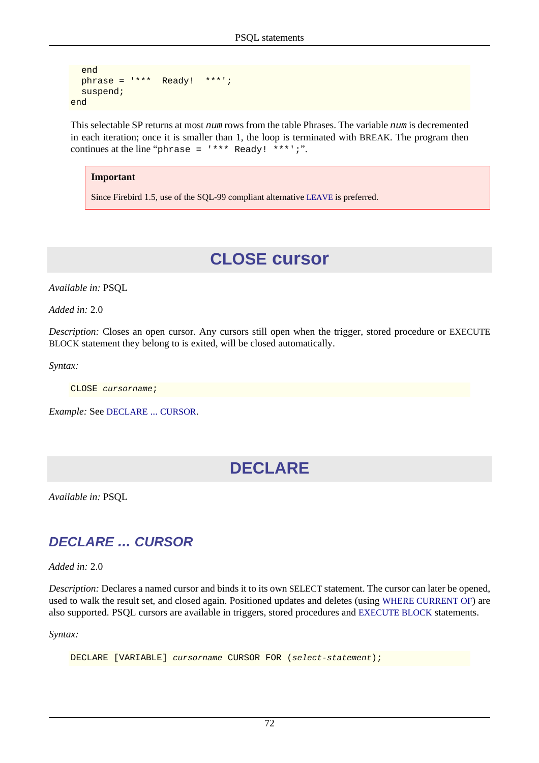```
 end
   phrase = '*** Ready! ***';
   suspend;
end
```
This selectable SP returns at most num rows from the table Phrases. The variable num is decremented in each iteration; once it is smaller than 1, the loop is terminated with BREAK. The program then continues at the line "phrase =  $***$  Ready! \*\*\*';".

#### **Important**

<span id="page-81-1"></span>Since Firebird 1.5, use of the SQL-99 compliant alternative [LEAVE](#page-89-0) is preferred.

# **CLOSE cursor**

*Available in:* PSQL

*Added in:* 2.0

*Description:* Closes an open cursor. Any cursors still open when the trigger, stored procedure or EXECUTE BLOCK statement they belong to is exited, will be closed automatically.

*Syntax:*

CLOSE cursorname;

*Example:* See [DECLARE](#page-81-0) ... CURSOR.

# **DECLARE**

<span id="page-81-0"></span>*Available in:* PSQL

## **DECLARE ... CURSOR**

*Added in:* 2.0

*Description:* Declares a named cursor and binds it to its own SELECT statement. The cursor can later be opened, used to walk the result set, and closed again. Positioned updates and deletes (using [WHERE CURRENT OF](#page-91-0)) are also supported. PSQL cursors are available in triggers, stored procedures and [EXECUTE BLOCK](#page-52-0) statements.

*Syntax:*

DECLARE [VARIABLE] cursorname CURSOR FOR (select-statement);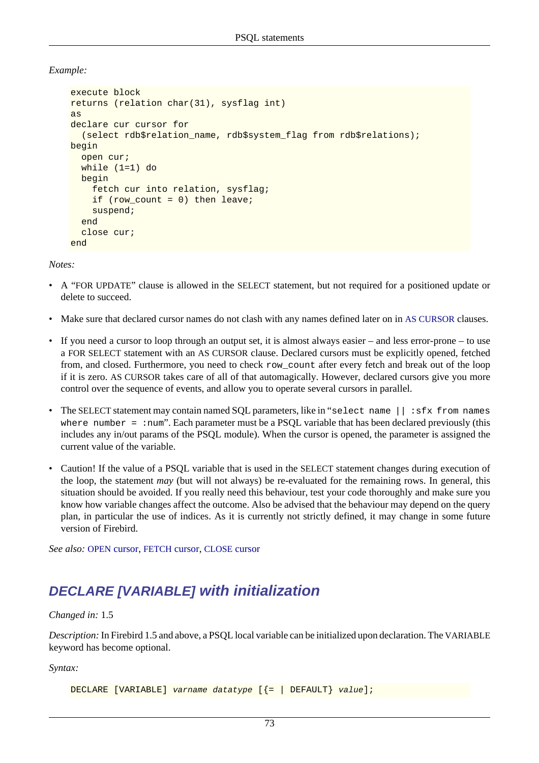*Example:*

```
execute block
returns (relation char(31), sysflag int)
as
declare cur cursor for 
   (select rdb$relation_name, rdb$system_flag from rdb$relations);
begin
   open cur;
   while (1=1) do
   begin
     fetch cur into relation, sysflag;
    if (row_count = 0) then leave;
     suspend;
   end
   close cur;
end
```
*Notes:*

- A "FOR UPDATE" clause is allowed in the SELECT statement, but not required for a positioned update or delete to succeed.
- Make sure that declared cursor names do not clash with any names defined later on in [AS CURSOR](#page-88-0) clauses.
- If you need a cursor to loop through an output set, it is almost always easier and less error-prone to use a FOR SELECT statement with an AS CURSOR clause. Declared cursors must be explicitly opened, fetched from, and closed. Furthermore, you need to check row\_count after every fetch and break out of the loop if it is zero. AS CURSOR takes care of all of that automagically. However, declared cursors give you more control over the sequence of events, and allow you to operate several cursors in parallel.
- The SELECT statement may contain named SQL parameters, like in "select name || : sfx from names where number = : num". Each parameter must be a PSQL variable that has been declared previously (this includes any in/out params of the PSQL module). When the cursor is opened, the parameter is assigned the current value of the variable.
- Caution! If the value of a PSQL variable that is used in the SELECT statement changes during execution of the loop, the statement *may* (but will not always) be re-evaluated for the remaining rows. In general, this situation should be avoided. If you really need this behaviour, test your code thoroughly and make sure you know how variable changes affect the outcome. Also be advised that the behaviour may depend on the query plan, in particular the use of indices. As it is currently not strictly defined, it may change in some future version of Firebird.

*See also:* OPEN [cursor,](#page-90-0) [FETCH](#page-87-0) cursor, [CLOSE](#page-81-1) cursor

# **DECLARE [VARIABLE] with initialization**

#### *Changed in:* 1.5

*Description:* In Firebird 1.5 and above, a PSQL local variable can be initialized upon declaration. The VARIABLE keyword has become optional.

*Syntax:*

DECLARE [VARIABLE] varname datatype [{= | DEFAULT} value];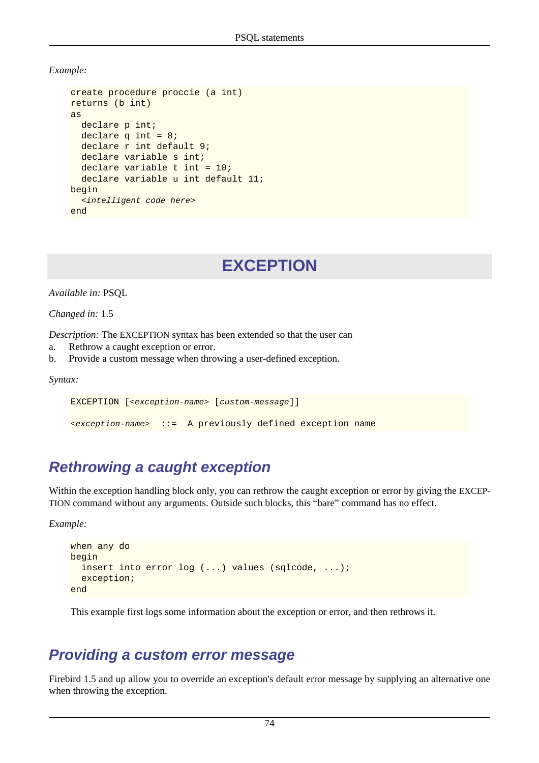*Example:*

```
create procedure proccie (a int)
returns (b int)
as
  declare p int;
  declare q int = 8;
  declare r int default 9;
  declare variable s int;
  declare variable t int = 10;
  declare variable u int default 11;
begin
   <intelligent code here>
end
```
# **EXCEPTION**

*Available in:* PSQL

*Changed in:* 1.5

*Description:* The EXCEPTION syntax has been extended so that the user can

- a. Rethrow a caught exception or error.
- b. Provide a custom message when throwing a user-defined exception.

*Syntax:*

EXCEPTION [<exception-name> [custom-message]]

<exception-name> ::= A previously defined exception name

## **Rethrowing a caught exception**

Within the exception handling block only, you can rethrow the caught exception or error by giving the EXCEP-TION command without any arguments. Outside such blocks, this "bare" command has no effect.

*Example:*

```
when any do
begin
   insert into error_log (...) values (sqlcode, ...);
   exception;
end
```
This example first logs some information about the exception or error, and then rethrows it.

## **Providing a custom error message**

Firebird 1.5 and up allow you to override an exception's default error message by supplying an alternative one when throwing the exception.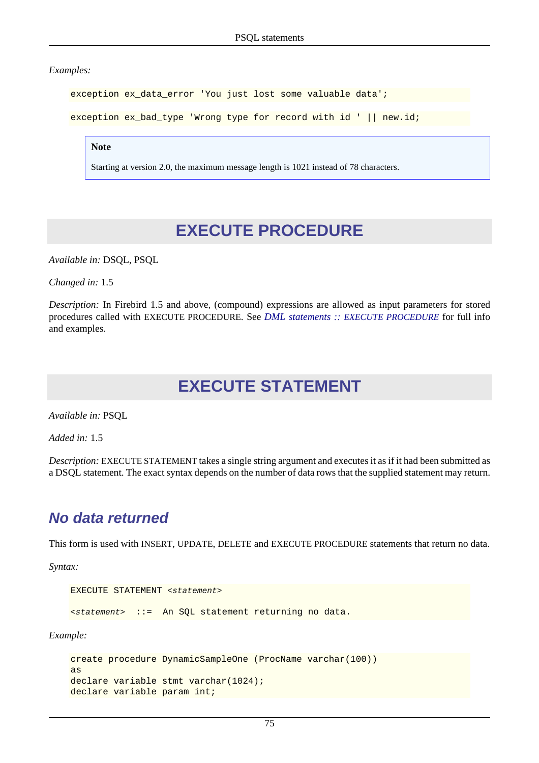*Examples:*

exception ex\_data\_error 'You just lost some valuable data';

exception ex\_bad\_type 'Wrong type for record with id ' || new.id;

**Note**

Starting at version 2.0, the maximum message length is 1021 instead of 78 characters.

# **EXECUTE PROCEDURE**

*Available in:* DSQL, PSQL

*Changed in:* 1.5

*Description:* In Firebird 1.5 and above, (compound) expressions are allowed as input parameters for stored procedures called with EXECUTE PROCEDURE. See *DML statements :: [EXECUTE PROCEDURE](#page-54-0)* for full info and examples.

# **EXECUTE STATEMENT**

*Available in:* PSQL

*Added in:* 1.5

*Description:* EXECUTE STATEMENT takes a single string argument and executes it as if it had been submitted as a DSQL statement. The exact syntax depends on the number of data rows that the supplied statement may return.

## **No data returned**

This form is used with INSERT, UPDATE, DELETE and EXECUTE PROCEDURE statements that return no data.

*Syntax:*

```
EXECUTE STATEMENT <statement>
<statement> ::= An SQL statement returning no data.
```
*Example:*

```
create procedure DynamicSampleOne (ProcName varchar(100))
as
declare variable stmt varchar(1024);
declare variable param int;
```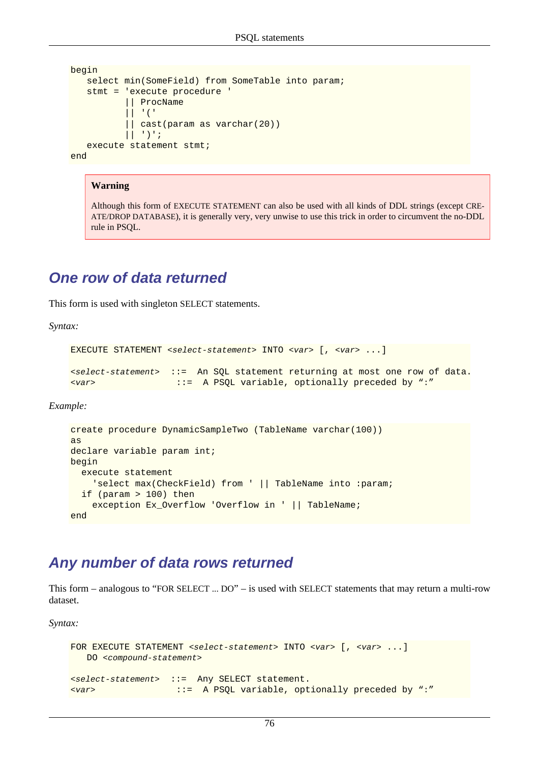```
begin
   select min(SomeField) from SomeTable into param;
    stmt = 'execute procedure ' 
            || ProcName 
            || '(' 
            || cast(param as varchar(20)) 
           | | ')';
    execute statement stmt;
end
```
#### **Warning**

Although this form of EXECUTE STATEMENT can also be used with all kinds of DDL strings (except CRE-ATE/DROP DATABASE), it is generally very, very unwise to use this trick in order to circumvent the no-DDL rule in PSQL.

### **One row of data returned**

This form is used with singleton SELECT statements.

*Syntax:*

```
EXECUTE STATEMENT <select-statement> INTO <var> [, <var> ...]
<select-statement> ::= An SQL statement returning at most one row of data.
<var> ::= A PSQL variable, optionally preceded by ":"
```
*Example:*

```
create procedure DynamicSampleTwo (TableName varchar(100))
as
declare variable param int;
begin
   execute statement
     'select max(CheckField) from ' || TableName into :param;
   if (param > 100) then
     exception Ex_Overflow 'Overflow in ' || TableName;
end
```
## <span id="page-85-0"></span>**Any number of data rows returned**

This form – analogous to "FOR SELECT ... DO" – is used with SELECT statements that may return a multi-row dataset.

*Syntax:*

```
FOR EXECUTE STATEMENT <select-statement> INTO <var> [, <var> ...]
   DO <compound-statement>
<select-statement> ::= Any SELECT statement.
<var> ::= A PSQL variable, optionally preceded by ":"
```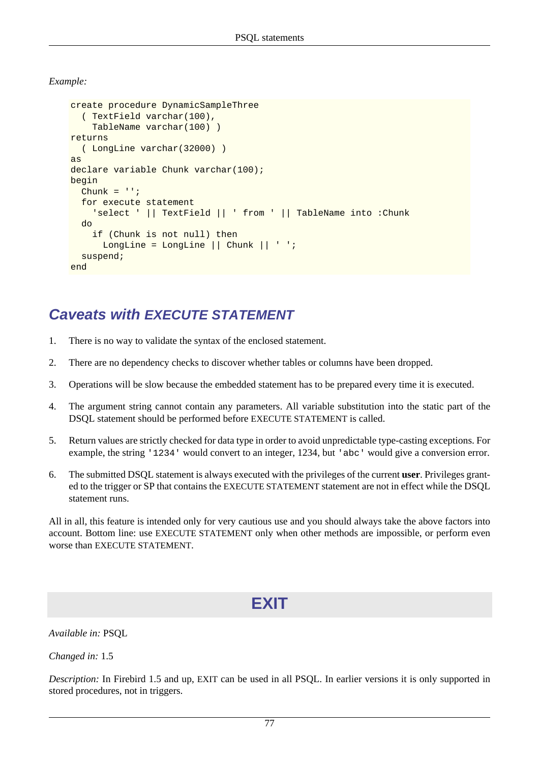*Example:*

```
create procedure DynamicSampleThree 
   ( TextField varchar(100),
     TableName varchar(100) )
returns 
   ( LongLine varchar(32000) )
as
declare variable Chunk varchar(100);
begin
  Chunk = '': for execute statement
     'select ' || TextField || ' from ' || TableName into :Chunk
   do
     if (Chunk is not null) then
       LongLine = LongLine || Chunk || ' ';
   suspend;
end
```
## **Caveats with EXECUTE STATEMENT**

- 1. There is no way to validate the syntax of the enclosed statement.
- 2. There are no dependency checks to discover whether tables or columns have been dropped.
- 3. Operations will be slow because the embedded statement has to be prepared every time it is executed.
- 4. The argument string cannot contain any parameters. All variable substitution into the static part of the DSQL statement should be performed before EXECUTE STATEMENT is called.
- 5. Return values are strictly checked for data type in order to avoid unpredictable type-casting exceptions. For example, the string '1234' would convert to an integer, 1234, but 'abc' would give a conversion error.
- 6. The submitted DSQL statement is always executed with the privileges of the current **user**. Privileges granted to the trigger or SP that contains the EXECUTE STATEMENT statement are not in effect while the DSQL statement runs.

All in all, this feature is intended only for very cautious use and you should always take the above factors into account. Bottom line: use EXECUTE STATEMENT only when other methods are impossible, or perform even worse than EXECUTE STATEMENT.

# **EXIT**

*Available in:* PSQL

*Changed in:* 1.5

*Description:* In Firebird 1.5 and up, EXIT can be used in all PSQL. In earlier versions it is only supported in stored procedures, not in triggers.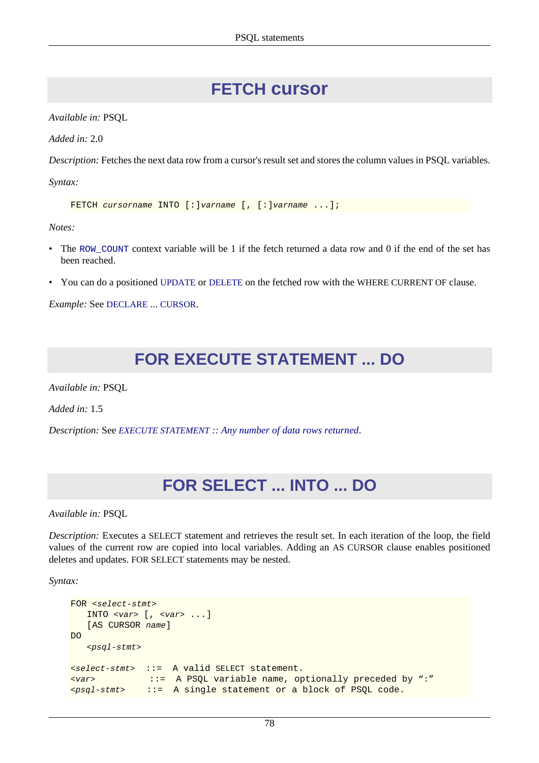# **FETCH cursor**

<span id="page-87-0"></span>*Available in:* PSQL

*Added in:* 2.0

*Description:* Fetches the next data row from a cursor's result set and stores the column values in PSQL variables.

*Syntax:*

```
FETCH cursorname INTO [: ]varname [, [: ]varname ... ];
```
*Notes:*

- The ROW COUNT context variable will be 1 if the fetch returned a data row and 0 if the end of the set has been reached.
- You can do a positioned [UPDATE](#page-71-0) or [DELETE](#page-50-0) on the fetched row with the WHERE CURRENT OF clause.

*Example:* See [DECLARE](#page-81-0) ... CURSOR.

# **FOR EXECUTE STATEMENT ... DO**

*Available in:* PSQL

*Added in:* 1.5

*Description:* See *EXECUTE STATEMENT [:: Any number of data rows returned](#page-85-0)*.

# **FOR SELECT ... INTO ... DO**

*Available in:* PSQL

*Description:* Executes a SELECT statement and retrieves the result set. In each iteration of the loop, the field values of the current row are copied into local variables. Adding an AS CURSOR clause enables positioned deletes and updates. FOR SELECT statements may be nested.

*Syntax:*

```
FOR <select-stmt>
    INTO <var> [, <var> ...]
   [AS CURSOR name]
D<sub>O</sub> <psql-stmt>
<select-stmt> ::= A valid SELECT statement.
<var> ::= A PSQL variable name, optionally preceded by ":"
<sub>psq1-stmt</sub> ::= A single statement or a block of PSQL code.</sub>
```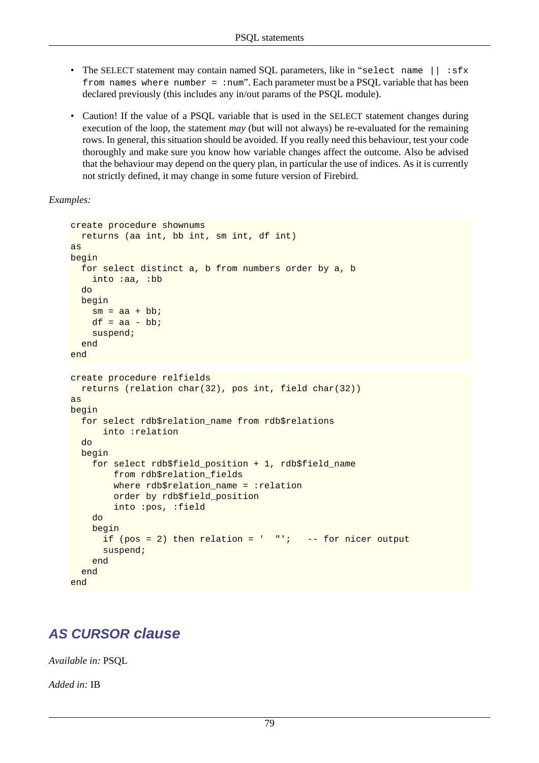- The SELECT statement may contain named SQL parameters, like in "select name || :sfx from names where number = : num". Each parameter must be a PSQL variable that has been declared previously (this includes any in/out params of the PSQL module).
- Caution! If the value of a PSOL variable that is used in the SELECT statement changes during execution of the loop, the statement *may* (but will not always) be re-evaluated for the remaining rows. In general, this situation should be avoided. If you really need this behaviour, test your code thoroughly and make sure you know how variable changes affect the outcome. Also be advised that the behaviour may depend on the query plan, in particular the use of indices. As it is currently not strictly defined, it may change in some future version of Firebird.

*Examples:*

```
create procedure shownums
   returns (aa int, bb int, sm int, df int)
as
begin
   for select distinct a, b from numbers order by a, b
     into :aa, :bb
   do
  begin
    sm = aa + bb;
    df = aa - bb;
     suspend;
   end
end
create procedure relfields
   returns (relation char(32), pos int, field char(32))
as
begin
   for select rdb$relation_name from rdb$relations
       into :relation
   do
   begin
     for select rdb$field_position + 1, rdb$field_name
         from rdb$relation_fields
        where rdb$relation name = :relation order by rdb$field_position
         into :pos, :field
     do
     begin
      if (pos = 2) then relation = " " "'; -- for nicer output
       suspend;
     end
   end
end
```
## <span id="page-88-0"></span>**AS CURSOR clause**

*Available in:* PSQL

*Added in:* IB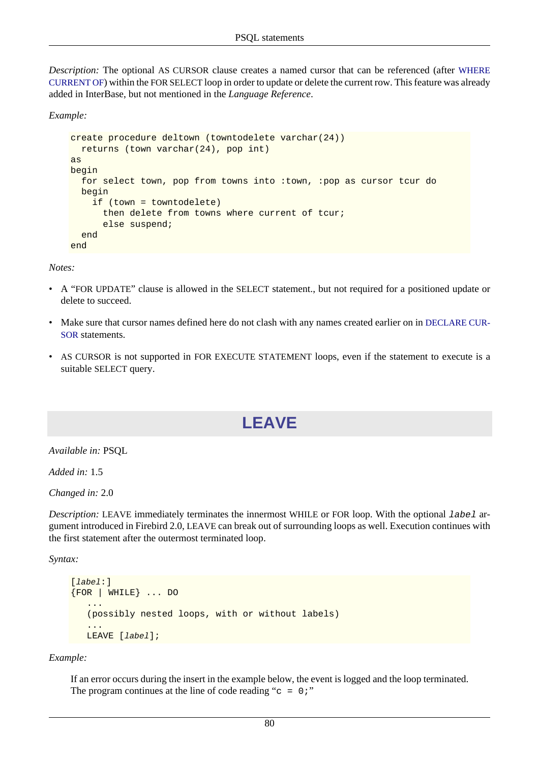*Description:* The optional AS CURSOR clause creates a named cursor that can be referenced (after [WHERE](#page-91-0) [CURRENT OF](#page-91-0)) within the FOR SELECT loop in order to update or delete the current row. This feature was already added in InterBase, but not mentioned in the *Language Reference*.

*Example:*

```
create procedure deltown (towntodelete varchar(24))
   returns (town varchar(24), pop int)
as
begin
   for select town, pop from towns into :town, :pop as cursor tcur do
  begin
     if (town = towntodelete)
       then delete from towns where current of tcur;
       else suspend;
   end
end
```
*Notes:*

- A "FOR UPDATE" clause is allowed in the SELECT statement., but not required for a positioned update or delete to succeed.
- Make sure that cursor names defined here do not clash with any names created earlier on in [DECLARE CUR-](#page-81-0)[SOR](#page-81-0) statements.
- <span id="page-89-0"></span>• AS CURSOR is not supported in FOR EXECUTE STATEMENT loops, even if the statement to execute is a suitable SELECT query.

# **LEAVE**

*Available in:* PSQL

*Added in:* 1.5

*Changed in:* 2.0

*Description:* LEAVE immediately terminates the innermost WHILE or FOR loop. With the optional label argument introduced in Firebird 2.0, LEAVE can break out of surrounding loops as well. Execution continues with the first statement after the outermost terminated loop.

*Syntax:*

```
[label:]
{FOR | WHILE} ... DO
    ...
    (possibly nested loops, with or without labels)
    ...
    LEAVE [label];
```
*Example:*

If an error occurs during the insert in the example below, the event is logged and the loop terminated. The program continues at the line of code reading " $c = 0$ ;"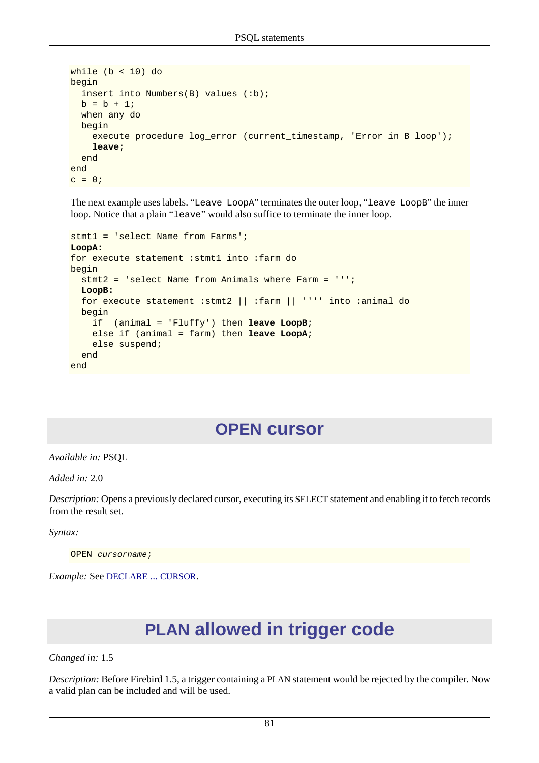```
while (b < 10) do
begin
  insert into Numbers(B) values (:b);
 b = b + 1; when any do
   begin
     execute procedure log_error (current_timestamp, 'Error in B loop');
     leave;
   end
end
c = 0;
```
The next example uses labels. "Leave LoopA" terminates the outer loop, "leave LoopB" the inner loop. Notice that a plain "leave" would also suffice to terminate the inner loop.

```
stmt1 = 'select Name from Farms';
LoopA:
for execute statement : stmt1 into : farm do
begin
   stmt2 = 'select Name from Animals where Farm = ''';
  LoopB:
  for execute statement :stmt2 || :farm || '''' into :animal do
   begin
     if (animal = 'Fluffy') then leave LoopB;
     else if (animal = farm) then leave LoopA;
     else suspend;
   end
end
```
## **OPEN cursor**

<span id="page-90-0"></span>*Available in:* PSQL

*Added in:* 2.0

*Description:* Opens a previously declared cursor, executing its SELECT statement and enabling it to fetch records from the result set.

*Syntax:*

OPEN cursorname;

*Example:* See [DECLARE](#page-81-0) ... CURSOR.

# **PLAN allowed in trigger code**

*Changed in:* 1.5

*Description:* Before Firebird 1.5, a trigger containing a PLAN statement would be rejected by the compiler. Now a valid plan can be included and will be used.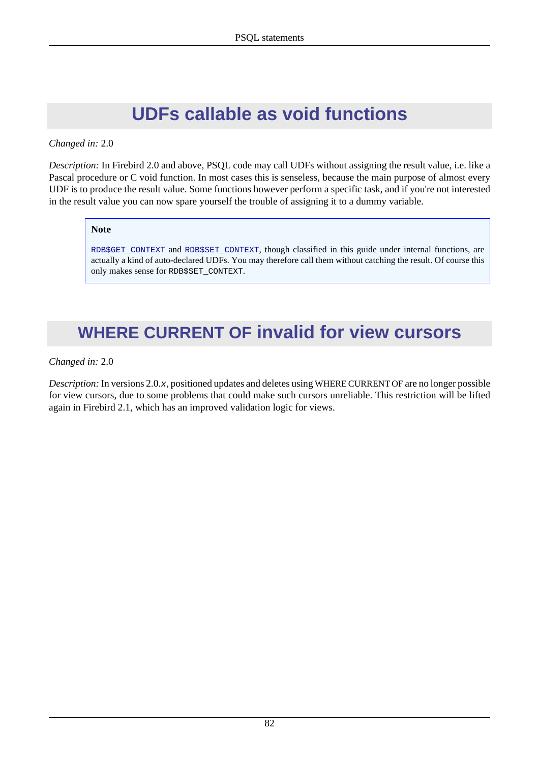# **UDFs callable as void functions**

#### *Changed in:* 2.0

*Description:* In Firebird 2.0 and above, PSQL code may call UDFs without assigning the result value, i.e. like a Pascal procedure or C void function. In most cases this is senseless, because the main purpose of almost every UDF is to produce the result value. Some functions however perform a specific task, and if you're not interested in the result value you can now spare yourself the trouble of assigning it to a dummy variable.

#### **Note**

[RDB\\$GET\\_CONTEXT](#page-112-0) and [RDB\\$SET\\_CONTEXT](#page-113-0), though classified in this guide under internal functions, are actually a kind of auto-declared UDFs. You may therefore call them without catching the result. Of course this only makes sense for RDB\$SET\_CONTEXT.

# <span id="page-91-0"></span>**WHERE CURRENT OF invalid for view cursors**

#### *Changed in:* 2.0

*Description:* In versions 2.0.x, positioned updates and deletes using WHERE CURRENT OF are no longer possible for view cursors, due to some problems that could make such cursors unreliable. This restriction will be lifted again in Firebird 2.1, which has an improved validation logic for views.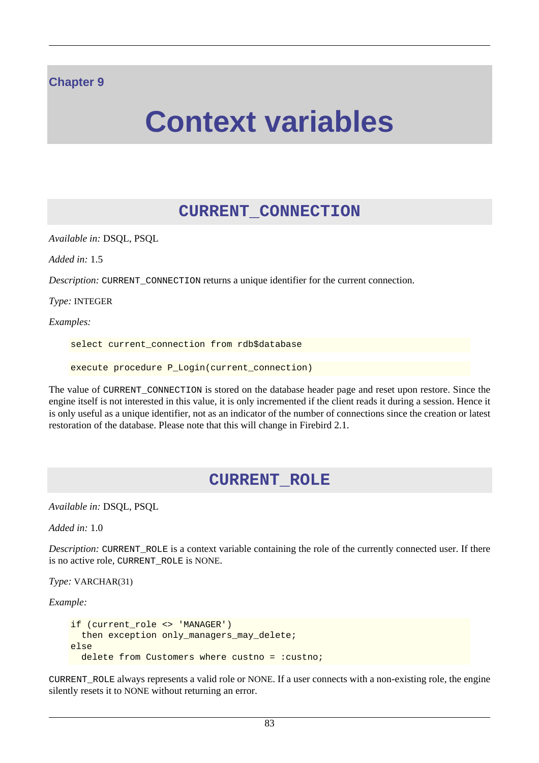#### **Chapter 9**

# **Context variables**

## **CURRENT\_CONNECTION**

*Available in:* DSQL, PSQL

*Added in:* 1.5

*Description:* CURRENT CONNECTION returns a unique identifier for the current connection.

*Type:* INTEGER

*Examples:*

select current\_connection from rdb\$database

execute procedure P\_Login(current\_connection)

The value of CURRENT\_CONNECTION is stored on the database header page and reset upon restore. Since the engine itself is not interested in this value, it is only incremented if the client reads it during a session. Hence it is only useful as a unique identifier, not as an indicator of the number of connections since the creation or latest restoration of the database. Please note that this will change in Firebird 2.1.

### **CURRENT\_ROLE**

*Available in:* DSQL, PSQL

*Added in:* 1.0

*Description:* CURRENT ROLE is a context variable containing the role of the currently connected user. If there is no active role, CURRENT\_ROLE is NONE.

*Type:* VARCHAR(31)

*Example:*

```
if (current_role <> 'MANAGER')
  then exception only managers may delete;
else
 delete from Customers where custno = : custno;
```
CURRENT\_ROLE always represents a valid role or NONE. If a user connects with a non-existing role, the engine silently resets it to NONE without returning an error.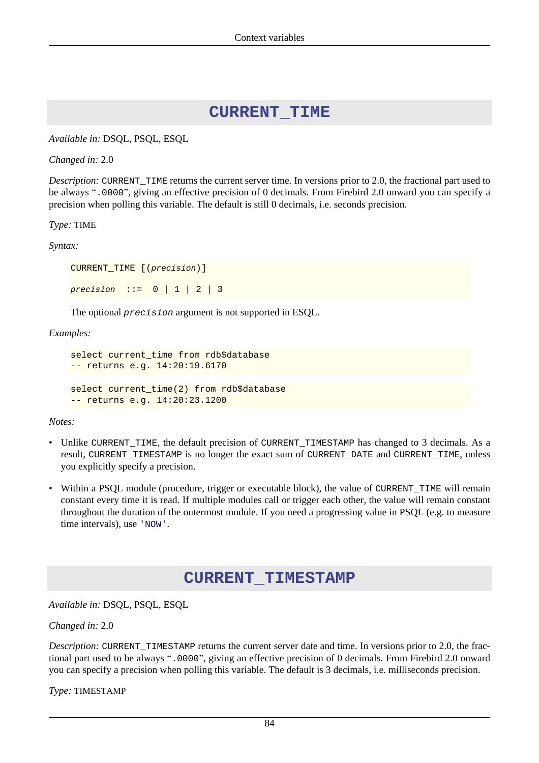#### **CURRENT\_TIME**

<span id="page-93-0"></span>*Available in:* DSQL, PSQL, ESQL

*Changed in:* 2.0

*Description:* CURRENT TIME returns the current server time. In versions prior to 2.0, the fractional part used to be always ".0000", giving an effective precision of 0 decimals. From Firebird 2.0 onward you can specify a precision when polling this variable. The default is still 0 decimals, i.e. seconds precision.

*Type:* TIME

*Syntax:*

```
CURRENT TIME [(precision)]
precision ::= 0 | 1 | 2 | 3
```
The optional precision argument is not supported in ESQL.

*Examples:*

```
select current_time from rdb$database
-- returns e.g. 14:20:19.6170
select current time(2) from rdb$database
-- returns e.g. 14:20:23.1200
```
*Notes:*

- Unlike CURRENT\_TIME, the default precision of CURRENT\_TIMESTAMP has changed to 3 decimals. As a result, CURRENT\_TIMESTAMP is no longer the exact sum of CURRENT\_DATE and CURRENT\_TIME, unless you explicitly specify a precision.
- <span id="page-93-1"></span>• Within a PSQL module (procedure, trigger or executable block), the value of CURRENT TIME will remain constant every time it is read. If multiple modules call or trigger each other, the value will remain constant throughout the duration of the outermost module. If you need a progressing value in PSQL (e.g. to measure time intervals), use ['NOW'](#page-96-0).

### **CURRENT\_TIMESTAMP**

*Available in:* DSQL, PSQL, ESQL

*Changed in:* 2.0

*Description:* CURRENT\_TIMESTAMP returns the current server date and time. In versions prior to 2.0, the fractional part used to be always ".0000", giving an effective precision of 0 decimals. From Firebird 2.0 onward you can specify a precision when polling this variable. The default is 3 decimals, i.e. milliseconds precision.

*Type:* TIMESTAMP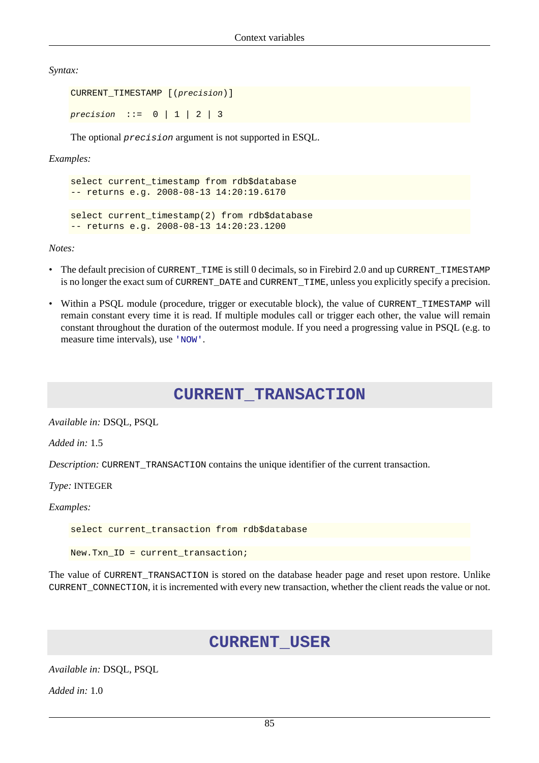*Syntax:*

```
CURRENT_TIMESTAMP [(precision)]
precision ::= 0 | 1 | 2 | 3
```
The optional precision argument is not supported in ESQL.

*Examples:*

```
select current_timestamp from rdb$database
-- returns e.g. 2008-08-13 14:20:19.6170
select current timestamp(2) from rdb$database
-- returns e.g. 2008-08-13 14:20:23.1200
```
*Notes:*

- The default precision of CURRENT\_TIME is still 0 decimals, so in Firebird 2.0 and up CURRENT\_TIMESTAMP is no longer the exact sum of CURRENT\_DATE and CURRENT\_TIME, unless you explicitly specify a precision.
- Within a PSQL module (procedure, trigger or executable block), the value of CURRENT\_TIMESTAMP will remain constant every time it is read. If multiple modules call or trigger each other, the value will remain constant throughout the duration of the outermost module. If you need a progressing value in PSQL (e.g. to measure time intervals), use ['NOW'](#page-96-0).

### **CURRENT\_TRANSACTION**

*Available in:* DSQL, PSQL

*Added in:* 1.5

*Description:* CURRENT TRANSACTION contains the unique identifier of the current transaction.

*Type:* INTEGER

*Examples:*

select current\_transaction from rdb\$database

New.Txn\_ID = current\_transaction;

The value of CURRENT\_TRANSACTION is stored on the database header page and reset upon restore. Unlike CURRENT\_CONNECTION, it is incremented with every new transaction, whether the client reads the value or not.

### **CURRENT\_USER**

*Available in:* DSQL, PSQL

*Added in:* 1.0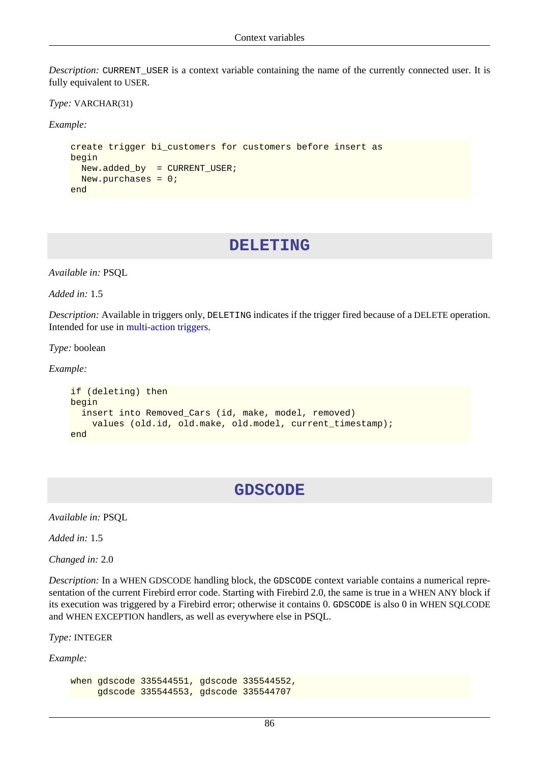*Description:* CURRENT\_USER is a context variable containing the name of the currently connected user. It is fully equivalent to USER.

*Type:* VARCHAR(31)

*Example:*

```
create trigger bi customers for customers before insert as
begin
  New.added_by = CURRENT_USER;
  New.purchases = 0;
end
```
#### **DELETING**

*Available in:* PSQL

*Added in:* 1.5

*Description:* Available in triggers only, DELETING indicates if the trigger fired because of a DELETE operation. Intended for use in [multi-action triggers.](#page-40-0)

*Type:* boolean

*Example:*

```
if (deleting) then
begin
   insert into Removed_Cars (id, make, model, removed)
     values (old.id, old.make, old.model, current_timestamp);
end
```
## **GDSCODE**

*Available in:* PSQL

*Added in:* 1.5

*Changed in:* 2.0

*Description:* In a WHEN GDSCODE handling block, the GDSCODE context variable contains a numerical representation of the current Firebird error code. Starting with Firebird 2.0, the same is true in a WHEN ANY block if its execution was triggered by a Firebird error; otherwise it contains 0. GDSCODE is also 0 in WHEN SQLCODE and WHEN EXCEPTION handlers, as well as everywhere else in PSQL.

*Type:* INTEGER

*Example:*

```
when gdscode 335544551, gdscode 335544552,
      gdscode 335544553, gdscode 335544707
```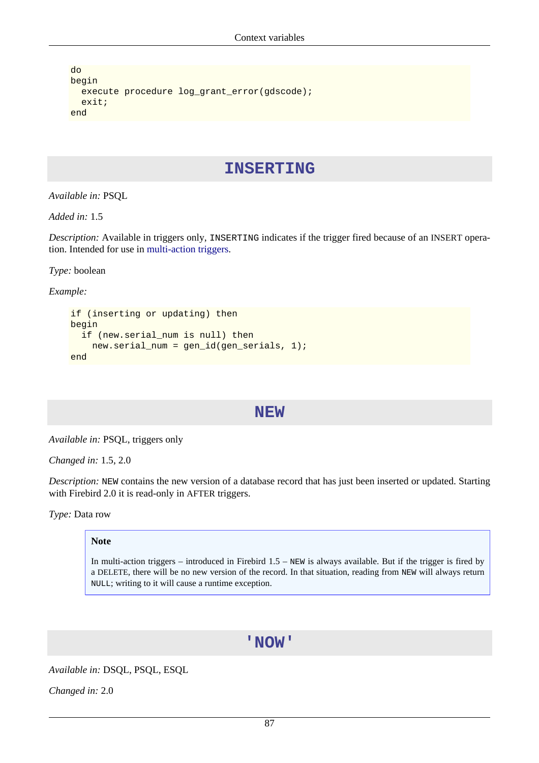```
do
begin
   execute procedure log_grant_error(gdscode);
   exit;
end
```
#### **INSERTING**

*Available in:* PSQL

*Added in:* 1.5

*Description:* Available in triggers only, INSERTING indicates if the trigger fired because of an INSERT operation. Intended for use in [multi-action triggers](#page-40-0).

*Type:* boolean

*Example:*

```
if (inserting or updating) then
begin
   if (new.serial_num is null) then
     new.serial_num = gen_id(gen_serials, 1);
end
```
#### **NEW**

*Available in:* PSQL, triggers only

*Changed in:* 1.5, 2.0

*Description:* NEW contains the new version of a database record that has just been inserted or updated. Starting with Firebird 2.0 it is read-only in AFTER triggers.

*Type:* Data row

#### **Note**

<span id="page-96-0"></span>In multi-action triggers – introduced in Firebird 1.5 – NEW is always available. But if the trigger is fired by a DELETE, there will be no new version of the record. In that situation, reading from NEW will always return NULL; writing to it will cause a runtime exception.

### **'NOW'**

*Available in:* DSQL, PSQL, ESQL

*Changed in:* 2.0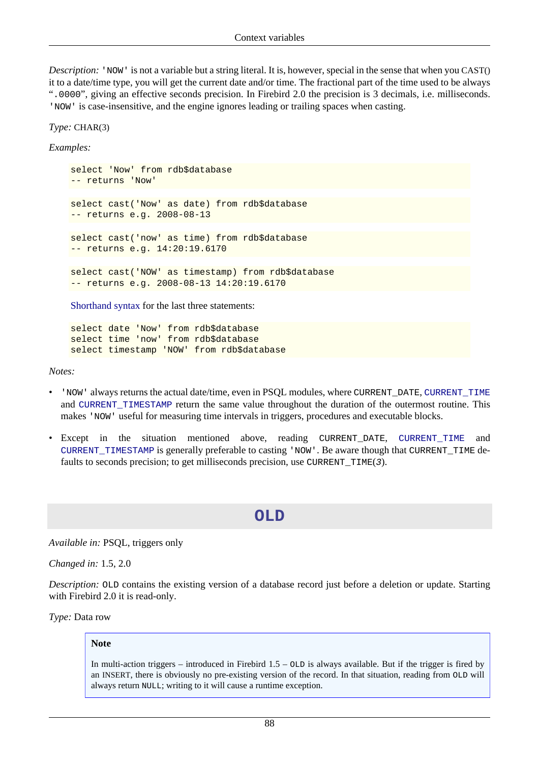*Description:* 'NOW' is not a variable but a string literal. It is, however, special in the sense that when you CAST() it to a date/time type, you will get the current date and/or time. The fractional part of the time used to be always ".0000", giving an effective seconds precision. In Firebird 2.0 the precision is 3 decimals, i.e. milliseconds. 'NOW' is case-insensitive, and the engine ignores leading or trailing spaces when casting.

*Type:* CHAR(3)

*Examples:*

select 'Now' from rdb\$database -- returns 'Now' select cast('Now' as date) from rdb\$database -- returns e.g. 2008-08-13 select cast('now' as time) from rdb\$database -- returns e.g. 14:20:19.6170 select cast('NOW' as timestamp) from rdb\$database -- returns e.g. 2008-08-13 14:20:19.6170

[Shorthand syntax](#page-15-0) for the last three statements:

select date 'Now' from rdb\$database select time 'now' from rdb\$database select timestamp 'NOW' from rdb\$database

*Notes:*

- 'NOW' always returns the actual date/time, even in PSQL modules, where CURRENT\_DATE, [CURRENT\\_TIME](#page-93-0) and [CURRENT\\_TIMESTAMP](#page-93-1) return the same value throughout the duration of the outermost routine. This makes 'NOW' useful for measuring time intervals in triggers, procedures and executable blocks.
- Except in the situation mentioned above, reading CURRENT\_DATE, [CURRENT\\_TIME](#page-93-0) and [CURRENT\\_TIMESTAMP](#page-93-1) is generally preferable to casting 'NOW'. Be aware though that CURRENT\_TIME defaults to seconds precision; to get milliseconds precision, use CURRENT  $TIME(3)$ .

#### **OLD**

*Available in:* PSQL, triggers only

*Changed in:* 1.5, 2.0

*Description:* OLD contains the existing version of a database record just before a deletion or update. Starting with Firebird 2.0 it is read-only.

*Type:* Data row

#### **Note**

In multi-action triggers – introduced in Firebird  $1.5 -$  OLD is always available. But if the trigger is fired by an INSERT, there is obviously no pre-existing version of the record. In that situation, reading from OLD will always return NULL; writing to it will cause a runtime exception.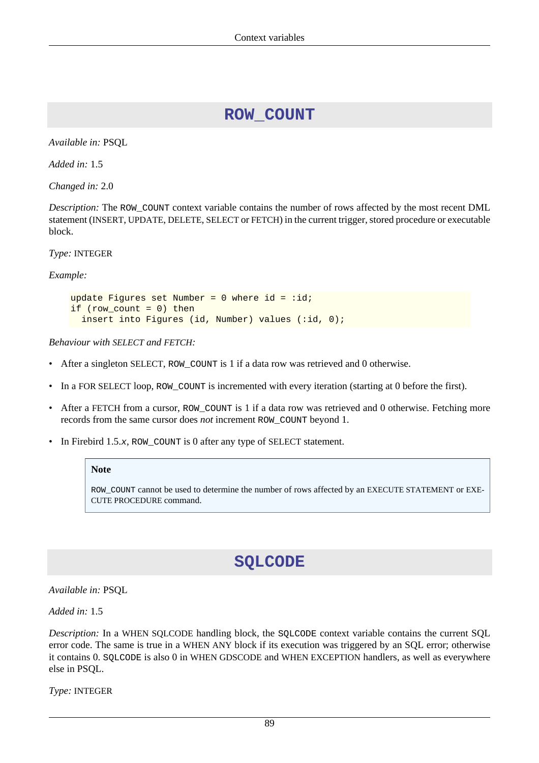## **ROW\_COUNT**

<span id="page-98-0"></span>*Available in:* PSQL

*Added in:* 1.5

*Changed in:* 2.0

*Description:* The ROW\_COUNT context variable contains the number of rows affected by the most recent DML statement (INSERT, UPDATE, DELETE, SELECT or FETCH) in the current trigger, stored procedure or executable block.

*Type:* INTEGER

*Example:*

```
update Figures set Number = 0 where id = :id;if (row_count = 0) then
  insert into Figures (id, Number) values (:id, 0);
```
*Behaviour with SELECT and FETCH:*

- After a singleton SELECT, ROW\_COUNT is 1 if a data row was retrieved and 0 otherwise.
- In a FOR SELECT loop, ROW\_COUNT is incremented with every iteration (starting at 0 before the first).
- After a FETCH from a cursor, ROW\_COUNT is 1 if a data row was retrieved and 0 otherwise. Fetching more records from the same cursor does *not* increment ROW\_COUNT beyond 1.
- In Firebird 1.5. $x$ , ROW COUNT is 0 after any type of SELECT statement.

#### **Note**

ROW\_COUNT cannot be used to determine the number of rows affected by an EXECUTE STATEMENT or EXE-CUTE PROCEDURE command.

## **SQLCODE**

*Available in:* PSQL

*Added in:* 1.5

*Description:* In a WHEN SQLCODE handling block, the SQLCODE context variable contains the current SQL error code. The same is true in a WHEN ANY block if its execution was triggered by an SQL error; otherwise it contains 0. SQLCODE is also 0 in WHEN GDSCODE and WHEN EXCEPTION handlers, as well as everywhere else in PSQL.

*Type:* INTEGER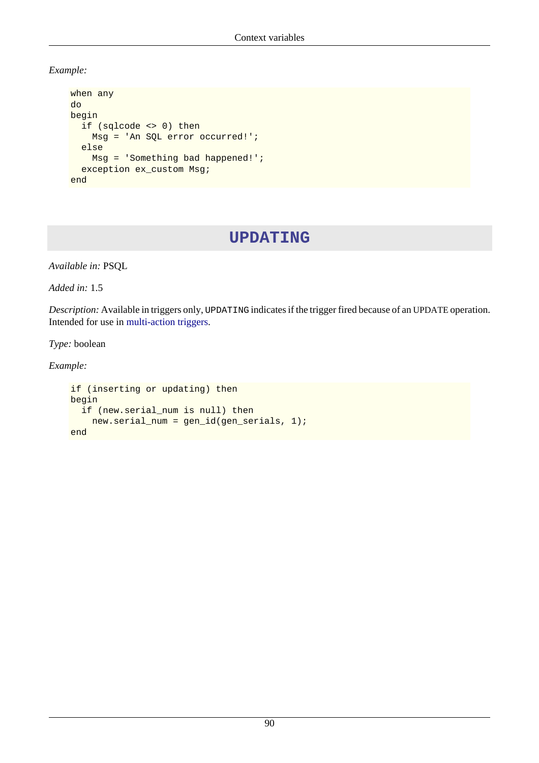*Example:*

```
when any
do
begin
   if (sqlcode <> 0) then
     Msg = 'An SQL error occurred!';
   else
     Msg = 'Something bad happened!';
   exception ex_custom Msg;
end
```
## **UPDATING**

*Available in:* PSQL

*Added in:* 1.5

*Description:* Available in triggers only, UPDATING indicates if the trigger fired because of an UPDATE operation. Intended for use in [multi-action triggers.](#page-40-0)

*Type:* boolean

*Example:*

```
if (inserting or updating) then
begin
   if (new.serial_num is null) then
     new.serial_num = gen_id(gen_serials, 1);
end
```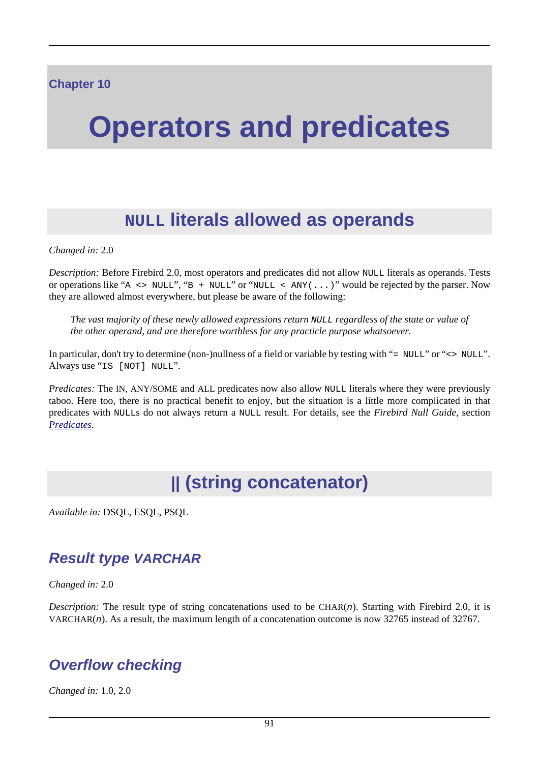# **Operators and predicates**

# **NULL literals allowed as operands**

*Changed in:* 2.0

*Description:* Before Firebird 2.0, most operators and predicates did not allow NULL literals as operands. Tests or operations like "A  $\leq$  NULL", "B + NULL" or "NULL  $\leq$  ANY(...)" would be rejected by the parser. Now they are allowed almost everywhere, but please be aware of the following:

*The vast majority of these newly allowed expressions return* NULL *regardless of the state or value of the other operand, and are therefore worthless for any practicle purpose whatsoever.*

In particular, don't try to determine (non-)nullness of a field or variable by testing with "= NULL" or "<> NULL". Always use "IS [NOT] NULL".

*Predicates:* The IN, ANY/SOME and ALL predicates now also allow NULL literals where they were previously taboo. Here too, there is no practical benefit to enjoy, but the situation is a little more complicated in that predicates with NULLs do not always return a NULL result. For details, see the *Firebird Null Guide*, section *[Predicates](http://www.firebirdsql.org/manual/nullguide-predicates.html)*.

# **|| (string concatenator)**

*Available in:* DSQL, ESQL, PSQL

## **Result type VARCHAR**

*Changed in:* 2.0

*Description:* The result type of string concatenations used to be  $CHAR(n)$ . Starting with Firebird 2.0, it is VARCHAR(n). As a result, the maximum length of a concatenation outcome is now 32765 instead of 32767.

## **Overflow checking**

*Changed in:* 1.0, 2.0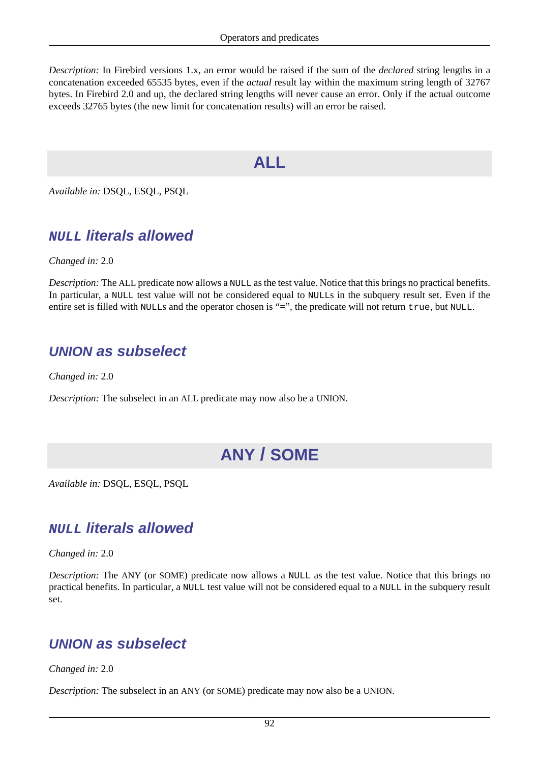*Description:* In Firebird versions 1.x, an error would be raised if the sum of the *declared* string lengths in a concatenation exceeded 65535 bytes, even if the *actual* result lay within the maximum string length of 32767 bytes. In Firebird 2.0 and up, the declared string lengths will never cause an error. Only if the actual outcome exceeds 32765 bytes (the new limit for concatenation results) will an error be raised.

## **ALL**

*Available in:* DSQL, ESQL, PSQL

## **NULL literals allowed**

*Changed in:* 2.0

*Description:* The ALL predicate now allows a NULL as the test value. Notice that this brings no practical benefits. In particular, a NULL test value will not be considered equal to NULLs in the subquery result set. Even if the entire set is filled with NULLs and the operator chosen is "=", the predicate will not return true, but NULL.

## **UNION as subselect**

*Changed in:* 2.0

<span id="page-101-0"></span>*Description:* The subselect in an ALL predicate may now also be a UNION.

# **ANY / SOME**

*Available in:* DSQL, ESQL, PSQL

## **NULL literals allowed**

*Changed in:* 2.0

*Description:* The ANY (or SOME) predicate now allows a NULL as the test value. Notice that this brings no practical benefits. In particular, a NULL test value will not be considered equal to a NULL in the subquery result set.

## **UNION as subselect**

*Changed in:* 2.0

*Description:* The subselect in an ANY (or SOME) predicate may now also be a UNION.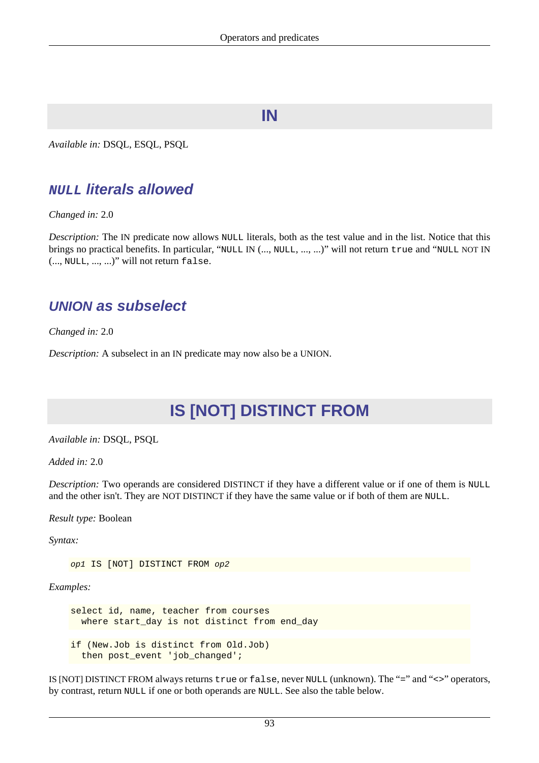## **IN**

*Available in:* DSQL, ESQL, PSQL

## **NULL literals allowed**

*Changed in:* 2.0

*Description:* The IN predicate now allows NULL literals, both as the test value and in the list. Notice that this brings no practical benefits. In particular, "NULL IN (..., NULL, ..., ...)" will not return true and "NULL NOT IN (..., NULL, ..., ...)" will not return false.

## **UNION as subselect**

*Changed in:* 2.0

*Description:* A subselect in an IN predicate may now also be a UNION.

# **IS [NOT] DISTINCT FROM**

*Available in:* DSQL, PSQL

*Added in:* 2.0

*Description:* Two operands are considered DISTINCT if they have a different value or if one of them is NULL and the other isn't. They are NOT DISTINCT if they have the same value or if both of them are NULL.

*Result type:* Boolean

*Syntax:*

op1 IS [NOT] DISTINCT FROM op2

*Examples:*

select id, name, teacher from courses where start\_day is not distinct from end\_day if (New.Job is distinct from Old.Job) then post\_event 'job\_changed';

IS [NOT] DISTINCT FROM always returns true or false, never NULL (unknown). The "=" and "<>" operators, by contrast, return NULL if one or both operands are NULL. See also the table below.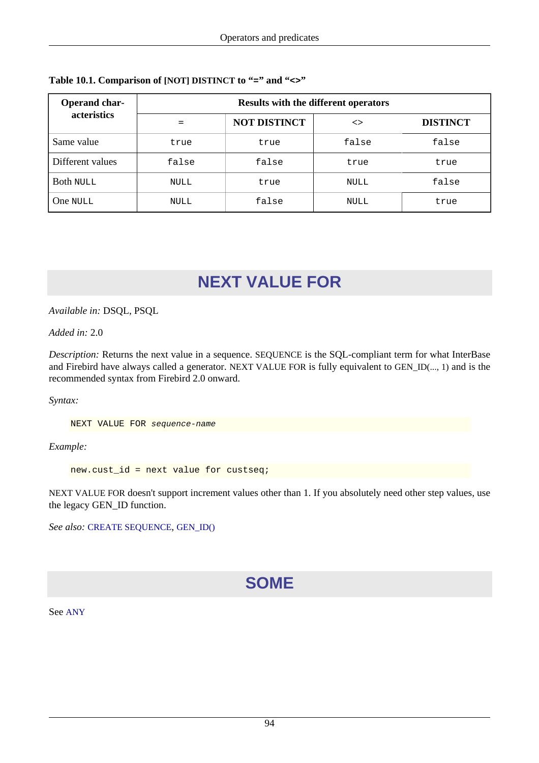| Operand char-<br>acteristics | <b>Results with the different operators</b> |                     |       |                 |
|------------------------------|---------------------------------------------|---------------------|-------|-----------------|
|                              |                                             | <b>NOT DISTINCT</b> | <>    | <b>DISTINCT</b> |
| Same value                   | true                                        | true                | false | false           |
| Different values             | false                                       | false               | true  | true            |
| <b>Both NULL</b>             | NULL                                        | true                | NULL  | false           |
| One NULL                     | <b>NULL</b>                                 | false               | NULL  | true            |

#### **Table 10.1. Comparison of [NOT] DISTINCT to "=" and "<>"**

# **NEXT VALUE FOR**

#### *Available in:* DSQL, PSQL

#### *Added in:* 2.0

*Description:* Returns the next value in a sequence. SEQUENCE is the SQL-compliant term for what InterBase and Firebird have always called a generator. NEXT VALUE FOR is fully equivalent to GEN\_ID(..., 1) and is the recommended syntax from Firebird 2.0 onward.

*Syntax:*

NEXT VALUE FOR sequence-name

*Example:*

new.cust\_id = next value for custseq;

NEXT VALUE FOR doesn't support increment values other than 1. If you absolutely need other step values, use the legacy GEN\_ID function.

*See also:* [CREATE SEQUENCE](#page-36-0), [GEN\\_ID\(\)](#page-109-0)

# **SOME**

See [ANY](#page-101-0)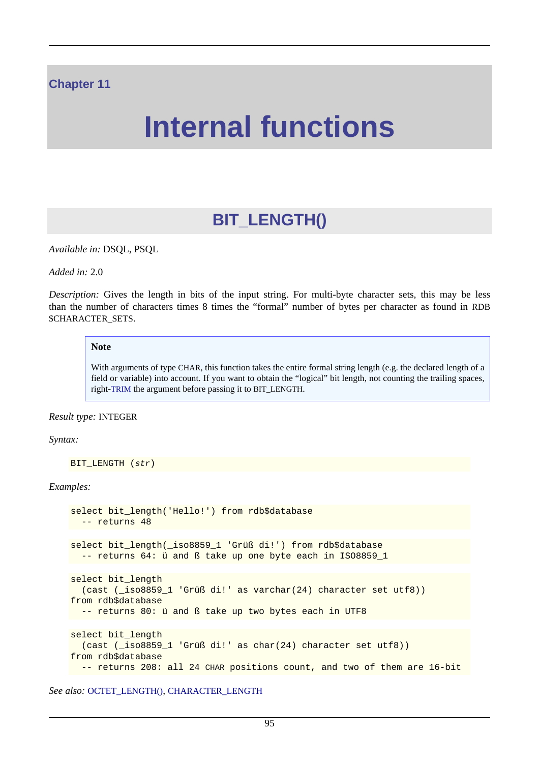#### **Chapter 11**

# **Internal functions**

# **BIT\_LENGTH()**

<span id="page-104-0"></span>*Available in:* DSQL, PSQL

*Added in:* 2.0

*Description:* Gives the length in bits of the input string. For multi-byte character sets, this may be less than the number of characters times 8 times the "formal" number of bytes per character as found in RDB \$CHARACTER\_SETS.

#### **Note**

With arguments of type CHAR, this function takes the entire formal string length (e.g. the declared length of a field or variable) into account. If you want to obtain the "logical" bit length, not counting the trailing spaces, right-[TRIM](#page-115-0) the argument before passing it to BIT\_LENGTH.

#### *Result type:* INTEGER

#### *Syntax:*

```
BIT LENGTH (str)
```
#### *Examples:*

```
select bit length('Hello!') from rdb$database
   -- returns 48
select bit_length(_iso8859_1 'Grüß di!') from rdb$database
  -- returns 64: ü and ß take up one byte each in ISO8859_1
select bit_length
   (cast (_iso8859_1 'Grüß di!' as varchar(24) character set utf8))
from rdb$database
  -- returns 80: ü and ß take up two bytes each in UTF8
select bit_length
   (cast (_iso8859_1 'Grüß di!' as char(24) character set utf8))
from rdb$database
   -- returns 208: all 24 CHAR positions count, and two of them are 16-bit
```
*See also:* [OCTET\\_LENGTH\(\)](#page-111-0), [CHARACTER\\_LENGTH](#page-106-0)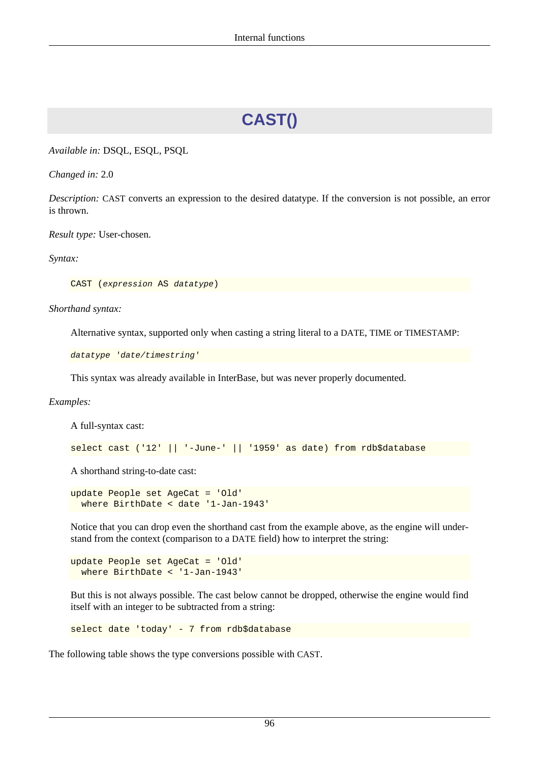# **CAST()**

*Available in:* DSQL, ESQL, PSQL

*Changed in:* 2.0

*Description:* CAST converts an expression to the desired datatype. If the conversion is not possible, an error is thrown.

*Result type:* User-chosen.

*Syntax:*

CAST (expression AS datatype)

*Shorthand syntax:*

Alternative syntax, supported only when casting a string literal to a DATE, TIME or TIMESTAMP:

datatype 'date/timestring'

This syntax was already available in InterBase, but was never properly documented.

*Examples:*

A full-syntax cast:

select cast ('12' || '-June-' || '1959' as date) from rdb\$database

A shorthand string-to-date cast:

```
update People set AgeCat = 'Old'
   where BirthDate < date '1-Jan-1943'
```
Notice that you can drop even the shorthand cast from the example above, as the engine will understand from the context (comparison to a DATE field) how to interpret the string:

update People set AgeCat = 'Old' where BirthDate < '1-Jan-1943'

But this is not always possible. The cast below cannot be dropped, otherwise the engine would find itself with an integer to be subtracted from a string:

select date 'today' - 7 from rdb\$database

The following table shows the type conversions possible with CAST.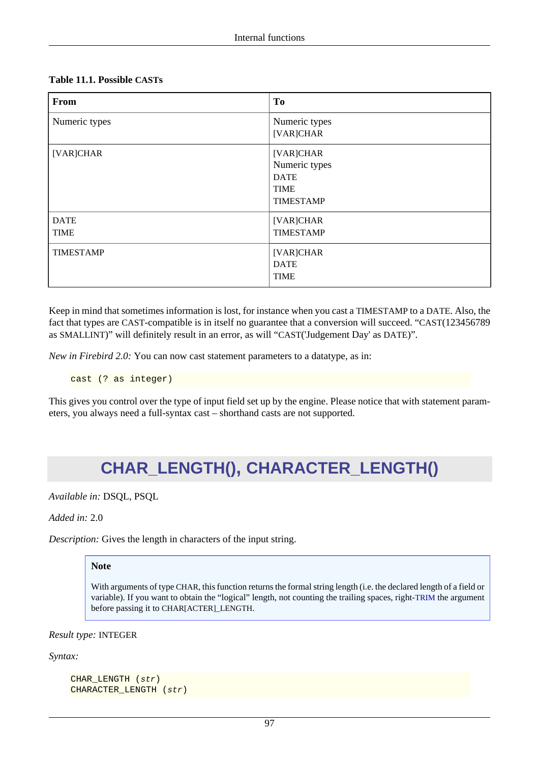#### **Table 11.1. Possible CASTs**

| From                       | T <sub>0</sub>                                                               |
|----------------------------|------------------------------------------------------------------------------|
| Numeric types              | Numeric types<br>[VAR]CHAR                                                   |
| [VAR]CHAR                  | [VAR]CHAR<br>Numeric types<br><b>DATE</b><br><b>TIME</b><br><b>TIMESTAMP</b> |
| <b>DATE</b><br><b>TIME</b> | [VAR]CHAR<br><b>TIMESTAMP</b>                                                |
| <b>TIMESTAMP</b>           | [VAR]CHAR<br><b>DATE</b><br><b>TIME</b>                                      |

Keep in mind that sometimes information is lost, for instance when you cast a TIMESTAMP to a DATE. Also, the fact that types are CAST-compatible is in itself no guarantee that a conversion will succeed. "CAST(123456789 as SMALLINT)" will definitely result in an error, as will "CAST('Judgement Day' as DATE)".

*New in Firebird 2.0:* You can now cast statement parameters to a datatype, as in:

```
cast (? as integer)
```
<span id="page-106-0"></span>This gives you control over the type of input field set up by the engine. Please notice that with statement parameters, you always need a full-syntax cast – shorthand casts are not supported.

# **CHAR\_LENGTH(), CHARACTER\_LENGTH()**

*Available in:* DSQL, PSQL

```
Added in: 2.0
```
*Description:* Gives the length in characters of the input string.

#### **Note**

With arguments of type CHAR, this function returns the formal string length (i.e. the declared length of a field or variable). If you want to obtain the "logical" length, not counting the trailing spaces, right-[TRIM](#page-115-0) the argument before passing it to CHAR[ACTER]\_LENGTH.

*Result type:* INTEGER

*Syntax:*

```
CHAR_LENGTH (str)
CHARACTER_LENGTH (str)
```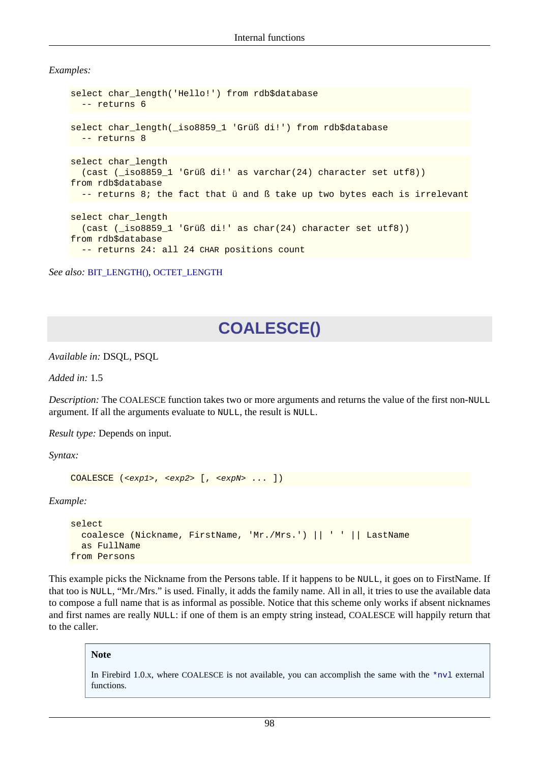*Examples:*

```
select char_length('Hello!') from rdb$database
   -- returns 6
select char_length(_iso8859_1 'Grüß di!') from rdb$database
  -- returns 8
select char_length
   (cast (_iso8859_1 'Grüß di!' as varchar(24) character set utf8))
from rdb$database
 -- returns 8; the fact that ü and ß take up two bytes each is irrelevant
select char_length
   (cast (_iso8859_1 'Grüß di!' as char(24) character set utf8))
from rdb$database
   -- returns 24: all 24 CHAR positions count
```
*See also:* [BIT\\_LENGTH\(\)](#page-104-0), [OCTET\\_LENGTH](#page-111-0)

# **COALESCE()**

*Available in:* DSQL, PSQL

*Added in:* 1.5

*Description:* The COALESCE function takes two or more arguments and returns the value of the first non-NULL argument. If all the arguments evaluate to NULL, the result is NULL.

*Result type:* Depends on input.

*Syntax:*

```
COALESCE (<exp1>, <exp2> [, <expN> ... ])
```
*Example:*

```
select 
   coalesce (Nickname, FirstName, 'Mr./Mrs.') || ' ' || LastName
   as FullName
from Persons
```
This example picks the Nickname from the Persons table. If it happens to be NULL, it goes on to FirstName. If that too is NULL, "Mr./Mrs." is used. Finally, it adds the family name. All in all, it tries to use the available data to compose a full name that is as informal as possible. Notice that this scheme only works if absent nicknames and first names are really NULL: if one of them is an empty string instead, COALESCE will happily return that to the caller.

#### **Note**

In Firebird 1.0.x, where COALESCE is not available, you can accomplish the same with the [\\*nvl](#page-127-0) external functions.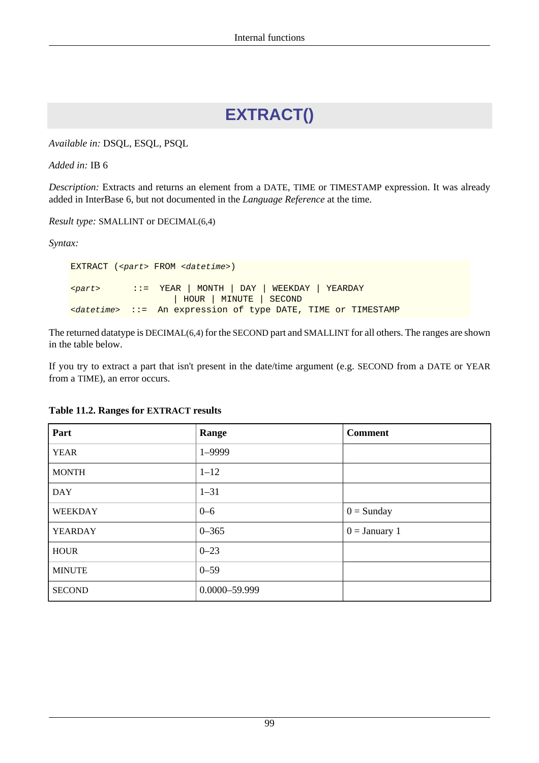# **EXTRACT()**

*Available in:* DSQL, ESQL, PSQL

*Added in:* IB 6

*Description:* Extracts and returns an element from a DATE, TIME or TIMESTAMP expression. It was already added in InterBase 6, but not documented in the *Language Reference* at the time.

*Result type:* SMALLINT or DECIMAL(6,4)

*Syntax:*

EXTRACT (<part> FROM <datetime>) <part> ::= YEAR | MONTH | DAY | WEEKDAY | YEARDAY | HOUR | MINUTE | SECOND  $\langle$  datetime> ::= An expression of type DATE, TIME or TIMESTAMP

The returned datatype is DECIMAL(6,4) for the SECOND part and SMALLINT for all others. The ranges are shown in the table below.

If you try to extract a part that isn't present in the date/time argument (e.g. SECOND from a DATE or YEAR from a TIME), an error occurs.

| Part           | Range         | <b>Comment</b>  |
|----------------|---------------|-----------------|
| <b>YEAR</b>    | $1 - 9999$    |                 |
| <b>MONTH</b>   | $1 - 12$      |                 |
| <b>DAY</b>     | $1 - 31$      |                 |
| <b>WEEKDAY</b> | $0 - 6$       | $0 =$ Sunday    |
| <b>YEARDAY</b> | $0 - 365$     | $0 =$ January 1 |
| <b>HOUR</b>    | $0 - 23$      |                 |
| <b>MINUTE</b>  | $0 - 59$      |                 |
| <b>SECOND</b>  | 0.0000-59.999 |                 |

### **Table 11.2. Ranges for EXTRACT results**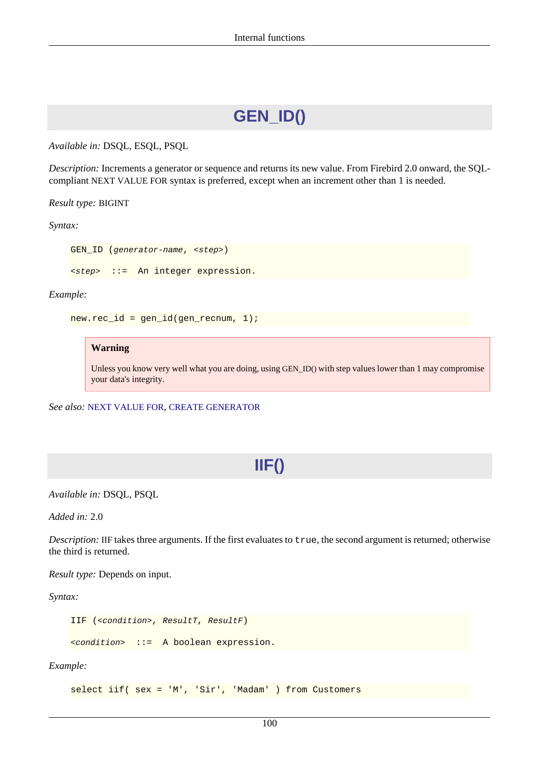# **GEN\_ID()**

*Available in:* DSQL, ESQL, PSQL

*Description:* Increments a generator or sequence and returns its new value. From Firebird 2.0 onward, the SQLcompliant NEXT VALUE FOR syntax is preferred, except when an increment other than 1 is needed.

#### *Result type:* BIGINT

*Syntax:*

GEN ID (generator-name, <step>)

<step> ::= An integer expression.

*Example:*

```
new-rec_id = gen_id(gen\_recnum, 1);
```
#### **Warning**

Unless you know very well what you are doing, using GEN\_ID() with step values lower than 1 may compromise your data's integrity.

*See also:* [NEXT VALUE FOR](#page-103-0), [CREATE GENERATOR](#page-32-0)

# **IIF()**

*Available in:* DSQL, PSQL

*Added in:* 2.0

*Description:* IIF takes three arguments. If the first evaluates to true, the second argument is returned; otherwise the third is returned.

*Result type:* Depends on input.

*Syntax:*

```
IIF (<condition>, ResultT, ResultF)
<condition> ::= A boolean expression.
```
*Example:*

select iif( sex = 'M', 'Sir', 'Madam' ) from Customers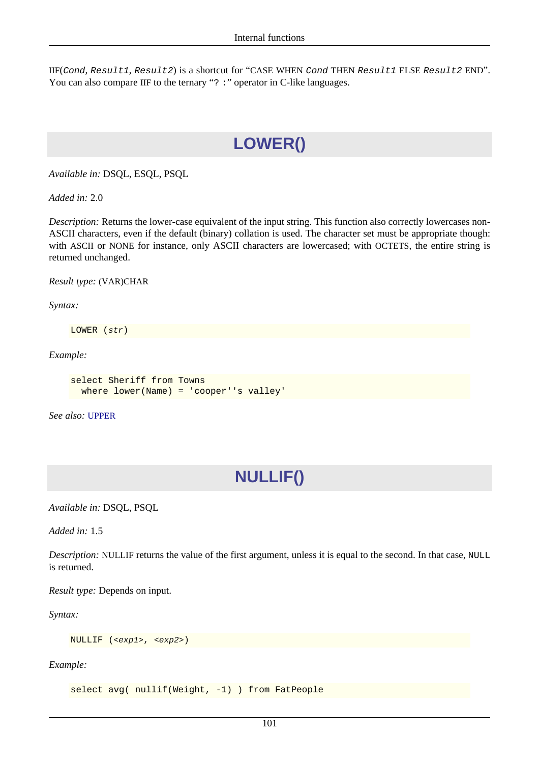<span id="page-110-0"></span>IIF(Cond, Result1, Result2) is a shortcut for "CASE WHEN Cond THEN Result1 ELSE Result2 END". You can also compare IIF to the ternary "? : " operator in C-like languages.

# **LOWER()**

*Available in:* DSQL, ESQL, PSQL

*Added in:* 2.0

*Description:* Returns the lower-case equivalent of the input string. This function also correctly lowercases non-ASCII characters, even if the default (binary) collation is used. The character set must be appropriate though: with ASCII or NONE for instance, only ASCII characters are lowercased; with OCTETS, the entire string is returned unchanged.

*Result type:* (VAR)CHAR

*Syntax:*

LOWER (str)

*Example:*

```
select Sheriff from Towns
  where lower(Name) = 'cooper''s valley'
```
<span id="page-110-1"></span>*See also:* [UPPER](#page-116-0)

# **NULLIF()**

*Available in:* DSQL, PSQL

*Added in:* 1.5

*Description:* NULLIF returns the value of the first argument, unless it is equal to the second. In that case, NULL is returned.

*Result type:* Depends on input.

*Syntax:*

NULLIF (<exp1>, <exp2>)

*Example:*

select avg( nullif(Weight, -1) ) from FatPeople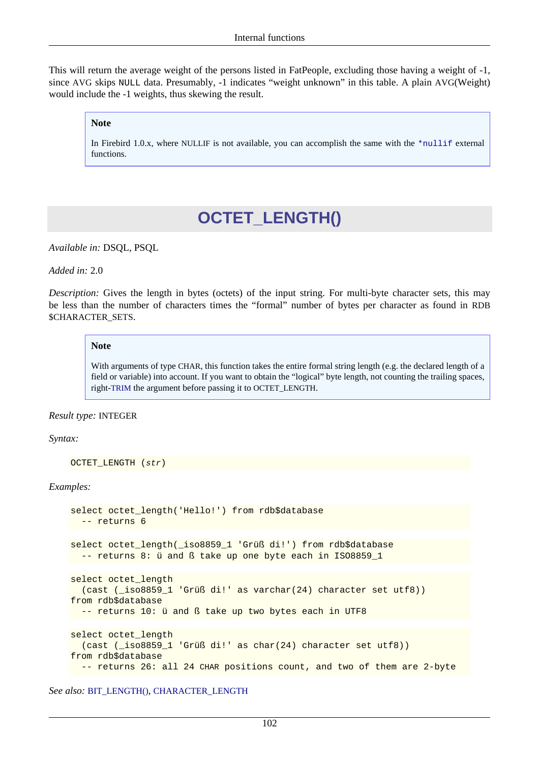This will return the average weight of the persons listed in FatPeople, excluding those having a weight of -1, since AVG skips NULL data. Presumably, -1 indicates "weight unknown" in this table. A plain AVG(Weight) would include the -1 weights, thus skewing the result.

#### **Note**

<span id="page-111-0"></span>In Firebird 1.0.x, where NULLIF is not available, you can accomplish the same with the [\\*nullif](#page-126-0) external functions.

# **OCTET\_LENGTH()**

*Available in:* DSQL, PSQL

*Added in:* 2.0

*Description:* Gives the length in bytes (octets) of the input string. For multi-byte character sets, this may be less than the number of characters times the "formal" number of bytes per character as found in RDB \$CHARACTER\_SETS.

#### **Note**

With arguments of type CHAR, this function takes the entire formal string length (e.g. the declared length of a field or variable) into account. If you want to obtain the "logical" byte length, not counting the trailing spaces, right-[TRIM](#page-115-0) the argument before passing it to OCTET\_LENGTH.

#### *Result type:* INTEGER

#### *Syntax:*

```
OCTET_LENGTH (str)
```
#### *Examples:*

```
select octet_length('Hello!') from rdb$database
   -- returns 6
select octet_length(_iso8859_1 'Grüß di!') from rdb$database
   -- returns 8: ü and ß take up one byte each in ISO8859_1
select octet length
   (cast (_iso8859_1 'Grüß di!' as varchar(24) character set utf8))
from rdb$database
  -- returns 10: ü and ß take up two bytes each in UTF8
select octet length
   (cast (_iso8859_1 'Grüß di!' as char(24) character set utf8))
from rdb$database
  -- returns 26: all 24 CHAR positions count, and two of them are 2-byte
```
*See also:* [BIT\\_LENGTH\(\)](#page-104-0), [CHARACTER\\_LENGTH](#page-106-0)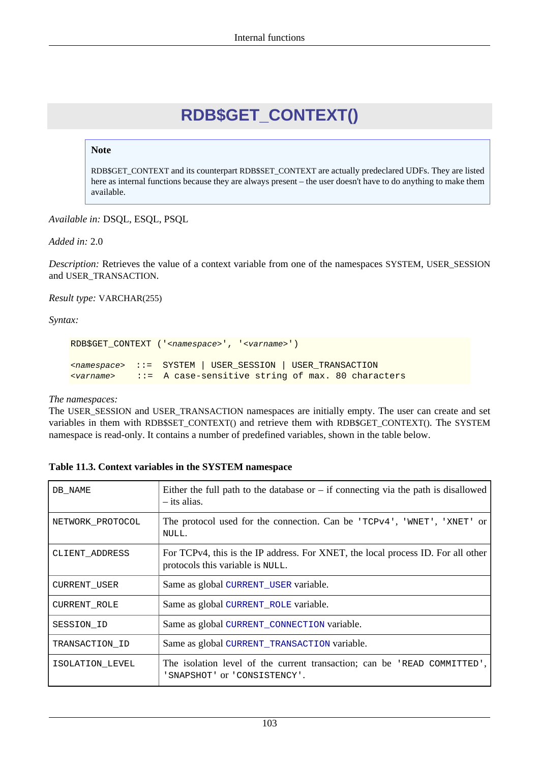# **RDB\$GET\_CONTEXT()**

### <span id="page-112-0"></span>**Note**

RDB\$GET\_CONTEXT and its counterpart RDB\$SET\_CONTEXT are actually predeclared UDFs. They are listed here as internal functions because they are always present – the user doesn't have to do anything to make them available.

*Available in:* DSQL, ESQL, PSQL

*Added in:* 2.0

*Description:* Retrieves the value of a context variable from one of the namespaces SYSTEM, USER\_SESSION and USER\_TRANSACTION.

#### *Result type:* VARCHAR(255)

*Syntax:*

RDB\$GET\_CONTEXT ('<namespace>', '<varname>') <namespace> ::= SYSTEM | USER\_SESSION | USER\_TRANSACTION <varname> ::= A case-sensitive string of max. 80 characters

#### *The namespaces:*

The USER\_SESSION and USER\_TRANSACTION namespaces are initially empty. The user can create and set variables in them with RDB\$SET\_CONTEXT() and retrieve them with RDB\$GET\_CONTEXT(). The SYSTEM namespace is read-only. It contains a number of predefined variables, shown in the table below.

| DB NAME          | Either the full path to the database or $-$ if connecting via the path is disallowed<br>– its alias.                 |
|------------------|----------------------------------------------------------------------------------------------------------------------|
| NETWORK PROTOCOL | The protocol used for the connection. Can be ' $TCPv4'$ , 'WNET', 'XNET' or<br>NULL.                                 |
| CLIENT ADDRESS   | For TCPv4, this is the IP address. For XNET, the local process ID. For all other<br>protocols this variable is NULL. |
| CURRENT USER     | Same as global CURRENT USER variable.                                                                                |
| CURRENT ROLE     | Same as global CURRENT_ROLE variable.                                                                                |
| SESSION ID       | Same as global CURRENT_CONNECTION variable.                                                                          |
| TRANSACTION ID   | Same as global CURRENT_TRANSACTION variable.                                                                         |
| ISOLATION LEVEL  | The isolation level of the current transaction; can be 'READ COMMITTED',<br>'SNAPSHOT' or 'CONSISTENCY'.             |

### **Table 11.3. Context variables in the SYSTEM namespace**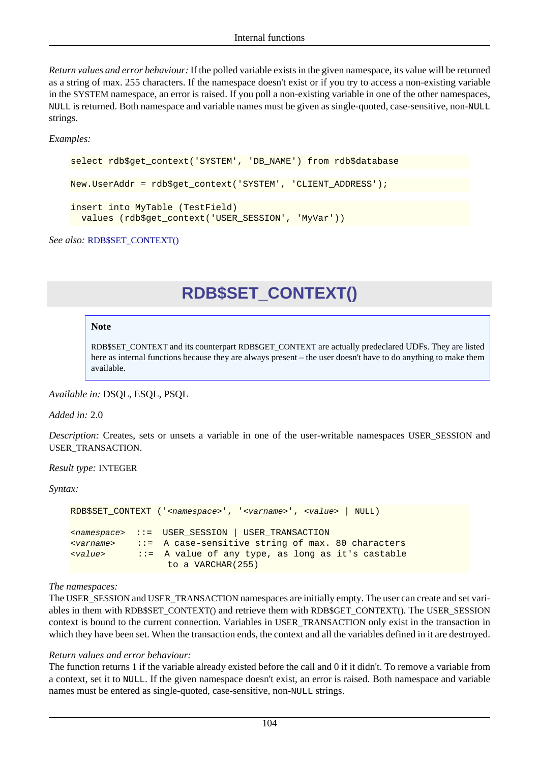*Return values and error behaviour:* If the polled variable exists in the given namespace, its value will be returned as a string of max. 255 characters. If the namespace doesn't exist or if you try to access a non-existing variable in the SYSTEM namespace, an error is raised. If you poll a non-existing variable in one of the other namespaces, NULL is returned. Both namespace and variable names must be given as single-quoted, case-sensitive, non-NULL strings.

*Examples:*

```
select rdb$get_context('SYSTEM', 'DB_NAME') from rdb$database
New.UserAddr = rdb$get_context('SYSTEM', 'CLIENT_ADDRESS');
insert into MyTable (TestField)
   values (rdb$get_context('USER_SESSION', 'MyVar'))
```
<span id="page-113-0"></span>*See also:* [RDB\\$SET\\_CONTEXT\(\)](#page-113-0)

# **RDB\$SET\_CONTEXT()**

#### **Note**

RDB\$SET\_CONTEXT and its counterpart RDB\$GET\_CONTEXT are actually predeclared UDFs. They are listed here as internal functions because they are always present – the user doesn't have to do anything to make them available.

*Available in:* DSQL, ESQL, PSQL

*Added in:* 2.0

*Description:* Creates, sets or unsets a variable in one of the user-writable namespaces USER\_SESSION and USER\_TRANSACTION.

*Result type:* INTEGER

*Syntax:*

```
RDB$SET_CONTEXT ('<namespace>', '<varname>', <value> | NULL)
<namespace> ::= USER_SESSION | USER_TRANSACTION
<varname> ::= A case-sensitive string of max. 80 characters
<value> ::= A value of any type, as long as it's castable
                  to a VARCHAR(255)
```
### *The namespaces:*

The USER\_SESSION and USER\_TRANSACTION namespaces are initially empty. The user can create and set variables in them with RDB\$SET\_CONTEXT() and retrieve them with RDB\$GET\_CONTEXT(). The USER\_SESSION context is bound to the current connection. Variables in USER\_TRANSACTION only exist in the transaction in which they have been set. When the transaction ends, the context and all the variables defined in it are destroyed.

#### *Return values and error behaviour:*

The function returns 1 if the variable already existed before the call and 0 if it didn't. To remove a variable from a context, set it to NULL. If the given namespace doesn't exist, an error is raised. Both namespace and variable names must be entered as single-quoted, case-sensitive, non-NULL strings.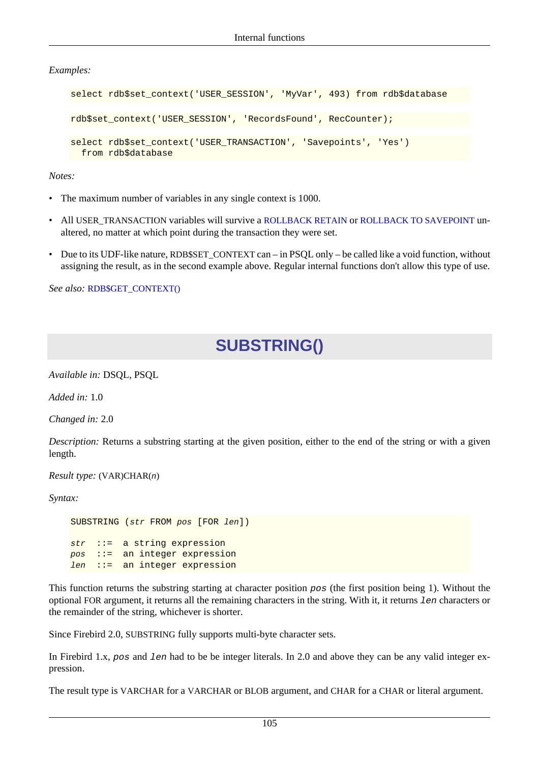*Examples:*

```
select rdb$set_context('USER_SESSION', 'MyVar', 493) from rdb$database
rdb$set_context('USER_SESSION', 'RecordsFound', RecCounter);
select rdb$set context('USER_TRANSACTION', 'Savepoints', 'Yes')
  from rdb$database
```
*Notes:*

- The maximum number of variables in any single context is 1000.
- All USER\_TRANSACTION variables will survive a [ROLLBACK RETAIN](#page-74-0) or [ROLLBACK TO SAVEPOINT](#page-75-0) unaltered, no matter at which point during the transaction they were set.
- Due to its UDF-like nature, RDB\$SET\_CONTEXT can in PSOL only be called like a void function, without assigning the result, as in the second example above. Regular internal functions don't allow this type of use.

<span id="page-114-0"></span>*See also:* [RDB\\$GET\\_CONTEXT\(\)](#page-112-0)

# **SUBSTRING()**

*Available in:* DSQL, PSQL

*Added in:* 1.0

*Changed in:* 2.0

*Description:* Returns a substring starting at the given position, either to the end of the string or with a given length.

*Result type:* (VAR)CHAR(n)

*Syntax:*

```
SUBSTRING (str FROM pos [FOR len])
str ::= a string expression
pos ::= an integer expression
len ::= an integer expression
```
This function returns the substring starting at character position pos (the first position being 1). Without the optional FOR argument, it returns all the remaining characters in the string. With it, it returns len characters or the remainder of the string, whichever is shorter.

Since Firebird 2.0, SUBSTRING fully supports multi-byte character sets.

In Firebird 1.x, pos and len had to be be integer literals. In 2.0 and above they can be any valid integer expression.

The result type is VARCHAR for a VARCHAR or BLOB argument, and CHAR for a CHAR or literal argument.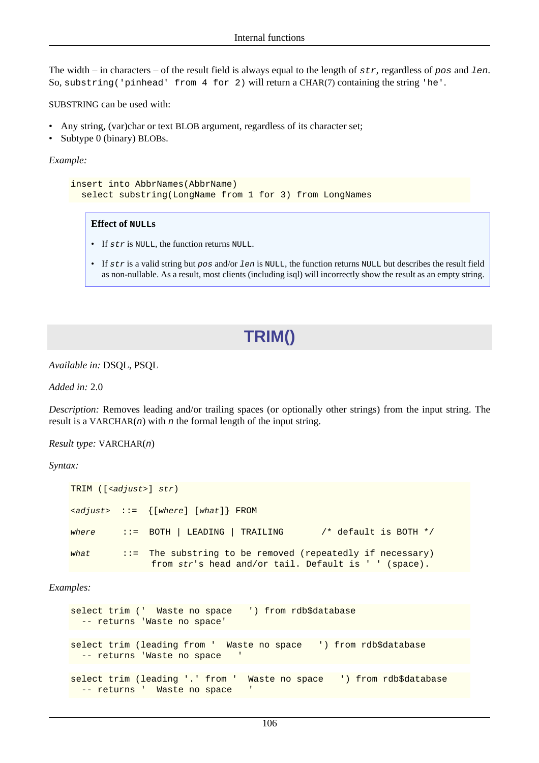The width – in characters – of the result field is always equal to the length of  $str$ , regardless of pos and len. So, substring ('pinhead' from 4 for 2) will return a CHAR(7) containing the string 'he'.

SUBSTRING can be used with:

- Any string, (var)char or text BLOB argument, regardless of its character set;
- Subtype 0 (binary) BLOBs.

*Example:*

```
insert into AbbrNames(AbbrName)
   select substring(LongName from 1 for 3) from LongNames
```
#### **Effect of NULLs**

- If  $str$  is NULL, the function returns NULL.
- <span id="page-115-0"></span>• If  $str$  is a valid string but  $pos$  and/or len is NULL, the function returns NULL but describes the result field as non-nullable. As a result, most clients (including isql) will incorrectly show the result as an empty string.

# **TRIM()**

*Available in:* DSQL, PSQL

*Added in:* 2.0

*Description:* Removes leading and/or trailing spaces (or optionally other strings) from the input string. The result is a VARCHAR $(n)$  with n the formal length of the input string.

*Result type:* VARCHAR(n)

#### *Syntax:*

```
TRIM ([<adjust>] str)
\{z \in \{ [where] | (where] \} \} FROM
where \therefore BOTH | LEADING | TRAILING /* default is BOTH */
what ::= The substring to be removed (repeatedly if necessary)
               from str's head and/or tail. Default is ' ' (space).
```
#### *Examples:*

```
select trim (' Waste no space ') from rdb$database
  -- returns 'Waste no space'
select trim (leading from ' Waste no space ') from rdb$database
 -- returns 'Waste no space
select trim (leading '.' from ' Waste no space ') from rdb$database
 -- returns ' Waste no space
```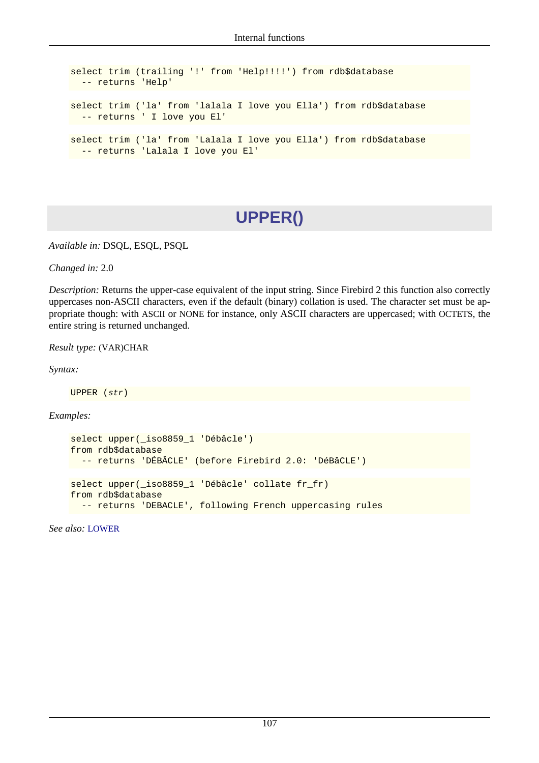```
select trim (trailing '!' from 'Help!!!!') from rdb$database
  -- returns 'Help'
select trim ('la' from 'lalala I love you Ella') from rdb$database
  -- returns ' I love you El'
select trim ('la' from 'Lalala I love you Ella') from rdb$database
  -- returns 'Lalala I love you El'
```
# **UPPER()**

<span id="page-116-0"></span>*Available in:* DSQL, ESQL, PSQL

*Changed in:* 2.0

*Description:* Returns the upper-case equivalent of the input string. Since Firebird 2 this function also correctly uppercases non-ASCII characters, even if the default (binary) collation is used. The character set must be appropriate though: with ASCII or NONE for instance, only ASCII characters are uppercased; with OCTETS, the entire string is returned unchanged.

*Result type:* (VAR)CHAR

*Syntax:*

UPPER (str)

*Examples:*

```
select upper(_iso8859_1 'Débâcle')
from rdb$database
   -- returns 'DÉBÂCLE' (before Firebird 2.0: 'DéBâCLE')
select upper(_iso8859_1 'Débâcle' collate fr_fr)
from rdb$database
   -- returns 'DEBACLE', following French uppercasing rules
```
*See also:* [LOWER](#page-110-0)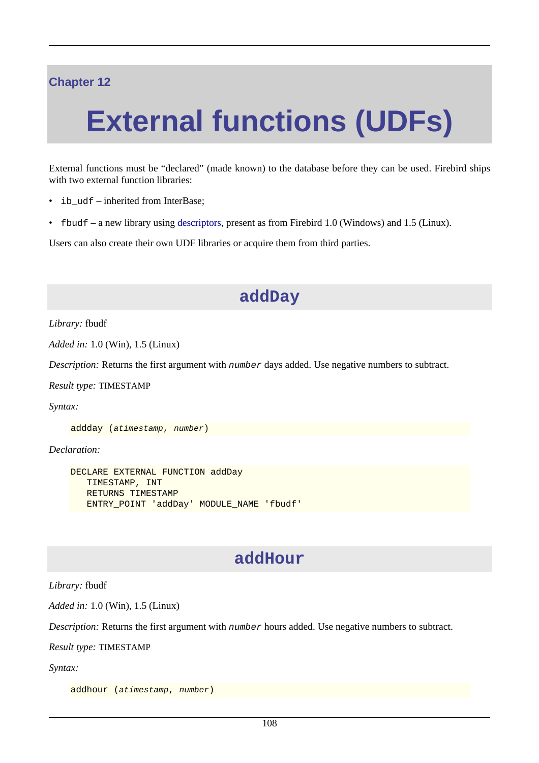### **Chapter 12**

# **External functions (UDFs)**

External functions must be "declared" (made known) to the database before they can be used. Firebird ships with two external function libraries:

- ib udf inherited from InterBase;
- fbudf a new library using [descriptors](#page-44-0), present as from Firebird 1.0 (Windows) and 1.5 (Linux).

Users can also create their own UDF libraries or acquire them from third parties.

### **addDay**

*Library:* fbudf

*Added in:* 1.0 (Win), 1.5 (Linux)

*Description:* Returns the first argument with *number* days added. Use negative numbers to subtract.

*Result type:* TIMESTAMP

*Syntax:*

addday (atimestamp, number)

*Declaration:*

```
DECLARE EXTERNAL FUNCTION addDay
    TIMESTAMP, INT
    RETURNS TIMESTAMP
    ENTRY_POINT 'addDay' MODULE_NAME 'fbudf'
```
### **addHour**

*Library:* fbudf

*Added in:* 1.0 (Win), 1.5 (Linux)

*Description:* Returns the first argument with number hours added. Use negative numbers to subtract.

*Result type:* TIMESTAMP

*Syntax:*

```
addhour (atimestamp, number)
```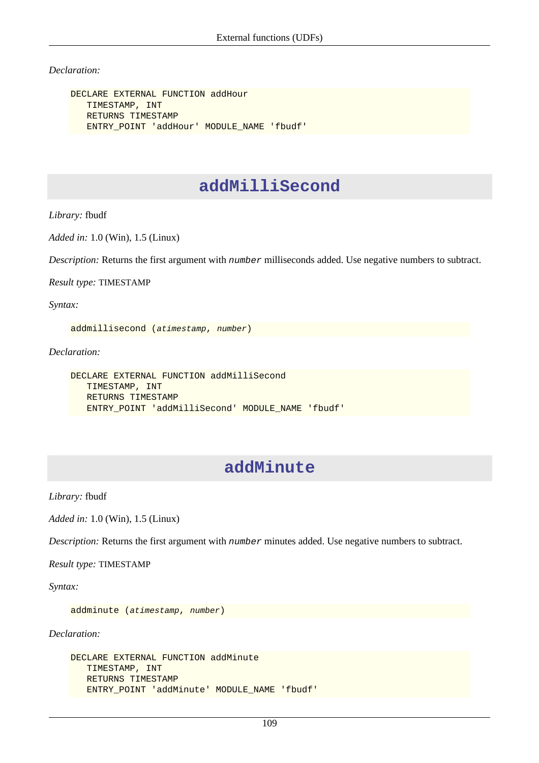*Declaration:*

```
DECLARE EXTERNAL FUNCTION addHour
    TIMESTAMP, INT
    RETURNS TIMESTAMP
    ENTRY_POINT 'addHour' MODULE_NAME 'fbudf'
```
### **addMilliSecond**

*Library:* fbudf

*Added in:* 1.0 (Win), 1.5 (Linux)

*Description:* Returns the first argument with number milliseconds added. Use negative numbers to subtract.

*Result type:* TIMESTAMP

*Syntax:*

addmillisecond (atimestamp, number)

*Declaration:*

```
DECLARE EXTERNAL FUNCTION addMilliSecond
    TIMESTAMP, INT
    RETURNS TIMESTAMP
    ENTRY_POINT 'addMilliSecond' MODULE_NAME 'fbudf'
```
### **addMinute**

*Library:* fbudf

*Added in:* 1.0 (Win), 1.5 (Linux)

*Description:* Returns the first argument with number minutes added. Use negative numbers to subtract.

*Result type:* TIMESTAMP

*Syntax:*

addminute (atimestamp, number)

```
DECLARE EXTERNAL FUNCTION addMinute
    TIMESTAMP, INT
    RETURNS TIMESTAMP
    ENTRY_POINT 'addMinute' MODULE_NAME 'fbudf'
```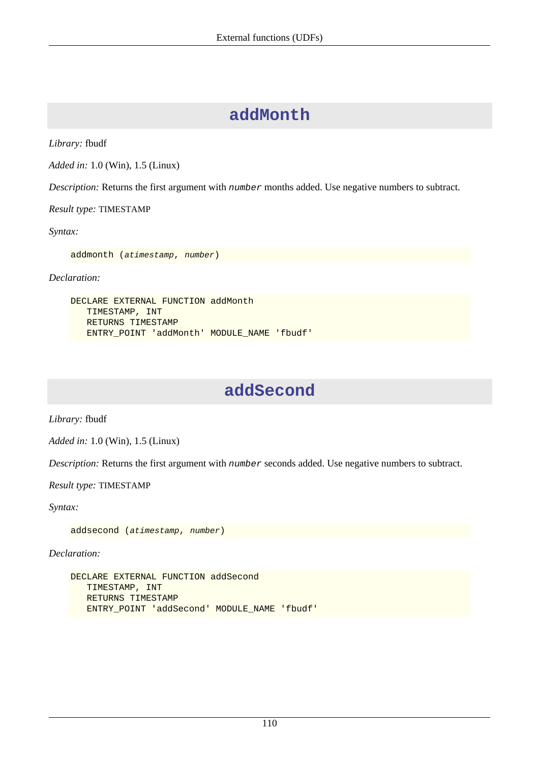### **addMonth**

*Library:* fbudf

*Added in:* 1.0 (Win), 1.5 (Linux)

*Description:* Returns the first argument with number months added. Use negative numbers to subtract.

*Result type:* TIMESTAMP

*Syntax:*

addmonth (atimestamp, number)

*Declaration:*

```
DECLARE EXTERNAL FUNCTION addMonth
    TIMESTAMP, INT
    RETURNS TIMESTAMP
   ENTRY_POINT 'addMonth' MODULE_NAME 'fbudf'
```
### **addSecond**

*Library:* fbudf

*Added in:* 1.0 (Win), 1.5 (Linux)

*Description:* Returns the first argument with number seconds added. Use negative numbers to subtract.

*Result type:* TIMESTAMP

*Syntax:*

addsecond (atimestamp, number)

```
DECLARE EXTERNAL FUNCTION addSecond
    TIMESTAMP, INT
    RETURNS TIMESTAMP
    ENTRY_POINT 'addSecond' MODULE_NAME 'fbudf'
```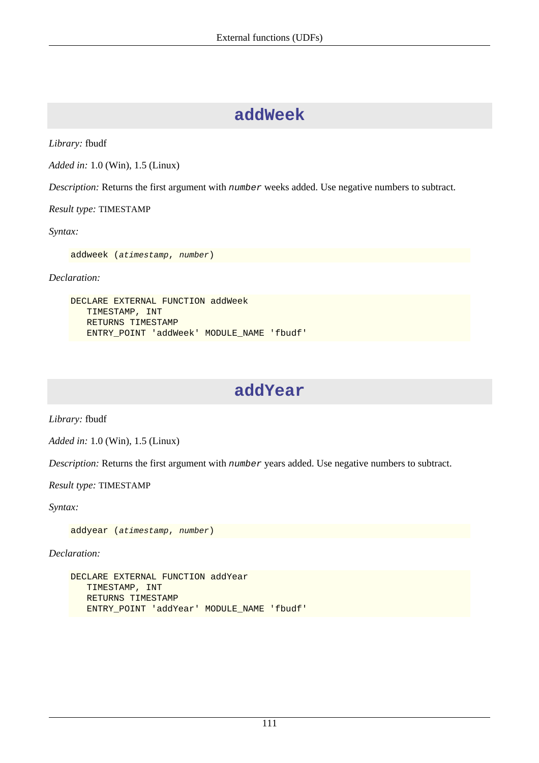### **addWeek**

*Library:* fbudf

*Added in:* 1.0 (Win), 1.5 (Linux)

*Description:* Returns the first argument with number weeks added. Use negative numbers to subtract.

*Result type:* TIMESTAMP

*Syntax:*

addweek (atimestamp, number)

*Declaration:*

```
DECLARE EXTERNAL FUNCTION addWeek
    TIMESTAMP, INT
    RETURNS TIMESTAMP
   ENTRY_POINT 'addWeek' MODULE_NAME 'fbudf'
```
### **addYear**

*Library:* fbudf

*Added in:* 1.0 (Win), 1.5 (Linux)

*Description:* Returns the first argument with number years added. Use negative numbers to subtract.

*Result type:* TIMESTAMP

*Syntax:*

addyear (atimestamp, number)

```
DECLARE EXTERNAL FUNCTION addYear
    TIMESTAMP, INT
    RETURNS TIMESTAMP
    ENTRY_POINT 'addYear' MODULE_NAME 'fbudf'
```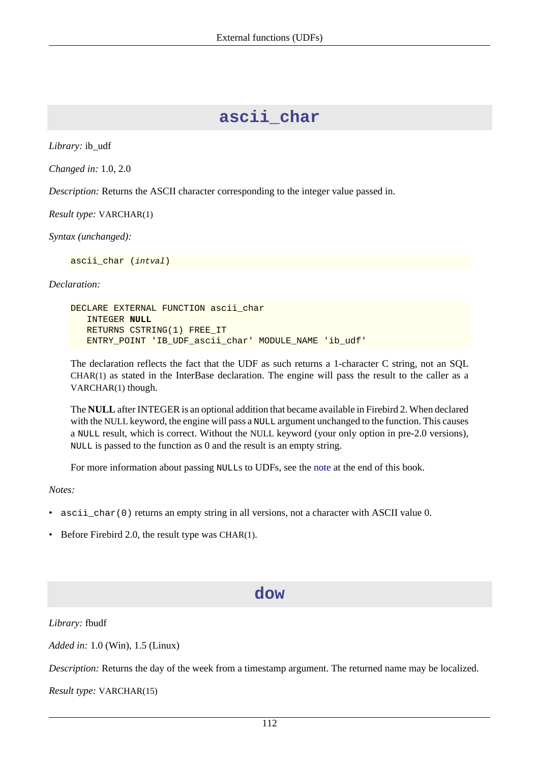### **ascii\_char**

*Library:* ib\_udf

*Changed in:* 1.0, 2.0

*Description:* Returns the ASCII character corresponding to the integer value passed in.

*Result type:* VARCHAR(1)

*Syntax (unchanged):*

ascii\_char (intval)

#### *Declaration:*

DECLARE EXTERNAL FUNCTION ascii\_char INTEGER **NULL** RETURNS CSTRING(1) FREE\_IT ENTRY\_POINT 'IB\_UDF\_ascii\_char' MODULE\_NAME 'ib\_udf'

The declaration reflects the fact that the UDF as such returns a 1-character C string, not an SQL CHAR(1) as stated in the InterBase declaration. The engine will pass the result to the caller as a VARCHAR(1) though.

The **NULL** after INTEGER is an optional addition that became available in Firebird 2. When declared with the NULL keyword, the engine will pass a NULL argument unchanged to the function. This causes a NULL result, which is correct. Without the NULL keyword (your only option in pre-2.0 versions), NULL is passed to the function as 0 and the result is an empty string.

For more information about passing NULLs to UDFs, see the [note](#page-143-0) at the end of this book.

*Notes:*

- ascii char(0) returns an empty string in all versions, not a character with ASCII value 0.
- <span id="page-121-0"></span>• Before Firebird 2.0, the result type was CHAR(1).

### **dow**

*Library:* fbudf

*Added in:* 1.0 (Win), 1.5 (Linux)

*Description:* Returns the day of the week from a timestamp argument. The returned name may be localized.

*Result type:* VARCHAR(15)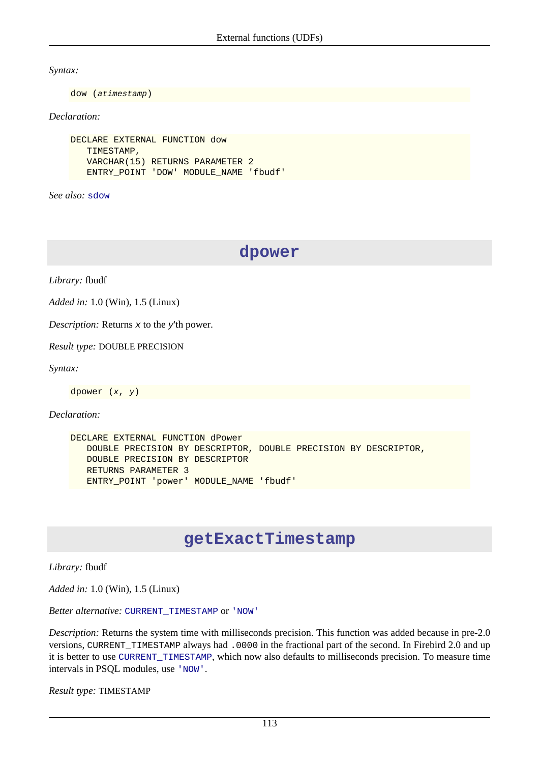*Syntax:*

dow (atimestamp)

*Declaration:*

```
DECLARE EXTERNAL FUNCTION dow
    TIMESTAMP,
    VARCHAR(15) RETURNS PARAMETER 2
    ENTRY_POINT 'DOW' MODULE_NAME 'fbudf'
```
*See also:* [sdow](#page-132-0)

**dpower**

*Library:* fbudf

*Added in:* 1.0 (Win), 1.5 (Linux)

*Description:* Returns x to the y'th power.

*Result type:* DOUBLE PRECISION

*Syntax:*

dpower (x, y)

*Declaration:*

```
DECLARE EXTERNAL FUNCTION dPower
    DOUBLE PRECISION BY DESCRIPTOR, DOUBLE PRECISION BY DESCRIPTOR,
    DOUBLE PRECISION BY DESCRIPTOR
    RETURNS PARAMETER 3
    ENTRY_POINT 'power' MODULE_NAME 'fbudf'
```
### **getExactTimestamp**

*Library:* fbudf

*Added in:* 1.0 (Win), 1.5 (Linux)

*Better alternative:* [CURRENT\\_TIMESTAMP](#page-93-0) or ['NOW'](#page-96-0)

*Description:* Returns the system time with milliseconds precision. This function was added because in pre-2.0 versions, CURRENT\_TIMESTAMP always had .0000 in the fractional part of the second. In Firebird 2.0 and up it is better to use [CURRENT\\_TIMESTAMP](#page-93-0), which now also defaults to milliseconds precision. To measure time intervals in PSQL modules, use ['NOW'](#page-96-0).

*Result type:* TIMESTAMP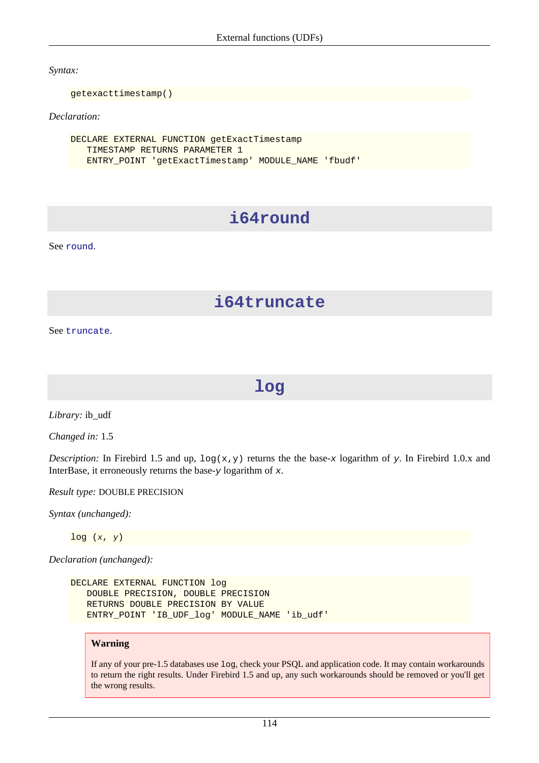*Syntax:*

getexacttimestamp()

*Declaration:*

```
DECLARE EXTERNAL FUNCTION getExactTimestamp
    TIMESTAMP RETURNS PARAMETER 1
    ENTRY_POINT 'getExactTimestamp' MODULE_NAME 'fbudf'
```
# **i64round**

See [round](#page-129-0).

### **i64truncate**

See [truncate](#page-136-0).

### **log**

*Library:* ib\_udf

*Changed in:* 1.5

*Description:* In Firebird 1.5 and up,  $\log(x, y)$  returns the the base-x logarithm of y. In Firebird 1.0.x and InterBase, it erroneously returns the base- $y$  logarithm of  $x$ .

*Result type:* DOUBLE PRECISION

*Syntax (unchanged):*

 $log(x, y)$ 

*Declaration (unchanged):*

```
DECLARE EXTERNAL FUNCTION log
    DOUBLE PRECISION, DOUBLE PRECISION
    RETURNS DOUBLE PRECISION BY VALUE
    ENTRY_POINT 'IB_UDF_log' MODULE_NAME 'ib_udf'
```
### **Warning**

If any of your pre-1.5 databases use log, check your PSQL and application code. It may contain workarounds to return the right results. Under Firebird 1.5 and up, any such workarounds should be removed or you'll get the wrong results.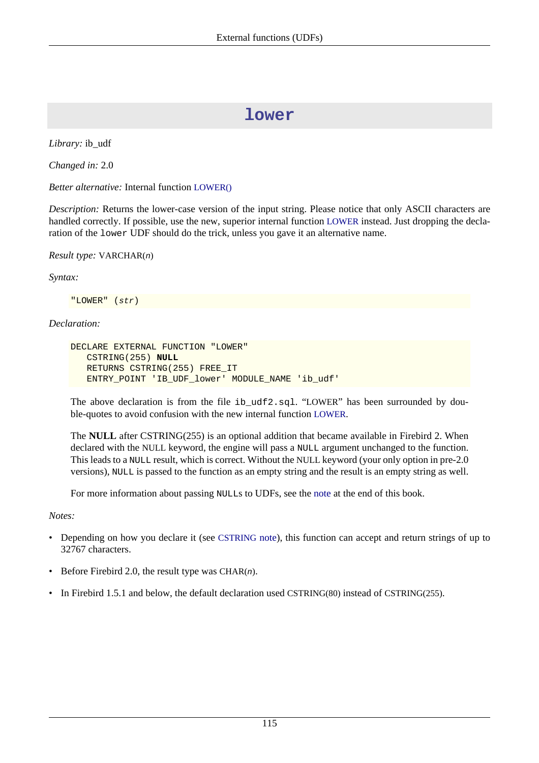### **lower**

*Library:* ib\_udf

*Changed in:* 2.0

*Better alternative:* Internal function [LOWER\(\)](#page-110-0)

*Description:* Returns the lower-case version of the input string. Please notice that only ASCII characters are handled correctly. If possible, use the new, superior internal function [LOWER](#page-110-0) instead. Just dropping the declaration of the lower UDF should do the trick, unless you gave it an alternative name.

*Result type:* VARCHAR(n)

*Syntax:*

"LOWER" (str)

### *Declaration:*

```
DECLARE EXTERNAL FUNCTION "LOWER"
    CSTRING(255) NULL
    RETURNS CSTRING(255) FREE_IT
    ENTRY_POINT 'IB_UDF_lower' MODULE_NAME 'ib_udf'
```
The above declaration is from the file ib  $udf2.sq1.$  "LOWER" has been surrounded by double-quotes to avoid confusion with the new internal function [LOWER](#page-110-0).

The **NULL** after CSTRING(255) is an optional addition that became available in Firebird 2. When declared with the NULL keyword, the engine will pass a NULL argument unchanged to the function. This leads to a NULL result, which is correct. Without the NULL keyword (your only option in pre-2.0 versions), NULL is passed to the function as an empty string and the result is an empty string as well.

For more information about passing NULLs to UDFs, see the [note](#page-143-0) at the end of this book.

*Notes:*

- Depending on how you declare it (see [CSTRING](#page-142-0) note), this function can accept and return strings of up to 32767 characters.
- Before Firebird 2.0, the result type was CHAR $(n)$ .
- In Firebird 1.5.1 and below, the default declaration used CSTRING(80) instead of CSTRING(255).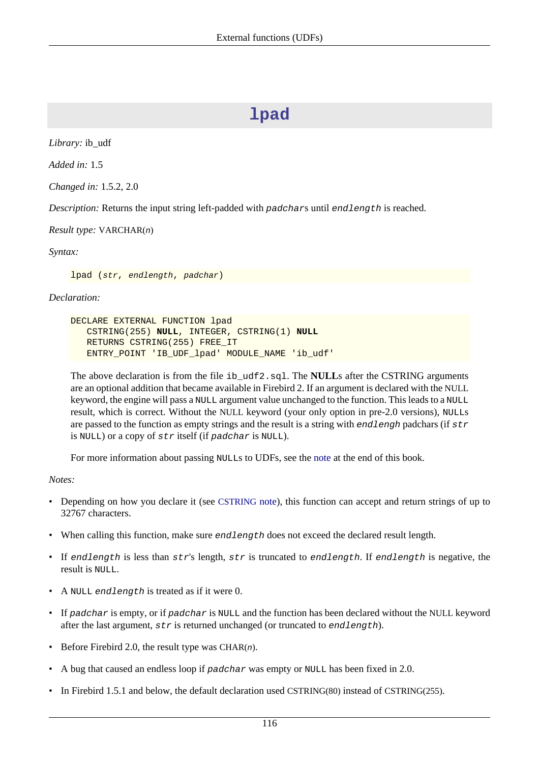### **lpad**

*Library:* ib\_udf

*Added in:* 1.5

*Changed in:* 1.5.2, 2.0

*Description:* Returns the input string left-padded with padchars until endlength is reached.

*Result type:* VARCHAR(n)

*Syntax:*

lpad (str, endlength, padchar)

*Declaration:*

```
DECLARE EXTERNAL FUNCTION lpad
    CSTRING(255) NULL, INTEGER, CSTRING(1) NULL
    RETURNS CSTRING(255) FREE_IT
    ENTRY_POINT 'IB_UDF_lpad' MODULE_NAME 'ib_udf'
```
The above declaration is from the file ib\_udf2.sql. The **NULL**s after the CSTRING arguments are an optional addition that became available in Firebird 2. If an argument is declared with the NULL keyword, the engine will pass a NULL argument value unchanged to the function. This leads to a NULL result, which is correct. Without the NULL keyword (your only option in pre-2.0 versions), NULLs are passed to the function as empty strings and the result is a string with endlengh padchars (if  $str$ is NULL) or a copy of str itself (if padchar is NULL).

For more information about passing NULLs to UDFs, see the [note](#page-143-0) at the end of this book.

*Notes:*

- Depending on how you declare it (see [CSTRING](#page-142-0) note), this function can accept and return strings of up to 32767 characters.
- When calling this function, make sure *endlength* does not exceed the declared result length.
- If endlength is less than  $str's$  length,  $str$  is truncated to endlength. If endlength is negative, the result is NULL.
- A NULL endlength is treated as if it were 0.
- If padchar is empty, or if padchar is NULL and the function has been declared without the NULL keyword after the last argument,  $str$  is returned unchanged (or truncated to  $endlength$ ).
- Before Firebird 2.0, the result type was CHAR $(n)$ .
- A bug that caused an endless loop if  $p$ adchar was empty or NULL has been fixed in 2.0.
- In Firebird 1.5.1 and below, the default declaration used CSTRING(80) instead of CSTRING(255).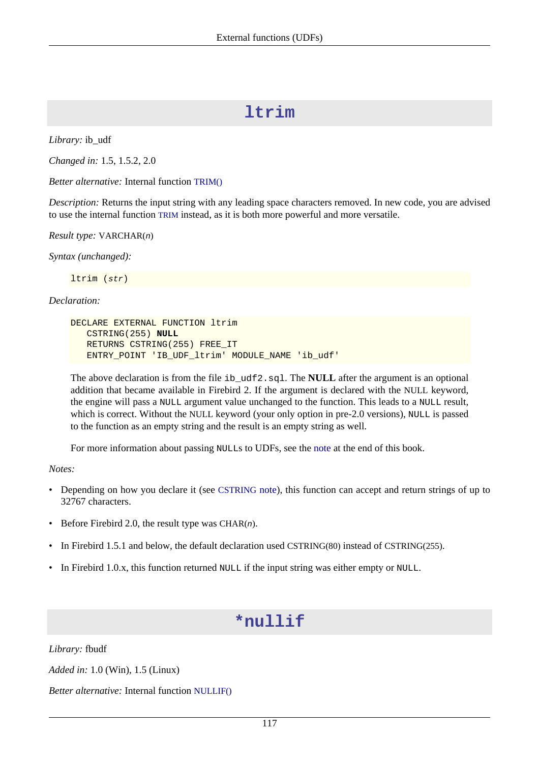### **ltrim**

*Library:* ib\_udf

*Changed in:* 1.5, 1.5.2, 2.0

*Better alternative:* Internal function [TRIM\(\)](#page-115-0)

*Description:* Returns the input string with any leading space characters removed. In new code, you are advised to use the internal function [TRIM](#page-115-0) instead, as it is both more powerful and more versatile.

*Result type:* VARCHAR(n)

*Syntax (unchanged):*

ltrim (str)

*Declaration:*

```
DECLARE EXTERNAL FUNCTION ltrim
    CSTRING(255) NULL
    RETURNS CSTRING(255) FREE_IT
    ENTRY_POINT 'IB_UDF_ltrim' MODULE_NAME 'ib_udf'
```
The above declaration is from the file ib udf2.sql. The **NULL** after the argument is an optional addition that became available in Firebird 2. If the argument is declared with the NULL keyword, the engine will pass a NULL argument value unchanged to the function. This leads to a NULL result, which is correct. Without the NULL keyword (your only option in pre-2.0 versions), NULL is passed to the function as an empty string and the result is an empty string as well.

For more information about passing NULLs to UDFs, see the [note](#page-143-0) at the end of this book.

*Notes:*

- Depending on how you declare it (see [CSTRING](#page-142-0) note), this function can accept and return strings of up to 32767 characters.
- Before Firebird 2.0, the result type was CHAR $(n)$ .
- In Firebird 1.5.1 and below, the default declaration used CSTRING(80) instead of CSTRING(255).
- <span id="page-126-0"></span>• In Firebird 1.0.x, this function returned NULL if the input string was either empty or NULL.

### **\*nullif**

*Library:* fbudf

*Added in:* 1.0 (Win), 1.5 (Linux)

*Better alternative:* Internal function [NULLIF\(\)](#page-110-1)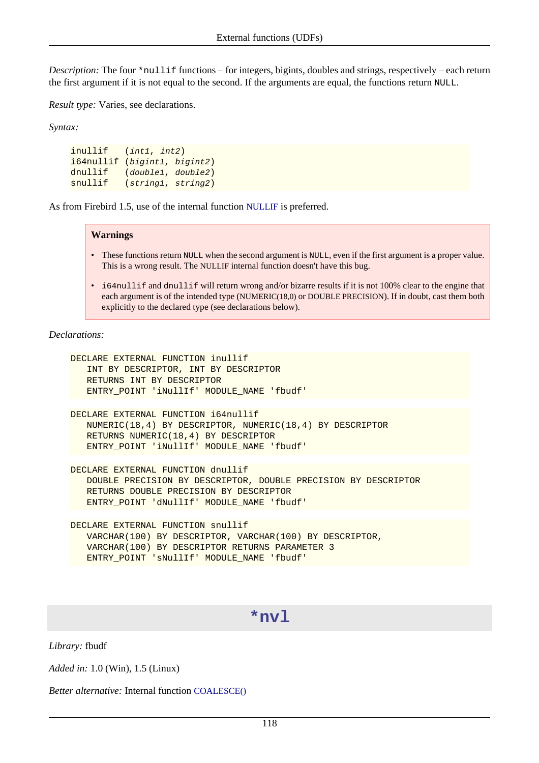*Description:* The four \*nullif functions – for integers, bigints, doubles and strings, respectively – each return the first argument if it is not equal to the second. If the arguments are equal, the functions return NULL.

*Result type:* Varies, see declarations.

*Syntax:*

inullif (int1, int2) i64nullif (bigint1, bigint2) dnullif (double1, double2) snullif (string1, string2)

As from Firebird 1.5, use of the internal function [NULLIF](#page-110-1) is preferred.

#### **Warnings**

- These functions return NULL when the second argument is NULL, even if the first argument is a proper value. This is a wrong result. The NULLIF internal function doesn't have this bug.
- i64nullif and dnullif will return wrong and/or bizarre results if it is not 100% clear to the engine that each argument is of the intended type (NUMERIC(18,0) or DOUBLE PRECISION). If in doubt, cast them both explicitly to the declared type (see declarations below).

*Declarations:*

```
DECLARE EXTERNAL FUNCTION inullif
    INT BY DESCRIPTOR, INT BY DESCRIPTOR
    RETURNS INT BY DESCRIPTOR
    ENTRY_POINT 'iNullIf' MODULE_NAME 'fbudf'
DECLARE EXTERNAL FUNCTION i64nullif
    NUMERIC(18,4) BY DESCRIPTOR, NUMERIC(18,4) BY DESCRIPTOR
    RETURNS NUMERIC(18,4) BY DESCRIPTOR
    ENTRY_POINT 'iNullIf' MODULE_NAME 'fbudf'
DECLARE EXTERNAL FUNCTION dnullif
    DOUBLE PRECISION BY DESCRIPTOR, DOUBLE PRECISION BY DESCRIPTOR
    RETURNS DOUBLE PRECISION BY DESCRIPTOR
    ENTRY_POINT 'dNullIf' MODULE_NAME 'fbudf'
DECLARE EXTERNAL FUNCTION snullif
    VARCHAR(100) BY DESCRIPTOR, VARCHAR(100) BY DESCRIPTOR,
```

```
 VARCHAR(100) BY DESCRIPTOR RETURNS PARAMETER 3
```

```
 ENTRY_POINT 'sNullIf' MODULE_NAME 'fbudf'
```
### **\*nvl**

*Library:* fbudf

*Added in:* 1.0 (Win), 1.5 (Linux)

*Better alternative:* Internal function [COALESCE\(\)](#page-107-0)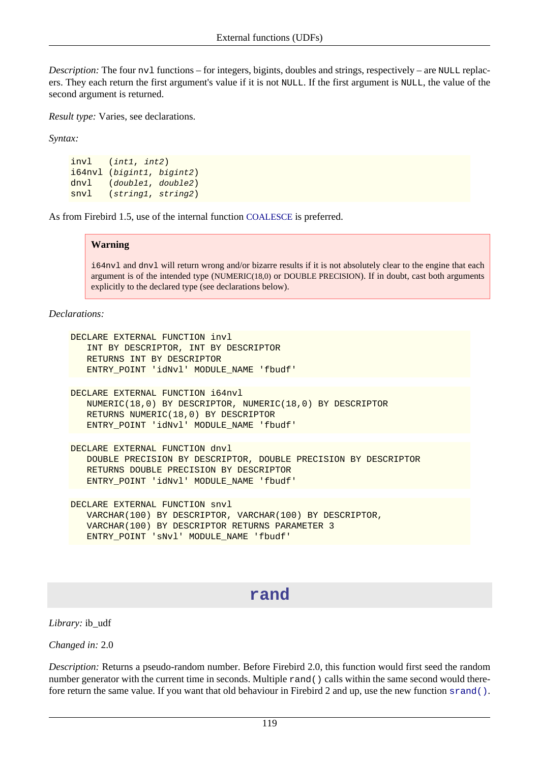*Description:* The four nv1 functions – for integers, bigints, doubles and strings, respectively – are NULL replacers. They each return the first argument's value if it is not NULL. If the first argument is NULL, the value of the second argument is returned.

*Result type:* Varies, see declarations.

*Syntax:*

```
invl (int1, int2)
i64nvl (bigint1, bigint2)
dnvl (double1, double2)
snvl (string1, string2)
```
As from Firebird 1.5, use of the internal function [COALESCE](#page-107-0) is preferred.

#### **Warning**

i64nvl and dnvl will return wrong and/or bizarre results if it is not absolutely clear to the engine that each argument is of the intended type (NUMERIC(18,0) or DOUBLE PRECISION). If in doubt, cast both arguments explicitly to the declared type (see declarations below).

*Declarations:*

```
DECLARE EXTERNAL FUNCTION invl
    INT BY DESCRIPTOR, INT BY DESCRIPTOR
    RETURNS INT BY DESCRIPTOR
    ENTRY_POINT 'idNvl' MODULE_NAME 'fbudf'
```

```
DECLARE EXTERNAL FUNCTION i64nvl
    NUMERIC(18,0) BY DESCRIPTOR, NUMERIC(18,0) BY DESCRIPTOR
    RETURNS NUMERIC(18,0) BY DESCRIPTOR
    ENTRY_POINT 'idNvl' MODULE_NAME 'fbudf'
```
DECLARE EXTERNAL FUNCTION dnvl DOUBLE PRECISION BY DESCRIPTOR, DOUBLE PRECISION BY DESCRIPTOR RETURNS DOUBLE PRECISION BY DESCRIPTOR ENTRY\_POINT 'idNvl' MODULE\_NAME 'fbudf'

```
DECLARE EXTERNAL FUNCTION snvl
    VARCHAR(100) BY DESCRIPTOR, VARCHAR(100) BY DESCRIPTOR,
    VARCHAR(100) BY DESCRIPTOR RETURNS PARAMETER 3
    ENTRY_POINT 'sNvl' MODULE_NAME 'fbudf'
```
### **rand**

*Library:* ib\_udf

*Changed in:* 2.0

*Description:* Returns a pseudo-random number. Before Firebird 2.0, this function would first seed the random number generator with the current time in seconds. Multiple rand() calls within the same second would therefore return the same value. If you want that old behaviour in Firebird 2 and up, use the new function [srand\(\)](#page-132-1).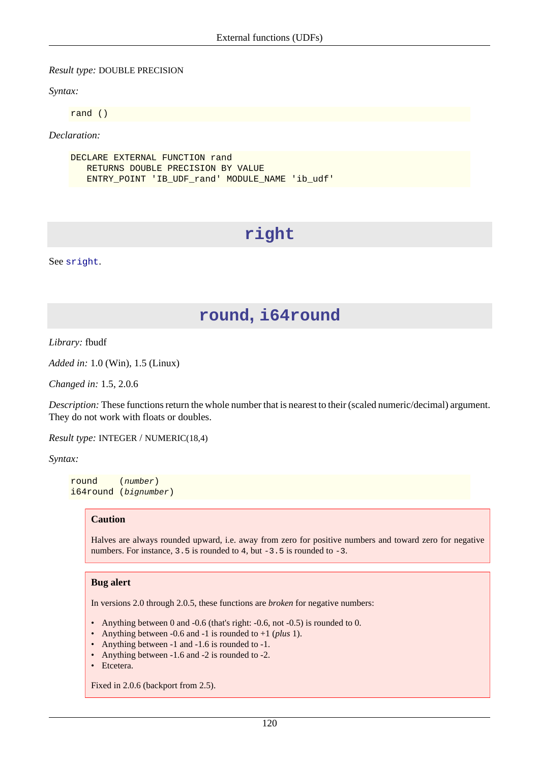#### *Result type:* DOUBLE PRECISION

*Syntax:*

rand ()

*Declaration:*

```
DECLARE EXTERNAL FUNCTION rand
    RETURNS DOUBLE PRECISION BY VALUE
    ENTRY_POINT 'IB_UDF_rand' MODULE_NAME 'ib_udf'
```
### **right**

<span id="page-129-0"></span>See [sright](#page-133-0).

### **round, i64round**

*Library:* fbudf

*Added in:* 1.0 (Win), 1.5 (Linux)

*Changed in:* 1.5, 2.0.6

*Description:* These functions return the whole number that is nearest to their (scaled numeric/decimal) argument. They do not work with floats or doubles.

*Result type:* INTEGER / NUMERIC(18,4)

*Syntax:*

round (number) i64round (bignumber)

#### **Caution**

Halves are always rounded upward, i.e. away from zero for positive numbers and toward zero for negative numbers. For instance,  $3.5$  is rounded to  $4$ , but  $-3.5$  is rounded to  $-3$ .

#### **Bug alert**

In versions 2.0 through 2.0.5, these functions are *broken* for negative numbers:

- Anything between 0 and -0.6 (that's right: -0.6, not -0.5) is rounded to 0.
- Anything between -0.6 and -1 is rounded to +1 (*plus* 1).
- Anything between -1 and -1.6 is rounded to -1.
- Anything between -1.6 and -2 is rounded to -2.
- Etcetera.

Fixed in 2.0.6 (backport from 2.5).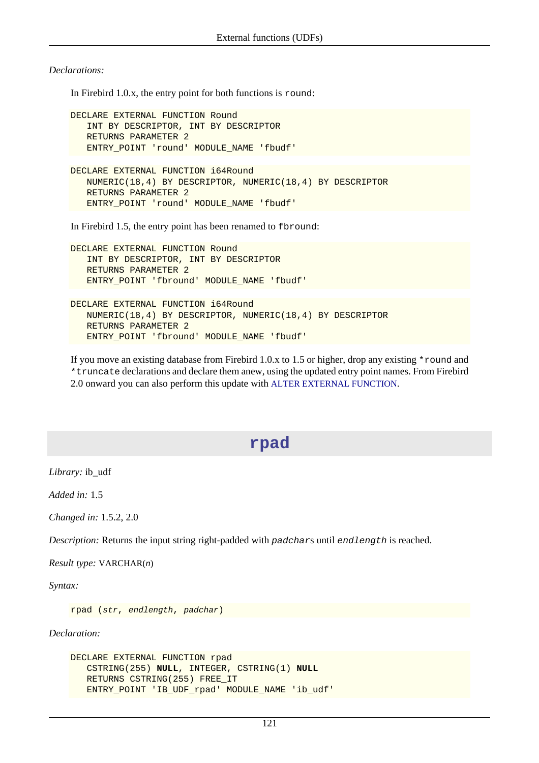*Declarations:*

In Firebird 1.0.x, the entry point for both functions is round:

```
DECLARE EXTERNAL FUNCTION Round
    INT BY DESCRIPTOR, INT BY DESCRIPTOR
    RETURNS PARAMETER 2
    ENTRY_POINT 'round' MODULE_NAME 'fbudf'
DECLARE EXTERNAL FUNCTION i64Round
    NUMERIC(18,4) BY DESCRIPTOR, NUMERIC(18,4) BY DESCRIPTOR
    RETURNS PARAMETER 2
    ENTRY_POINT 'round' MODULE_NAME 'fbudf'
```
In Firebird 1.5, the entry point has been renamed to fbround:

DECLARE EXTERNAL FUNCTION Round INT BY DESCRIPTOR, INT BY DESCRIPTOR RETURNS PARAMETER 2 ENTRY\_POINT 'fbround' MODULE\_NAME 'fbudf'

```
DECLARE EXTERNAL FUNCTION i64Round
    NUMERIC(18,4) BY DESCRIPTOR, NUMERIC(18,4) BY DESCRIPTOR
    RETURNS PARAMETER 2
    ENTRY_POINT 'fbround' MODULE_NAME 'fbudf'
```
If you move an existing database from Firebird 1.0.x to 1.5 or higher, drop any existing \*round and \*truncate declarations and declare them anew, using the updated entry point names. From Firebird 2.0 onward you can also perform this update with [ALTER EXTERNAL FUNCTION](#page-24-0).

### **rpad**

*Library:* ib\_udf

*Added in:* 1.5

*Changed in:* 1.5.2, 2.0

*Description:* Returns the input string right-padded with padchars until endlength is reached.

*Result type:* VARCHAR(n)

*Syntax:*

```
rpad (str, endlength, padchar)
```

```
DECLARE EXTERNAL FUNCTION rpad
   CSTRING(255) NULL, INTEGER, CSTRING(1) NULL
   RETURNS CSTRING(255) FREE_IT
   ENTRY_POINT 'IB_UDF_rpad' MODULE_NAME 'ib_udf'
```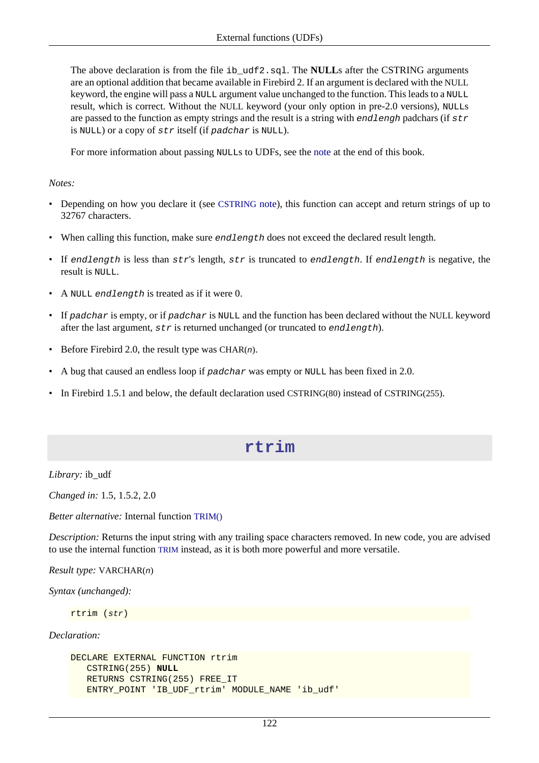The above declaration is from the file ib\_udf2.sql. The **NULL**s after the CSTRING arguments are an optional addition that became available in Firebird 2. If an argument is declared with the NULL keyword, the engine will pass a NULL argument value unchanged to the function. This leads to a NULL result, which is correct. Without the NULL keyword (your only option in pre-2.0 versions), NULLs are passed to the function as empty strings and the result is a string with endlengh padchars (if  $str$ is NULL) or a copy of str itself (if padchar is NULL).

For more information about passing NULLs to UDFs, see the [note](#page-143-0) at the end of this book.

#### *Notes:*

- Depending on how you declare it (see [CSTRING](#page-142-0) note), this function can accept and return strings of up to 32767 characters.
- When calling this function, make sure endlength does not exceed the declared result length.
- If endlength is less than  $str's$  length,  $str$  is truncated to endlength. If endlength is negative, the result is NULL.
- A NULL endlength is treated as if it were 0.
- If padchar is empty, or if padchar is NULL and the function has been declared without the NULL keyword after the last argument,  $str$  is returned unchanged (or truncated to endlength).
- Before Firebird 2.0, the result type was CHAR $(n)$ .
- A bug that caused an endless loop if padchar was empty or NULL has been fixed in 2.0.
- In Firebird 1.5.1 and below, the default declaration used CSTRING(80) instead of CSTRING(255).

### **rtrim**

*Library:* ib\_udf

*Changed in:* 1.5, 1.5.2, 2.0

*Better alternative:* Internal function [TRIM\(\)](#page-115-0)

*Description:* Returns the input string with any trailing space characters removed. In new code, you are advised to use the internal function [TRIM](#page-115-0) instead, as it is both more powerful and more versatile.

*Result type:* VARCHAR(n)

*Syntax (unchanged):*

rtrim (str)

```
DECLARE EXTERNAL FUNCTION rtrim
    CSTRING(255) NULL
    RETURNS CSTRING(255) FREE_IT
    ENTRY_POINT 'IB_UDF_rtrim' MODULE_NAME 'ib_udf'
```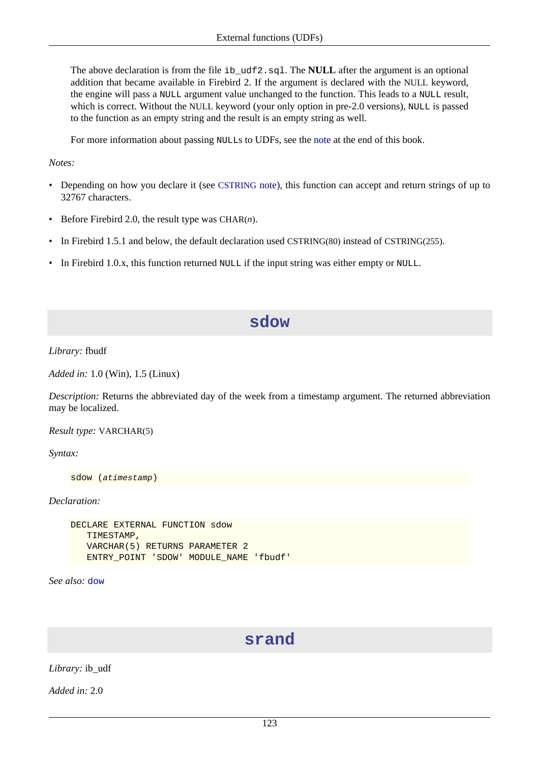The above declaration is from the file ib\_udf2.sql. The **NULL** after the argument is an optional addition that became available in Firebird 2. If the argument is declared with the NULL keyword, the engine will pass a NULL argument value unchanged to the function. This leads to a NULL result, which is correct. Without the NULL keyword (your only option in pre-2.0 versions), NULL is passed to the function as an empty string and the result is an empty string as well.

For more information about passing NULLs to UDFs, see the [note](#page-143-0) at the end of this book.

#### *Notes:*

- Depending on how you declare it (see [CSTRING](#page-142-0) note), this function can accept and return strings of up to 32767 characters.
- Before Firebird 2.0, the result type was CHAR $(n)$ .
- In Firebird 1.5.1 and below, the default declaration used CSTRING(80) instead of CSTRING(255).
- <span id="page-132-0"></span>• In Firebird 1.0.x, this function returned NULL if the input string was either empty or NULL.

### **sdow**

#### *Library:* fbudf

*Added in:* 1.0 (Win), 1.5 (Linux)

*Description:* Returns the abbreviated day of the week from a timestamp argument. The returned abbreviation may be localized.

#### *Result type:* VARCHAR(5)

*Syntax:*

```
sdow (atimestamp)
```
*Declaration:*

```
DECLARE EXTERNAL FUNCTION sdow
    TIMESTAMP,
    VARCHAR(5) RETURNS PARAMETER 2
    ENTRY_POINT 'SDOW' MODULE_NAME 'fbudf'
```
<span id="page-132-1"></span>*See also:* [dow](#page-121-0)

### **srand**

*Library:* ib\_udf

*Added in:* 2.0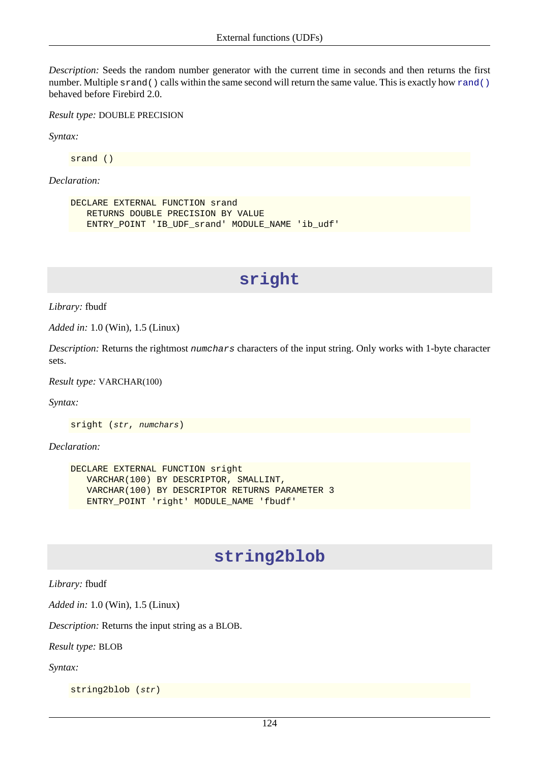*Description:* Seeds the random number generator with the current time in seconds and then returns the first number. Multiple s[rand\(\)](#page-132-1) calls within the same second will return the same value. This is exactly how rand() behaved before Firebird 2.0.

*Result type:* DOUBLE PRECISION

*Syntax:*

srand ()

*Declaration:*

```
DECLARE EXTERNAL FUNCTION srand
    RETURNS DOUBLE PRECISION BY VALUE
    ENTRY_POINT 'IB_UDF_srand' MODULE_NAME 'ib_udf'
```
### **sright**

*Library:* fbudf

*Added in:* 1.0 (Win), 1.5 (Linux)

*Description:* Returns the rightmost numchars characters of the input string. Only works with 1-byte character sets.

*Result type:* VARCHAR(100)

*Syntax:*

sright (str, numchars)

*Declaration:*

```
DECLARE EXTERNAL FUNCTION sright
    VARCHAR(100) BY DESCRIPTOR, SMALLINT,
    VARCHAR(100) BY DESCRIPTOR RETURNS PARAMETER 3
    ENTRY_POINT 'right' MODULE_NAME 'fbudf'
```
### **string2blob**

*Library:* fbudf

*Added in:* 1.0 (Win), 1.5 (Linux)

*Description:* Returns the input string as a BLOB.

*Result type:* BLOB

*Syntax:*

string2blob (str)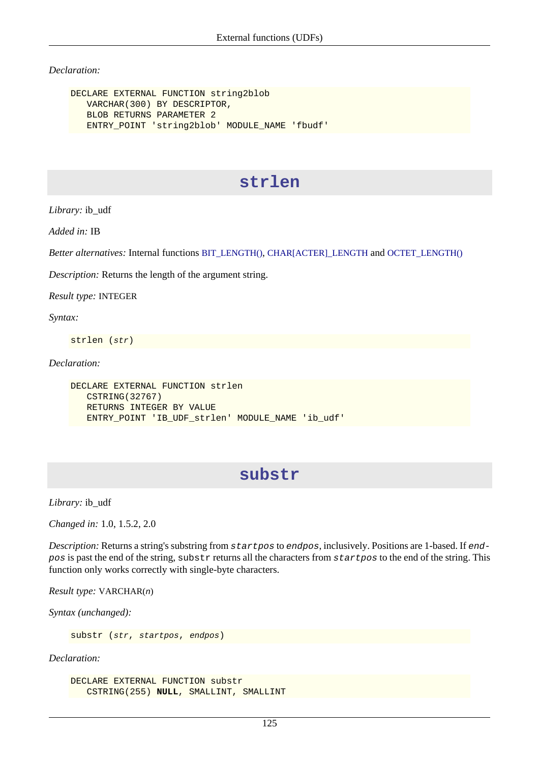*Declaration:*

```
DECLARE EXTERNAL FUNCTION string2blob
    VARCHAR(300) BY DESCRIPTOR,
    BLOB RETURNS PARAMETER 2
    ENTRY_POINT 'string2blob' MODULE_NAME 'fbudf'
```
### **strlen**

*Library:* ib\_udf

*Added in:* IB

*Better alternatives:* Internal functions [BIT\\_LENGTH\(\)](#page-104-0), [CHAR\[ACTER\]\\_LENGTH](#page-106-0) and [OCTET\\_LENGTH\(\)](#page-111-0)

*Description:* Returns the length of the argument string.

*Result type:* INTEGER

*Syntax:*

strlen (str)

*Declaration:*

```
DECLARE EXTERNAL FUNCTION strlen
    CSTRING(32767)
    RETURNS INTEGER BY VALUE
    ENTRY_POINT 'IB_UDF_strlen' MODULE_NAME 'ib_udf'
```
### **substr**

*Library:* ib\_udf

*Changed in:* 1.0, 1.5.2, 2.0

*Description:* Returns a string's substring from startpos to endpos, inclusively. Positions are 1-based. If endpos is past the end of the string, substr returns all the characters from startpos to the end of the string. This function only works correctly with single-byte characters.

*Result type:* VARCHAR(n)

*Syntax (unchanged):*

substr (str, startpos, endpos)

*Declaration:*

DECLARE EXTERNAL FUNCTION substr CSTRING(255) **NULL**, SMALLINT, SMALLINT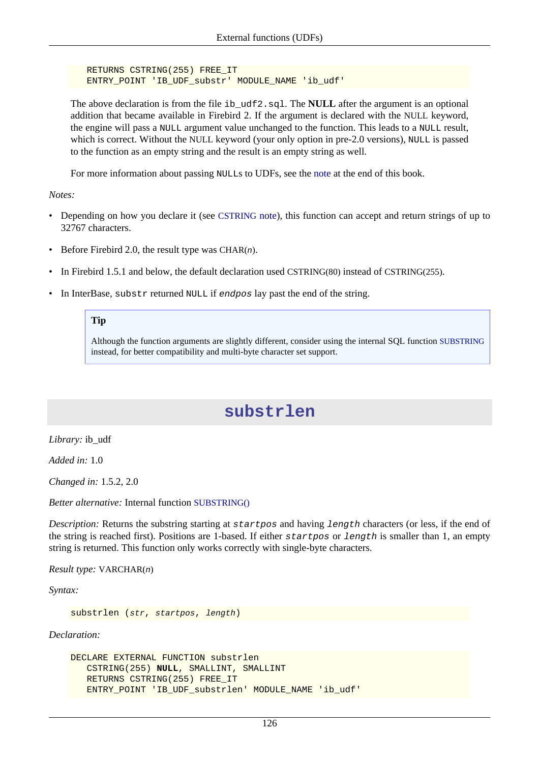RETURNS CSTRING(255) FREE\_IT ENTRY\_POINT 'IB\_UDF\_substr' MODULE\_NAME 'ib\_udf'

The above declaration is from the file ib udf2.sql. The **NULL** after the argument is an optional addition that became available in Firebird 2. If the argument is declared with the NULL keyword, the engine will pass a NULL argument value unchanged to the function. This leads to a NULL result, which is correct. Without the NULL keyword (your only option in pre-2.0 versions), NULL is passed to the function as an empty string and the result is an empty string as well.

For more information about passing NULLs to UDFs, see the [note](#page-143-0) at the end of this book.

*Notes:*

- Depending on how you declare it (see [CSTRING](#page-142-0) note), this function can accept and return strings of up to 32767 characters.
- Before Firebird 2.0, the result type was CHAR $(n)$ .
- In Firebird 1.5.1 and below, the default declaration used CSTRING(80) instead of CSTRING(255).
- In InterBase, substr returned NULL if endpos lay past the end of the string.

### **Tip**

Although the function arguments are slightly different, consider using the internal SQL function [SUBSTRING](#page-114-0) instead, for better compatibility and multi-byte character set support.

### **substrlen**

*Library:* ib\_udf

*Added in:* 1.0

*Changed in:* 1.5.2, 2.0

*Better alternative:* Internal function [SUBSTRING\(\)](#page-114-0)

*Description:* Returns the substring starting at startpos and having length characters (or less, if the end of the string is reached first). Positions are 1-based. If either startpos or length is smaller than 1, an empty string is returned. This function only works correctly with single-byte characters.

*Result type:* VARCHAR(n)

*Syntax:*

substrlen (str, startpos, length)

```
DECLARE EXTERNAL FUNCTION substrlen
    CSTRING(255) NULL, SMALLINT, SMALLINT
   RETURNS CSTRING(255) FREE_IT
    ENTRY_POINT 'IB_UDF_substrlen' MODULE_NAME 'ib_udf'
```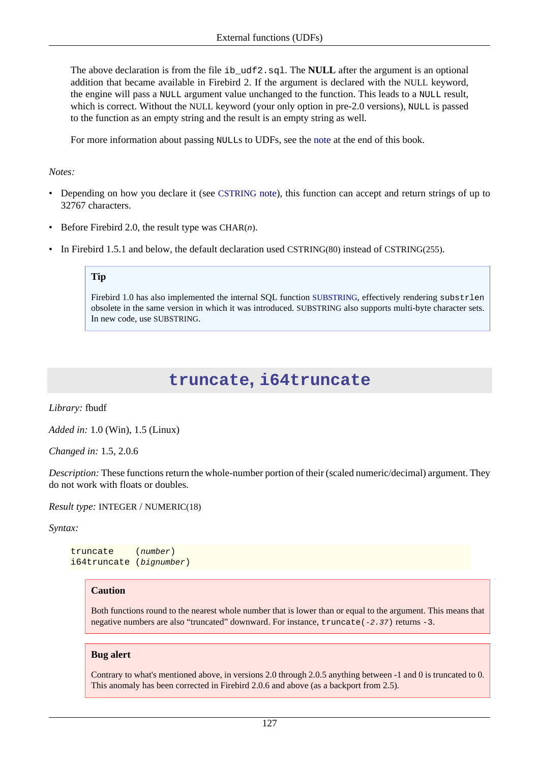The above declaration is from the file ib\_udf2.sql. The **NULL** after the argument is an optional addition that became available in Firebird 2. If the argument is declared with the NULL keyword, the engine will pass a NULL argument value unchanged to the function. This leads to a NULL result, which is correct. Without the NULL keyword (your only option in pre-2.0 versions), NULL is passed to the function as an empty string and the result is an empty string as well.

For more information about passing NULLs to UDFs, see the [note](#page-143-0) at the end of this book.

#### *Notes:*

- Depending on how you declare it (see [CSTRING](#page-142-0) note), this function can accept and return strings of up to 32767 characters.
- Before Firebird 2.0, the result type was CHAR $(n)$ .
- In Firebird 1.5.1 and below, the default declaration used CSTRING(80) instead of CSTRING(255).

#### **Tip**

<span id="page-136-0"></span>Firebird 1.0 has also implemented the internal SQL function [SUBSTRING](#page-114-0), effectively rendering substrlen obsolete in the same version in which it was introduced. SUBSTRING also supports multi-byte character sets. In new code, use SUBSTRING.

### **truncate, i64truncate**

*Library:* fbudf

*Added in:* 1.0 (Win), 1.5 (Linux)

*Changed in:* 1.5, 2.0.6

*Description:* These functions return the whole-number portion of their (scaled numeric/decimal) argument. They do not work with floats or doubles.

*Result type:* INTEGER / NUMERIC(18)

*Syntax:*

truncate (number) i64truncate (bignumber)

#### **Caution**

Both functions round to the nearest whole number that is lower than or equal to the argument. This means that negative numbers are also "truncated" downward. For instance, truncate(-2.37) returns -3.

#### **Bug alert**

Contrary to what's mentioned above, in versions 2.0 through 2.0.5 anything between -1 and 0 is truncated to 0. This anomaly has been corrected in Firebird 2.0.6 and above (as a backport from 2.5).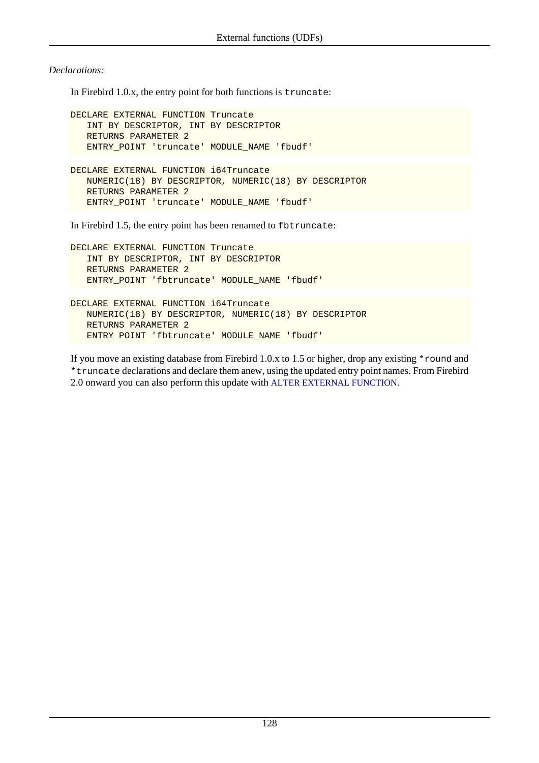*Declarations:*

In Firebird 1.0.x, the entry point for both functions is truncate:

```
DECLARE EXTERNAL FUNCTION Truncate
    INT BY DESCRIPTOR, INT BY DESCRIPTOR
    RETURNS PARAMETER 2
    ENTRY_POINT 'truncate' MODULE_NAME 'fbudf'
DECLARE EXTERNAL FUNCTION i64Truncate
    NUMERIC(18) BY DESCRIPTOR, NUMERIC(18) BY DESCRIPTOR
    RETURNS PARAMETER 2
```
In Firebird 1.5, the entry point has been renamed to fbtruncate:

ENTRY\_POINT 'truncate' MODULE\_NAME 'fbudf'

```
DECLARE EXTERNAL FUNCTION Truncate
    INT BY DESCRIPTOR, INT BY DESCRIPTOR
    RETURNS PARAMETER 2
    ENTRY_POINT 'fbtruncate' MODULE_NAME 'fbudf'
```

```
DECLARE EXTERNAL FUNCTION i64Truncate
   NUMERIC(18) BY DESCRIPTOR, NUMERIC(18) BY DESCRIPTOR
   RETURNS PARAMETER 2
   ENTRY_POINT 'fbtruncate' MODULE_NAME 'fbudf'
```
If you move an existing database from Firebird 1.0.x to 1.5 or higher, drop any existing \*round and \*truncate declarations and declare them anew, using the updated entry point names. From Firebird 2.0 onward you can also perform this update with [ALTER EXTERNAL FUNCTION](#page-24-0).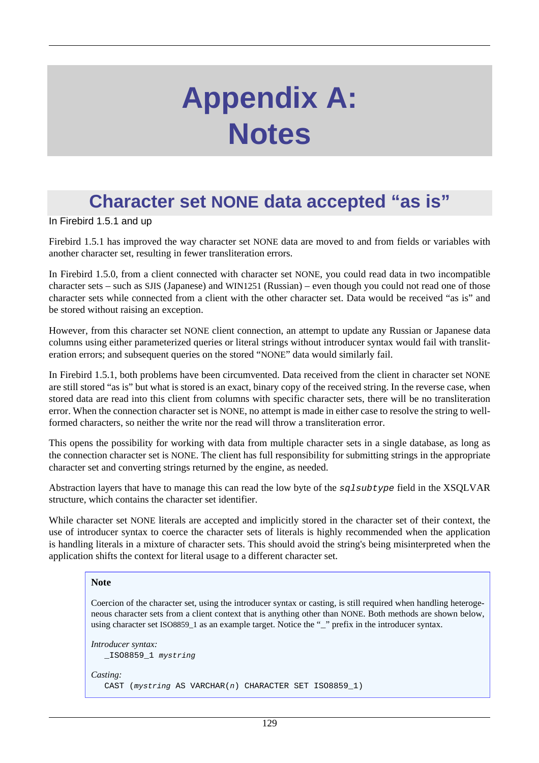# **Appendix A: Notes**

# **Character set NONE data accepted "as is"**

In Firebird 1.5.1 and up

Firebird 1.5.1 has improved the way character set NONE data are moved to and from fields or variables with another character set, resulting in fewer transliteration errors.

In Firebird 1.5.0, from a client connected with character set NONE, you could read data in two incompatible character sets – such as SJIS (Japanese) and WIN1251 (Russian) – even though you could not read one of those character sets while connected from a client with the other character set. Data would be received "as is" and be stored without raising an exception.

However, from this character set NONE client connection, an attempt to update any Russian or Japanese data columns using either parameterized queries or literal strings without introducer syntax would fail with transliteration errors; and subsequent queries on the stored "NONE" data would similarly fail.

In Firebird 1.5.1, both problems have been circumvented. Data received from the client in character set NONE are still stored "as is" but what is stored is an exact, binary copy of the received string. In the reverse case, when stored data are read into this client from columns with specific character sets, there will be no transliteration error. When the connection character set is NONE, no attempt is made in either case to resolve the string to wellformed characters, so neither the write nor the read will throw a transliteration error.

This opens the possibility for working with data from multiple character sets in a single database, as long as the connection character set is NONE. The client has full responsibility for submitting strings in the appropriate character set and converting strings returned by the engine, as needed.

Abstraction layers that have to manage this can read the low byte of the sqlsubtype field in the XSQLVAR structure, which contains the character set identifier.

While character set NONE literals are accepted and implicitly stored in the character set of their context, the use of introducer syntax to coerce the character sets of literals is highly recommended when the application is handling literals in a mixture of character sets. This should avoid the string's being misinterpreted when the application shifts the context for literal usage to a different character set.

#### **Note**

Coercion of the character set, using the introducer syntax or casting, is still required when handling heterogeneous character sets from a client context that is anything other than NONE. Both methods are shown below, using character set ISO8859\_1 as an example target. Notice the "\_" prefix in the introducer syntax.

```
Introducer syntax:
   _ISO8859_1 mystring
Casting:
   CAST (mystring AS VARCHAR(n) CHARACTER SET ISO8859_1)
```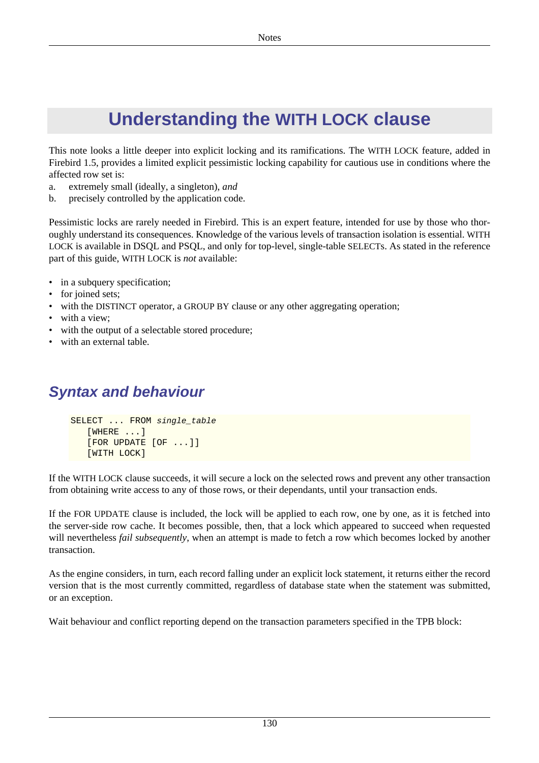# **Understanding the WITH LOCK clause**

This note looks a little deeper into explicit locking and its ramifications. The WITH LOCK feature, added in Firebird 1.5, provides a limited explicit pessimistic locking capability for cautious use in conditions where the affected row set is:

- a. extremely small (ideally, a singleton), *and*
- b. precisely controlled by the application code.

Pessimistic locks are rarely needed in Firebird. This is an expert feature, intended for use by those who thoroughly understand its consequences. Knowledge of the various levels of transaction isolation is essential. WITH LOCK is available in DSQL and PSQL, and only for top-level, single-table SELECTs. As stated in the reference part of this guide, WITH LOCK is *not* available:

- in a subquery specification;
- for joined sets;
- with the DISTINCT operator, a GROUP BY clause or any other aggregating operation;
- with a view;
- with the output of a selectable stored procedure;
- with an external table.

## **Syntax and behaviour**

```
SELECT ... FROM single_table
    [WHERE ...]
    [FOR UPDATE [OF ...]]
    [WITH LOCK]
```
If the WITH LOCK clause succeeds, it will secure a lock on the selected rows and prevent any other transaction from obtaining write access to any of those rows, or their dependants, until your transaction ends.

If the FOR UPDATE clause is included, the lock will be applied to each row, one by one, as it is fetched into the server-side row cache. It becomes possible, then, that a lock which appeared to succeed when requested will nevertheless *fail subsequently*, when an attempt is made to fetch a row which becomes locked by another transaction.

As the engine considers, in turn, each record falling under an explicit lock statement, it returns either the record version that is the most currently committed, regardless of database state when the statement was submitted, or an exception.

Wait behaviour and conflict reporting depend on the transaction parameters specified in the TPB block: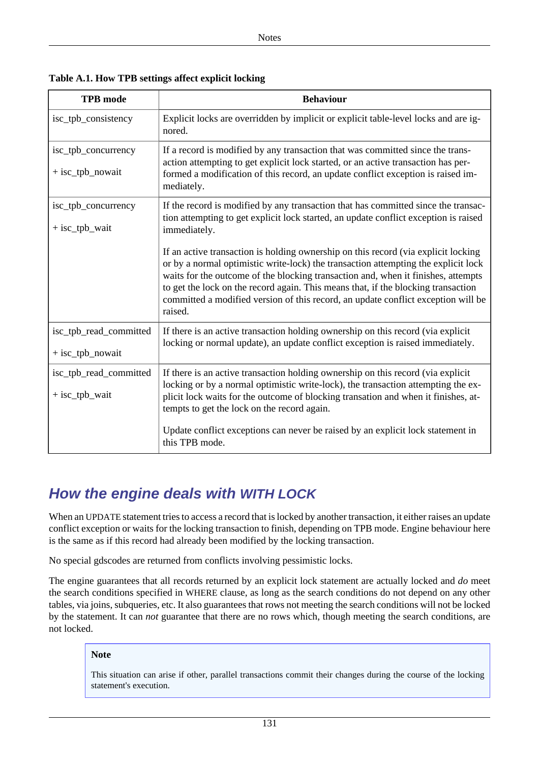| <b>TPB</b> mode                            | <b>Behaviour</b>                                                                                                                                                                                                                                                                                                                                                                                                                                   |
|--------------------------------------------|----------------------------------------------------------------------------------------------------------------------------------------------------------------------------------------------------------------------------------------------------------------------------------------------------------------------------------------------------------------------------------------------------------------------------------------------------|
| isc_tpb_consistency                        | Explicit locks are overridden by implicit or explicit table-level locks and are ig-<br>nored.                                                                                                                                                                                                                                                                                                                                                      |
| isc_tpb_concurrency<br>$+$ isc_tpb_nowait  | If a record is modified by any transaction that was committed since the trans-<br>action attempting to get explicit lock started, or an active transaction has per-<br>formed a modification of this record, an update conflict exception is raised im-<br>mediately.                                                                                                                                                                              |
| isc_tpb_concurrency<br>$+$ isc_tpb_wait    | If the record is modified by any transaction that has committed since the transac-<br>tion attempting to get explicit lock started, an update conflict exception is raised<br>immediately.                                                                                                                                                                                                                                                         |
|                                            | If an active transaction is holding ownership on this record (via explicit locking<br>or by a normal optimistic write-lock) the transaction attempting the explicit lock<br>waits for the outcome of the blocking transaction and, when it finishes, attempts<br>to get the lock on the record again. This means that, if the blocking transaction<br>committed a modified version of this record, an update conflict exception will be<br>raised. |
| isc_tpb_read_committed<br>+ isc_tpb_nowait | If there is an active transaction holding ownership on this record (via explicit<br>locking or normal update), an update conflict exception is raised immediately.                                                                                                                                                                                                                                                                                 |
| isc_tpb_read_committed<br>$+$ isc_tpb_wait | If there is an active transaction holding ownership on this record (via explicit<br>locking or by a normal optimistic write-lock), the transaction attempting the ex-<br>plicit lock waits for the outcome of blocking transation and when it finishes, at-<br>tempts to get the lock on the record again.<br>Update conflict exceptions can never be raised by an explicit lock statement in<br>this TPB mode.                                    |

**Table A.1. How TPB settings affect explicit locking**

### **How the engine deals with WITH LOCK**

When an UPDATE statement tries to access a record that is locked by another transaction, it either raises an update conflict exception or waits for the locking transaction to finish, depending on TPB mode. Engine behaviour here is the same as if this record had already been modified by the locking transaction.

No special gdscodes are returned from conflicts involving pessimistic locks.

The engine guarantees that all records returned by an explicit lock statement are actually locked and *do* meet the search conditions specified in WHERE clause, as long as the search conditions do not depend on any other tables, via joins, subqueries, etc. It also guarantees that rows not meeting the search conditions will not be locked by the statement. It can *not* guarantee that there are no rows which, though meeting the search conditions, are not locked.

### **Note**

This situation can arise if other, parallel transactions commit their changes during the course of the locking statement's execution.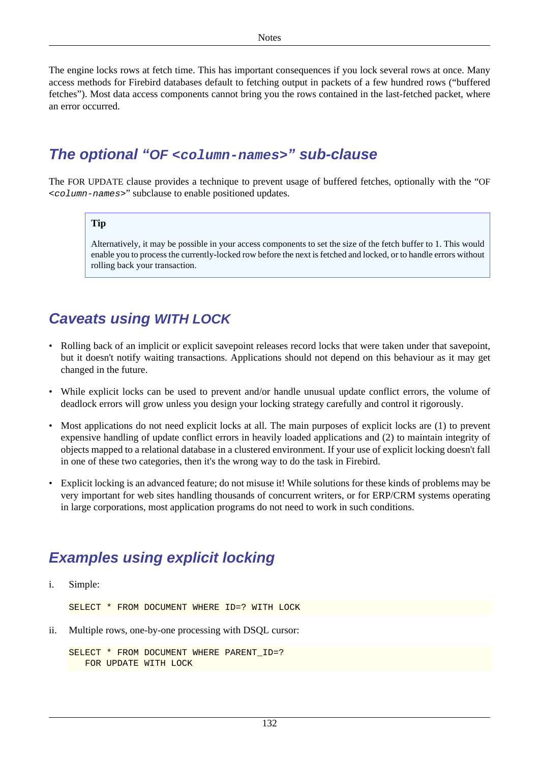The engine locks rows at fetch time. This has important consequences if you lock several rows at once. Many access methods for Firebird databases default to fetching output in packets of a few hundred rows ("buffered fetches"). Most data access components cannot bring you the rows contained in the last-fetched packet, where an error occurred.

### **The optional "OF <column-names>" sub-clause**

The FOR UPDATE clause provides a technique to prevent usage of buffered fetches, optionally with the "OF <column-names>" subclause to enable positioned updates.

#### **Tip**

Alternatively, it may be possible in your access components to set the size of the fetch buffer to 1. This would enable you to process the currently-locked row before the next is fetched and locked, or to handle errors without rolling back your transaction.

### **Caveats using WITH LOCK**

- Rolling back of an implicit or explicit savepoint releases record locks that were taken under that savepoint, but it doesn't notify waiting transactions. Applications should not depend on this behaviour as it may get changed in the future.
- While explicit locks can be used to prevent and/or handle unusual update conflict errors, the volume of deadlock errors will grow unless you design your locking strategy carefully and control it rigorously.
- Most applications do not need explicit locks at all. The main purposes of explicit locks are (1) to prevent expensive handling of update conflict errors in heavily loaded applications and (2) to maintain integrity of objects mapped to a relational database in a clustered environment. If your use of explicit locking doesn't fall in one of these two categories, then it's the wrong way to do the task in Firebird.
- Explicit locking is an advanced feature; do not misuse it! While solutions for these kinds of problems may be very important for web sites handling thousands of concurrent writers, or for ERP/CRM systems operating in large corporations, most application programs do not need to work in such conditions.

### **Examples using explicit locking**

i. Simple:

SELECT \* FROM DOCUMENT WHERE ID=? WITH LOCK

ii. Multiple rows, one-by-one processing with DSQL cursor:

```
SELECT * FROM DOCUMENT WHERE PARENT ID=?
    FOR UPDATE WITH LOCK
```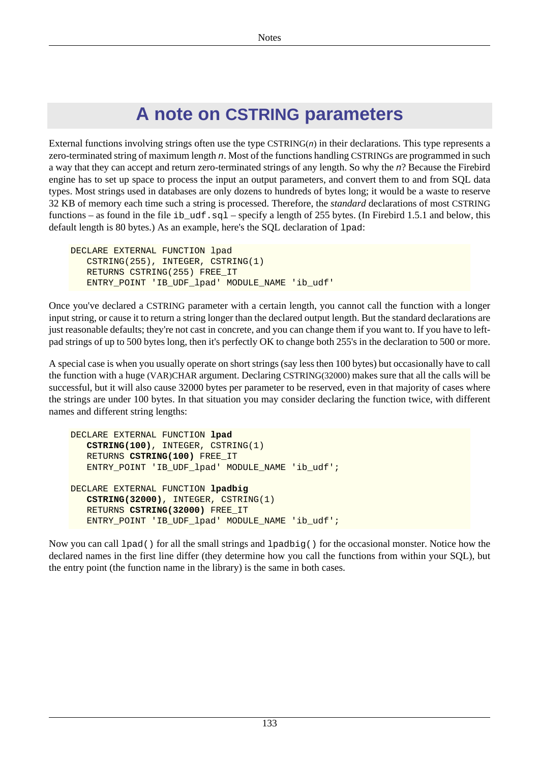# **A note on CSTRING parameters**

<span id="page-142-0"></span>External functions involving strings often use the type  $CSTRING(n)$  in their declarations. This type represents a zero-terminated string of maximum length n. Most of the functions handling CSTRINGs are programmed in such a way that they can accept and return zero-terminated strings of any length. So why the n? Because the Firebird engine has to set up space to process the input an output parameters, and convert them to and from SQL data types. Most strings used in databases are only dozens to hundreds of bytes long; it would be a waste to reserve 32 KB of memory each time such a string is processed. Therefore, the *standard* declarations of most CSTRING functions – as found in the file ib\_udf.sql – specify a length of 255 bytes. (In Firebird 1.5.1 and below, this default length is 80 bytes.) As an example, here's the SQL declaration of lpad:

```
DECLARE EXTERNAL FUNCTION lpad
    CSTRING(255), INTEGER, CSTRING(1)
    RETURNS CSTRING(255) FREE_IT
    ENTRY_POINT 'IB_UDF_lpad' MODULE_NAME 'ib_udf'
```
Once you've declared a CSTRING parameter with a certain length, you cannot call the function with a longer input string, or cause it to return a string longer than the declared output length. But the standard declarations are just reasonable defaults; they're not cast in concrete, and you can change them if you want to. If you have to leftpad strings of up to 500 bytes long, then it's perfectly OK to change both 255's in the declaration to 500 or more.

A special case is when you usually operate on short strings (say less then 100 bytes) but occasionally have to call the function with a huge (VAR)CHAR argument. Declaring CSTRING(32000) makes sure that all the calls will be successful, but it will also cause 32000 bytes per parameter to be reserved, even in that majority of cases where the strings are under 100 bytes. In that situation you may consider declaring the function twice, with different names and different string lengths:

```
DECLARE EXTERNAL FUNCTION lpad
    CSTRING(100), INTEGER, CSTRING(1)
    RETURNS CSTRING(100) FREE_IT
    ENTRY_POINT 'IB_UDF_lpad' MODULE_NAME 'ib_udf';
DECLARE EXTERNAL FUNCTION lpadbig
    CSTRING(32000), INTEGER, CSTRING(1)
    RETURNS CSTRING(32000) FREE_IT
   ENTRY_POINT 'IB_UDF_lpad' MODULE_NAME 'ib_udf';
```
Now you can call  $1$  pad() for all the small strings and  $1$  padbig() for the occasional monster. Notice how the declared names in the first line differ (they determine how you call the functions from within your SQL), but the entry point (the function name in the library) is the same in both cases.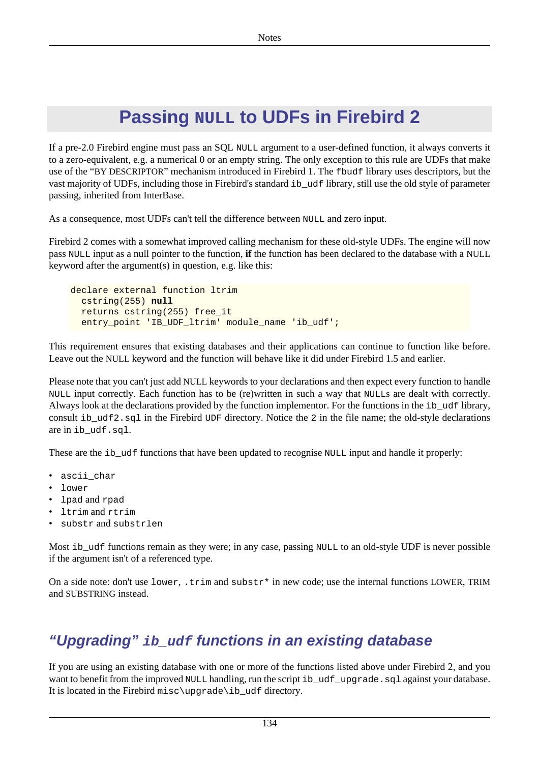# **Passing NULL to UDFs in Firebird 2**

<span id="page-143-0"></span>If a pre-2.0 Firebird engine must pass an SQL NULL argument to a user-defined function, it always converts it to a zero-equivalent, e.g. a numerical 0 or an empty string. The only exception to this rule are UDFs that make use of the "BY DESCRIPTOR" mechanism introduced in Firebird 1. The fbudf library uses descriptors, but the vast majority of UDFs, including those in Firebird's standard ib\_udf library, still use the old style of parameter passing, inherited from InterBase.

As a consequence, most UDFs can't tell the difference between NULL and zero input.

Firebird 2 comes with a somewhat improved calling mechanism for these old-style UDFs. The engine will now pass NULL input as a null pointer to the function, **if** the function has been declared to the database with a NULL keyword after the argument(s) in question, e.g. like this:

```
declare external function ltrim
   cstring(255) null
   returns cstring(255) free_it
   entry_point 'IB_UDF_ltrim' module_name 'ib_udf';
```
This requirement ensures that existing databases and their applications can continue to function like before. Leave out the NULL keyword and the function will behave like it did under Firebird 1.5 and earlier.

Please note that you can't just add NULL keywords to your declarations and then expect every function to handle NULL input correctly. Each function has to be (re)written in such a way that NULLs are dealt with correctly. Always look at the declarations provided by the function implementor. For the functions in the ib\_udf library, consult ib\_udf2.sql in the Firebird UDF directory. Notice the 2 in the file name; the old-style declarations are in ib\_udf.sql.

These are the ib\_udf functions that have been updated to recognise NULL input and handle it properly:

- ascii\_char
- lower
- lpad and rpad
- ltrim and rtrim
- substr and substrlen

Most ib\_udf functions remain as they were; in any case, passing NULL to an old-style UDF is never possible if the argument isn't of a referenced type.

On a side note: don't use  $lower$ ,  $trim$  and  $substr*$  in new code; use the internal functions LOWER, TRIM and SUBSTRING instead.

## **"Upgrading" ib\_udf functions in an existing database**

If you are using an existing database with one or more of the functions listed above under Firebird 2, and you want to benefit from the improved NULL handling, run the script ib\_udf\_upgrade.sql against your database. It is located in the Firebird misc\upgrade\ib udf directory.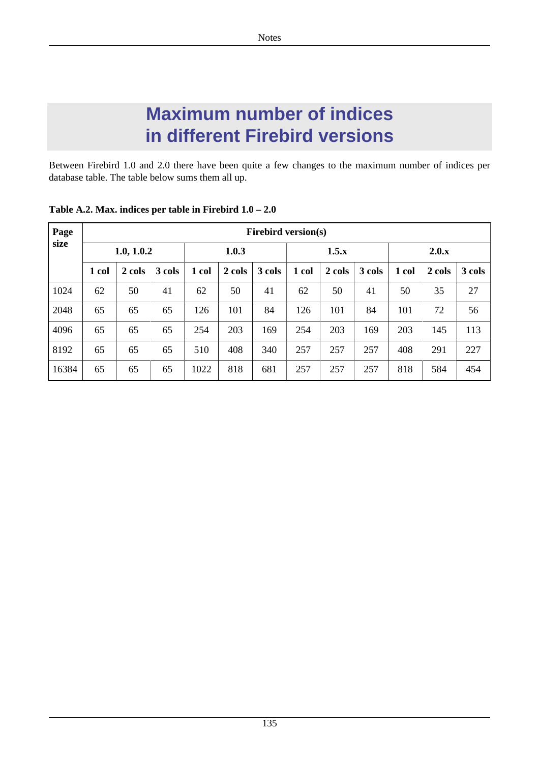## **Maximum number of indices in different Firebird versions**

Between Firebird 1.0 and 2.0 there have been quite a few changes to the maximum number of indices per database table. The table below sums them all up.

| Page<br>size | <b>Firebird version(s)</b> |        |        |       |        |        |       |        |        |       |        |        |  |  |
|--------------|----------------------------|--------|--------|-------|--------|--------|-------|--------|--------|-------|--------|--------|--|--|
|              | 1.0, 1.0.2                 |        |        | 1.0.3 |        |        | 1.5.x |        |        | 2.0.x |        |        |  |  |
|              | 1 col                      | 2 cols | 3 cols | 1 col | 2 cols | 3 cols | 1 col | 2 cols | 3 cols | 1 col | 2 cols | 3 cols |  |  |
| 1024         | 62                         | 50     | 41     | 62    | 50     | 41     | 62    | 50     | 41     | 50    | 35     | 27     |  |  |
| 2048         | 65                         | 65     | 65     | 126   | 101    | 84     | 126   | 101    | 84     | 101   | 72     | 56     |  |  |
| 4096         | 65                         | 65     | 65     | 254   | 203    | 169    | 254   | 203    | 169    | 203   | 145    | 113    |  |  |
| 8192         | 65                         | 65     | 65     | 510   | 408    | 340    | 257   | 257    | 257    | 408   | 291    | 227    |  |  |
| 16384        | 65                         | 65     | 65     | 1022  | 818    | 681    | 257   | 257    | 257    | 818   | 584    | 454    |  |  |

**Table A.2. Max. indices per table in Firebird 1.0 – 2.0**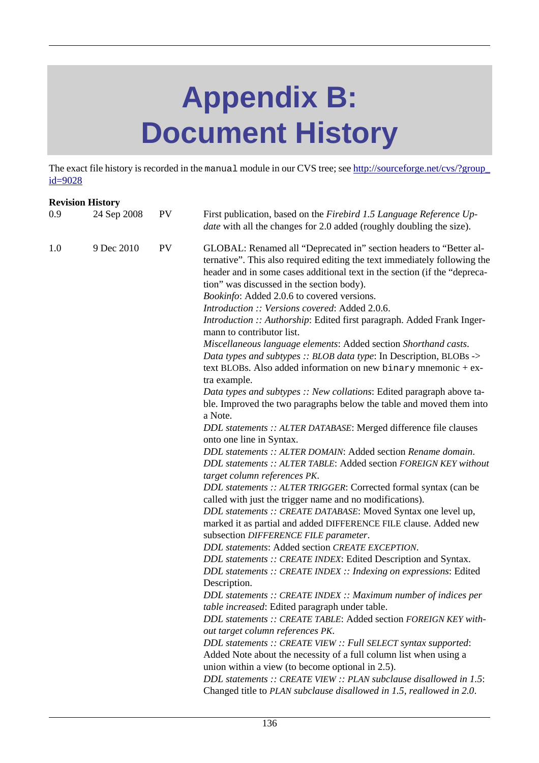## **Appendix B: Document History**

The exact file history is recorded in the manual module in our CVS tree; see [http://sourceforge.net/cvs/?group\\_](http://sourceforge.net/cvs/?group_id=9028) [id=9028](http://sourceforge.net/cvs/?group_id=9028)

|     | <b>Revision History</b> |           |                                                                                                                                                                                                                                                                                                                                                                                                                                                                                                                                                     |
|-----|-------------------------|-----------|-----------------------------------------------------------------------------------------------------------------------------------------------------------------------------------------------------------------------------------------------------------------------------------------------------------------------------------------------------------------------------------------------------------------------------------------------------------------------------------------------------------------------------------------------------|
| 0.9 | 24 Sep 2008             | <b>PV</b> | First publication, based on the Firebird 1.5 Language Reference Up-<br><i>date</i> with all the changes for 2.0 added (roughly doubling the size).                                                                                                                                                                                                                                                                                                                                                                                                  |
| 1.0 | 9 Dec 2010              | <b>PV</b> | GLOBAL: Renamed all "Deprecated in" section headers to "Better al-<br>ternative". This also required editing the text immediately following the<br>header and in some cases additional text in the section (if the "depreca-<br>tion" was discussed in the section body).<br>Bookinfo: Added 2.0.6 to covered versions.<br>Introduction :: Versions covered: Added 2.0.6.<br>Introduction :: Authorship: Edited first paragraph. Added Frank Inger-<br>mann to contributor list.<br>Miscellaneous language elements: Added section Shorthand casts. |
|     |                         |           | Data types and subtypes :: BLOB data type: In Description, BLOBs -><br>text BLOBs. Also added information on new binary mnemonic + ex-<br>tra example.                                                                                                                                                                                                                                                                                                                                                                                              |
|     |                         |           | Data types and subtypes :: New collations: Edited paragraph above ta-<br>ble. Improved the two paragraphs below the table and moved them into<br>a Note.                                                                                                                                                                                                                                                                                                                                                                                            |
|     |                         |           | DDL statements :: ALTER DATABASE: Merged difference file clauses<br>onto one line in Syntax.                                                                                                                                                                                                                                                                                                                                                                                                                                                        |
|     |                         |           | DDL statements :: ALTER DOMAIN: Added section Rename domain.<br>DDL statements :: ALTER TABLE: Added section FOREIGN KEY without<br>target column references PK.                                                                                                                                                                                                                                                                                                                                                                                    |
|     |                         |           | DDL statements :: ALTER TRIGGER: Corrected formal syntax (can be<br>called with just the trigger name and no modifications).                                                                                                                                                                                                                                                                                                                                                                                                                        |
|     |                         |           | DDL statements :: CREATE DATABASE: Moved Syntax one level up,<br>marked it as partial and added DIFFERENCE FILE clause. Added new<br>subsection DIFFERENCE FILE parameter.                                                                                                                                                                                                                                                                                                                                                                          |
|     |                         |           | DDL statements: Added section CREATE EXCEPTION.                                                                                                                                                                                                                                                                                                                                                                                                                                                                                                     |
|     |                         |           | DDL statements :: CREATE INDEX: Edited Description and Syntax.                                                                                                                                                                                                                                                                                                                                                                                                                                                                                      |
|     |                         |           | DDL statements :: CREATE INDEX :: Indexing on expressions: Edited                                                                                                                                                                                                                                                                                                                                                                                                                                                                                   |
|     |                         |           | Description.                                                                                                                                                                                                                                                                                                                                                                                                                                                                                                                                        |
|     |                         |           | DDL statements :: CREATE INDEX :: Maximum number of indices per                                                                                                                                                                                                                                                                                                                                                                                                                                                                                     |
|     |                         |           | table increased: Edited paragraph under table.                                                                                                                                                                                                                                                                                                                                                                                                                                                                                                      |
|     |                         |           | DDL statements :: CREATE TABLE: Added section FOREIGN KEY with-                                                                                                                                                                                                                                                                                                                                                                                                                                                                                     |
|     |                         |           | out target column references PK.                                                                                                                                                                                                                                                                                                                                                                                                                                                                                                                    |
|     |                         |           | DDL statements :: CREATE VIEW :: Full SELECT syntax supported:                                                                                                                                                                                                                                                                                                                                                                                                                                                                                      |
|     |                         |           | Added Note about the necessity of a full column list when using a                                                                                                                                                                                                                                                                                                                                                                                                                                                                                   |
|     |                         |           | union within a view (to become optional in 2.5).<br>DDL statements :: CREATE VIEW :: PLAN subclause disallowed in 1.5:                                                                                                                                                                                                                                                                                                                                                                                                                              |
|     |                         |           | Changed title to PLAN subclause disallowed in 1.5, reallowed in 2.0.                                                                                                                                                                                                                                                                                                                                                                                                                                                                                |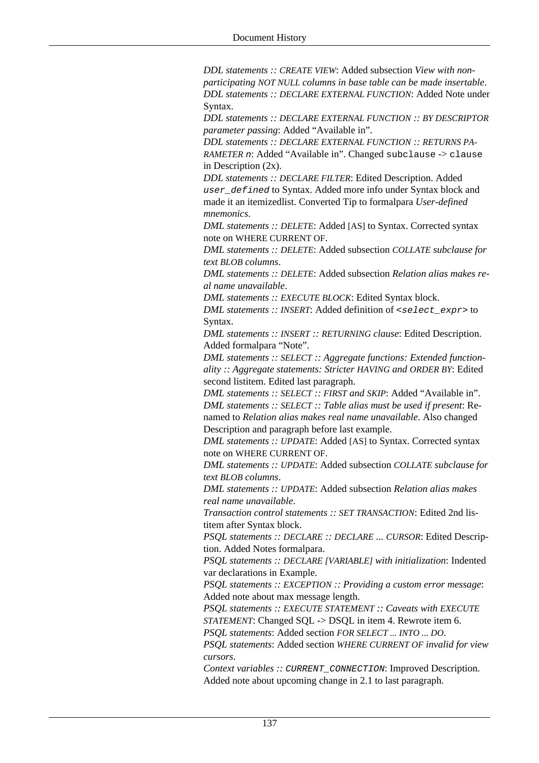*DDL statements :: CREATE VIEW*: Added subsection *View with nonparticipating NOT NULL columns in base table can be made insertable*. *DDL statements :: DECLARE EXTERNAL FUNCTION*: Added Note under Syntax.

*DDL statements :: DECLARE EXTERNAL FUNCTION :: BY DESCRIPTOR parameter passing*: Added "Available in".

*DDL statements :: DECLARE EXTERNAL FUNCTION :: RETURNS PA-RAMETER n*: Added "Available in". Changed subclause -> clause in Description (2x).

*DDL statements :: DECLARE FILTER*: Edited Description. Added user\_defined to Syntax. Added more info under Syntax block and made it an itemizedlist. Converted Tip to formalpara *User-defined mnemonics*.

*DML statements :: DELETE*: Added [AS] to Syntax. Corrected syntax note on WHERE CURRENT OF.

*DML statements :: DELETE*: Added subsection *COLLATE subclause for text BLOB columns*.

*DML statements :: DELETE*: Added subsection *Relation alias makes real name unavailable*.

*DML statements :: EXECUTE BLOCK*: Edited Syntax block.

*DML statements :: INSERT*: Added definition of  $\leq$  select expr> to Syntax.

*DML statements :: INSERT :: RETURNING clause*: Edited Description. Added formalpara "Note".

*DML statements :: SELECT :: Aggregate functions: Extended functionality :: Aggregate statements: Stricter HAVING and ORDER BY*: Edited second listitem. Edited last paragraph.

*DML statements :: SELECT :: FIRST and SKIP*: Added "Available in". *DML statements :: SELECT :: Table alias must be used if present*: Renamed to *Relation alias makes real name unavailable*. Also changed Description and paragraph before last example.

*DML statements :: UPDATE*: Added [AS] to Syntax. Corrected syntax note on WHERE CURRENT OF.

*DML statements :: UPDATE*: Added subsection *COLLATE subclause for text BLOB columns*.

*DML statements :: UPDATE*: Added subsection *Relation alias makes real name unavailable*.

*Transaction control statements :: SET TRANSACTION*: Edited 2nd listitem after Syntax block.

*PSQL statements :: DECLARE :: DECLARE ... CURSOR*: Edited Description. Added Notes formalpara.

*PSQL statements :: DECLARE [VARIABLE] with initialization*: Indented var declarations in Example.

*PSQL statements :: EXCEPTION :: Providing a custom error message*: Added note about max message length.

*PSQL statements :: EXECUTE STATEMENT :: Caveats with EXECUTE STATEMENT*: Changed SQL -> DSQL in item 4. Rewrote item 6.

*PSQL statements*: Added section *FOR SELECT ... INTO ... DO*.

*PSQL statements*: Added section *WHERE CURRENT OF invalid for view cursors*.

*Context variables ::* CURRENT\_CONNECTION: Improved Description. Added note about upcoming change in 2.1 to last paragraph.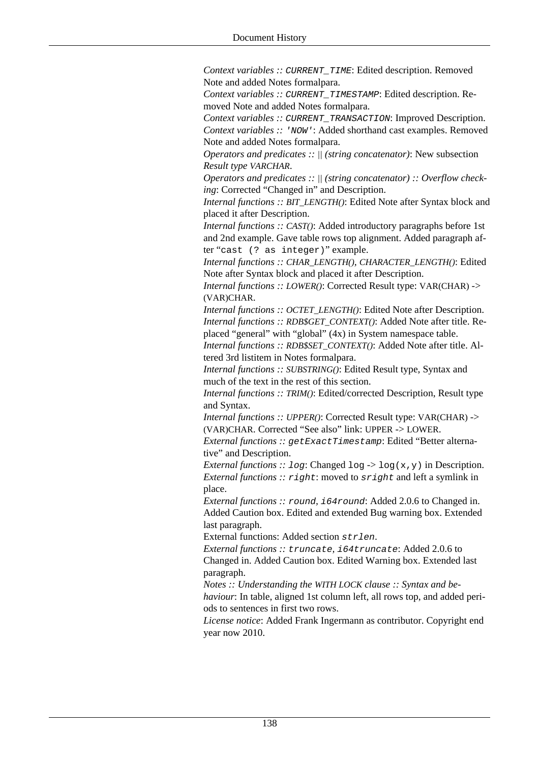*Context variables ::* CURRENT\_TIME: Edited description. Removed Note and added Notes formalpara.

*Context variables ::* CURRENT\_TIMESTAMP: Edited description. Removed Note and added Notes formalpara.

*Context variables :: CURRENT\_TRANSACTION: Improved Description. Context variables :: 'NOW':* Added shorthand cast examples. Removed Note and added Notes formalpara.

*Operators and predicates :: || (string concatenator)*: New subsection *Result type VARCHAR*.

*Operators and predicates :: || (string concatenator) :: Overflow checking*: Corrected "Changed in" and Description.

*Internal functions :: BIT\_LENGTH()*: Edited Note after Syntax block and placed it after Description.

*Internal functions :: CAST()*: Added introductory paragraphs before 1st and 2nd example. Gave table rows top alignment. Added paragraph after "cast (? as integer)" example.

*Internal functions :: CHAR\_LENGTH(), CHARACTER\_LENGTH()*: Edited Note after Syntax block and placed it after Description.

*Internal functions :: LOWER()*: Corrected Result type: VAR(CHAR) -> (VAR)CHAR.

*Internal functions :: OCTET\_LENGTH()*: Edited Note after Description. *Internal functions :: RDB\$GET\_CONTEXT()*: Added Note after title. Replaced "general" with "global" (4x) in System namespace table.

*Internal functions :: RDB\$SET\_CONTEXT()*: Added Note after title. Altered 3rd listitem in Notes formalpara.

*Internal functions :: SUBSTRING()*: Edited Result type, Syntax and much of the text in the rest of this section.

*Internal functions :: TRIM()*: Edited/corrected Description, Result type and Syntax.

*Internal functions :: UPPER()*: Corrected Result type: VAR(CHAR) -> (VAR)CHAR. Corrected "See also" link: UPPER -> LOWER.

*External functions :: getExactTimestamp*: Edited "Better alternative" and Description.

*External functions :: log:* Changed log  $\rightarrow$  log(x,y) in Description. *External functions :: right:* moved to *sright* and left a symlink in place.

*External functions ::* round*,* i64round: Added 2.0.6 to Changed in. Added Caution box. Edited and extended Bug warning box. Extended last paragraph.

External functions: Added section strlen.

*External functions ::* truncate*,* i64truncate: Added 2.0.6 to Changed in. Added Caution box. Edited Warning box. Extended last paragraph.

*Notes :: Understanding the WITH LOCK clause :: Syntax and behaviour*: In table, aligned 1st column left, all rows top, and added periods to sentences in first two rows.

*License notice*: Added Frank Ingermann as contributor. Copyright end year now 2010.